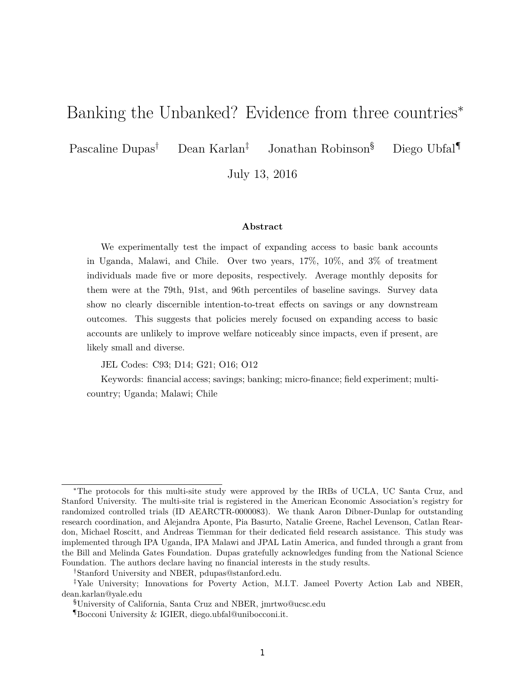## Banking the Unbanked? Evidence from three countries<sup>∗</sup>

Pascaline Dupas† Dean Karlan‡ Jonathan Robinson§ Diego Ubfal¶

July 13, 2016

### **Abstract**

We experimentally test the impact of expanding access to basic bank accounts in Uganda, Malawi, and Chile. Over two years, 17%, 10%, and 3% of treatment individuals made five or more deposits, respectively. Average monthly deposits for them were at the 79th, 91st, and 96th percentiles of baseline savings. Survey data show no clearly discernible intention-to-treat effects on savings or any downstream outcomes. This suggests that policies merely focused on expanding access to basic accounts are unlikely to improve welfare noticeably since impacts, even if present, are likely small and diverse.

JEL Codes: C93; D14; G21; O16; O12

Keywords: financial access; savings; banking; micro-finance; field experiment; multicountry; Uganda; Malawi; Chile

<sup>∗</sup>The protocols for this multi-site study were approved by the IRBs of UCLA, UC Santa Cruz, and Stanford University. The multi-site trial is registered in the American Economic Association's registry for randomized controlled trials (ID AEARCTR-0000083). We thank Aaron Dibner-Dunlap for outstanding research coordination, and Alejandra Aponte, Pia Basurto, Natalie Greene, Rachel Levenson, Catlan Reardon, Michael Roscitt, and Andreas Tiemman for their dedicated field research assistance. This study was implemented through IPA Uganda, IPA Malawi and JPAL Latin America, and funded through a grant from the Bill and Melinda Gates Foundation. Dupas gratefully acknowledges funding from the National Science Foundation. The authors declare having no financial interests in the study results.

<sup>†</sup>Stanford University and NBER, pdupas@stanford.edu.

<sup>‡</sup>Yale University; Innovations for Poverty Action, M.I.T. Jameel Poverty Action Lab and NBER, dean.karlan@yale.edu

<sup>§</sup>University of California, Santa Cruz and NBER, jmrtwo@ucsc.edu

<sup>¶</sup>Bocconi University & IGIER, diego.ubfal@unibocconi.it.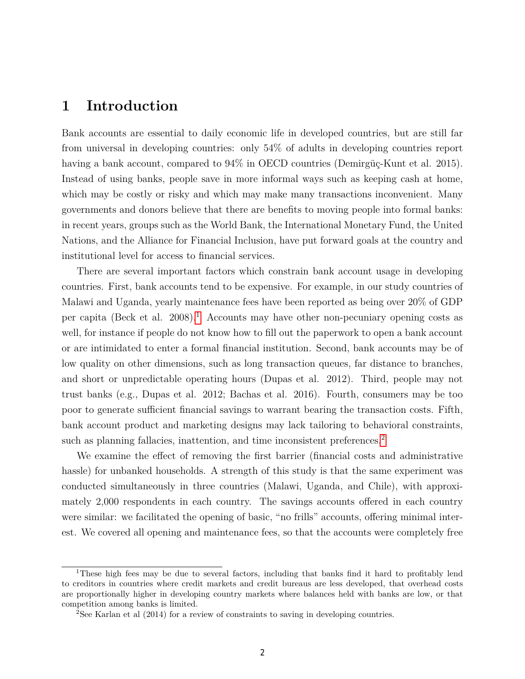## **1 Introduction**

Bank accounts are essential to daily economic life in developed countries, but are still far from universal in developing countries: only 54% of adults in developing countries report having a bank account, compared to  $94\%$  in OECD countries (Demirgüç-Kunt et al. 2015). Instead of using banks, people save in more informal ways such as keeping cash at home, which may be costly or risky and which may make many transactions inconvenient. Many governments and donors believe that there are benefits to moving people into formal banks: in recent years, groups such as the World Bank, the International Monetary Fund, the United Nations, and the Alliance for Financial Inclusion, have put forward goals at the country and institutional level for access to financial services.

There are several important factors which constrain bank account usage in developing countries. First, bank accounts tend to be expensive. For example, in our study countries of Malawi and Uganda, yearly maintenance fees have been reported as being over 20% of GDP per capita (Beck et al. 2008).<sup>1</sup> Accounts may have other non-pecuniary opening costs as well, for instance if people do not know how to fill out the paperwork to open a bank account or are intimidated to enter a formal financial institution. Second, bank accounts may be of low quality on other dimensions, such as long transaction queues, far distance to branches, and short or unpredictable operating hours (Dupas et al. 2012). Third, people may not trust banks (e.g., Dupas et al. 2012; Bachas et al. 2016). Fourth, consumers may be too poor to generate sufficient financial savings to warrant bearing the transaction costs. Fifth, bank account product and marketing designs may lack tailoring to behavioral constraints, such as planning fallacies, inattention, and time inconsistent preferences.<sup>2</sup>

We examine the effect of removing the first barrier (financial costs and administrative hassle) for unbanked households. A strength of this study is that the same experiment was conducted simultaneously in three countries (Malawi, Uganda, and Chile), with approximately 2,000 respondents in each country. The savings accounts offered in each country were similar: we facilitated the opening of basic, "no frills" accounts, offering minimal interest. We covered all opening and maintenance fees, so that the accounts were completely free

<sup>&</sup>lt;sup>1</sup>These high fees may be due to several factors, including that banks find it hard to profitably lend to creditors in countries where credit markets and credit bureaus are less developed, that overhead costs are proportionally higher in developing country markets where balances held with banks are low, or that competition among banks is limited.

<sup>&</sup>lt;sup>2</sup>See Karlan et al (2014) for a review of constraints to saving in developing countries.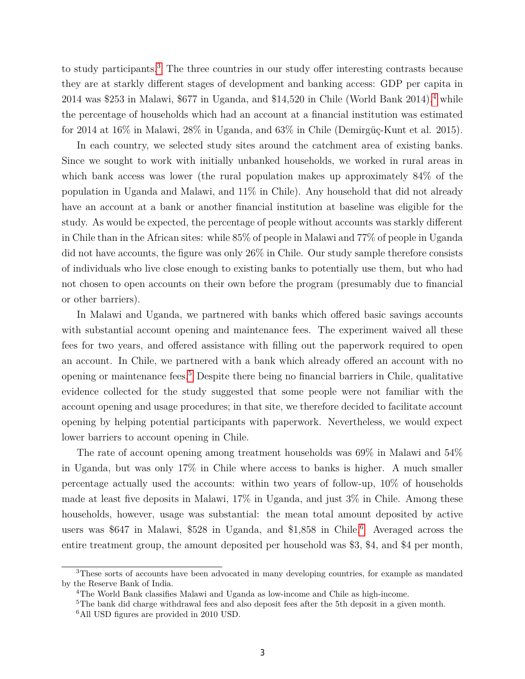to study participants.3 The three countries in our study offer interesting contrasts because they are at starkly different stages of development and banking access: GDP per capita in  $2014$  was \$253 in Malawi, \$677 in Uganda, and \$14,520 in Chile (World Bank 2014),<sup>4</sup> while the percentage of households which had an account at a financial institution was estimated for 2014 at 16% in Malawi, 28% in Uganda, and 63% in Chile (Demirgüç-Kunt et al. 2015).

In each country, we selected study sites around the catchment area of existing banks. Since we sought to work with initially unbanked households, we worked in rural areas in which bank access was lower (the rural population makes up approximately 84% of the population in Uganda and Malawi, and 11% in Chile). Any household that did not already have an account at a bank or another financial institution at baseline was eligible for the study. As would be expected, the percentage of people without accounts was starkly different in Chile than in the African sites: while 85% of people in Malawi and 77% of people in Uganda did not have accounts, the figure was only 26% in Chile. Our study sample therefore consists of individuals who live close enough to existing banks to potentially use them, but who had not chosen to open accounts on their own before the program (presumably due to financial or other barriers).

In Malawi and Uganda, we partnered with banks which offered basic savings accounts with substantial account opening and maintenance fees. The experiment waived all these fees for two years, and offered assistance with filling out the paperwork required to open an account. In Chile, we partnered with a bank which already offered an account with no opening or maintenance fees.5 Despite there being no financial barriers in Chile, qualitative evidence collected for the study suggested that some people were not familiar with the account opening and usage procedures; in that site, we therefore decided to facilitate account opening by helping potential participants with paperwork. Nevertheless, we would expect lower barriers to account opening in Chile.

The rate of account opening among treatment households was 69% in Malawi and 54% in Uganda, but was only 17% in Chile where access to banks is higher. A much smaller percentage actually used the accounts: within two years of follow-up, 10% of households made at least five deposits in Malawi, 17% in Uganda, and just 3% in Chile. Among these households, however, usage was substantial: the mean total amount deposited by active users was \$647 in Malawi, \$528 in Uganda, and  $$1,858$  in Chile.<sup>6</sup> Averaged across the entire treatment group, the amount deposited per household was \$3, \$4, and \$4 per month,

<sup>3</sup>These sorts of accounts have been advocated in many developing countries, for example as mandated by the Reserve Bank of India.

<sup>4</sup>The World Bank classifies Malawi and Uganda as low-income and Chile as high-income.

<sup>&</sup>lt;sup>5</sup>The bank did charge withdrawal fees and also deposit fees after the 5th deposit in a given month.

<sup>&</sup>lt;sup>6</sup>All USD figures are provided in 2010 USD.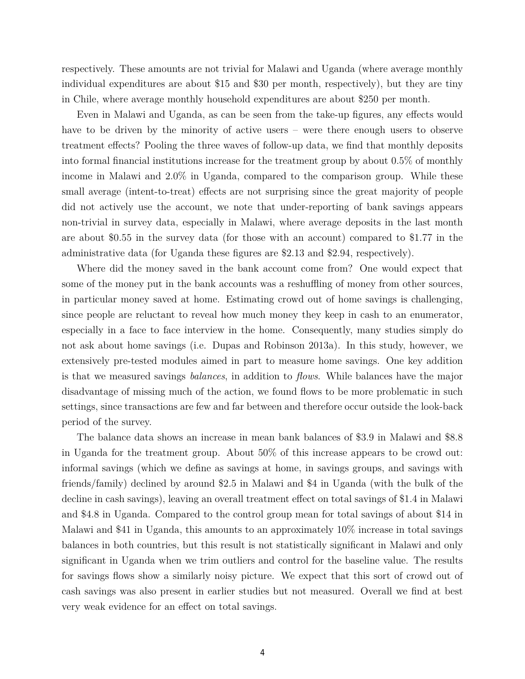respectively. These amounts are not trivial for Malawi and Uganda (where average monthly individual expenditures are about \$15 and \$30 per month, respectively), but they are tiny in Chile, where average monthly household expenditures are about \$250 per month.

Even in Malawi and Uganda, as can be seen from the take-up figures, any effects would have to be driven by the minority of active users – were there enough users to observe treatment effects? Pooling the three waves of follow-up data, we find that monthly deposits into formal financial institutions increase for the treatment group by about 0.5% of monthly income in Malawi and 2.0% in Uganda, compared to the comparison group. While these small average (intent-to-treat) effects are not surprising since the great majority of people did not actively use the account, we note that under-reporting of bank savings appears non-trivial in survey data, especially in Malawi, where average deposits in the last month are about \$0.55 in the survey data (for those with an account) compared to \$1.77 in the administrative data (for Uganda these figures are \$2.13 and \$2.94, respectively).

Where did the money saved in the bank account come from? One would expect that some of the money put in the bank accounts was a reshuffling of money from other sources, in particular money saved at home. Estimating crowd out of home savings is challenging, since people are reluctant to reveal how much money they keep in cash to an enumerator, especially in a face to face interview in the home. Consequently, many studies simply do not ask about home savings (i.e. Dupas and Robinson 2013a). In this study, however, we extensively pre-tested modules aimed in part to measure home savings. One key addition is that we measured savings *balances*, in addition to *flows*. While balances have the major disadvantage of missing much of the action, we found flows to be more problematic in such settings, since transactions are few and far between and therefore occur outside the look-back period of the survey.

The balance data shows an increase in mean bank balances of \$3.9 in Malawi and \$8.8 in Uganda for the treatment group. About 50% of this increase appears to be crowd out: informal savings (which we define as savings at home, in savings groups, and savings with friends/family) declined by around \$2.5 in Malawi and \$4 in Uganda (with the bulk of the decline in cash savings), leaving an overall treatment effect on total savings of \$1.4 in Malawi and \$4.8 in Uganda. Compared to the control group mean for total savings of about \$14 in Malawi and \$41 in Uganda, this amounts to an approximately 10% increase in total savings balances in both countries, but this result is not statistically significant in Malawi and only significant in Uganda when we trim outliers and control for the baseline value. The results for savings flows show a similarly noisy picture. We expect that this sort of crowd out of cash savings was also present in earlier studies but not measured. Overall we find at best very weak evidence for an effect on total savings.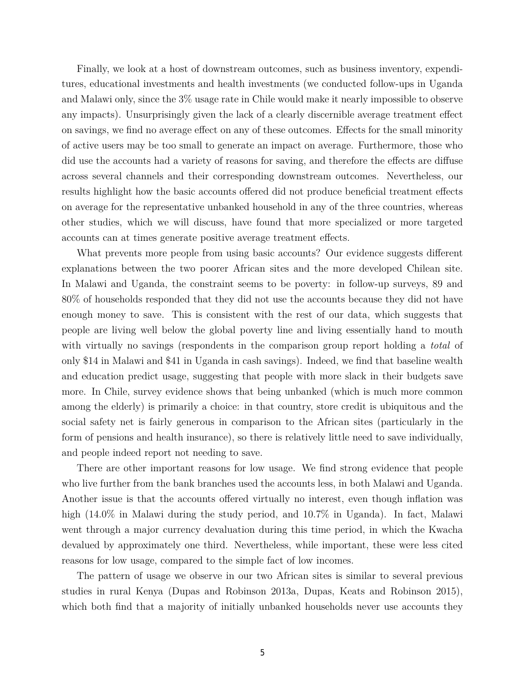Finally, we look at a host of downstream outcomes, such as business inventory, expenditures, educational investments and health investments (we conducted follow-ups in Uganda and Malawi only, since the 3% usage rate in Chile would make it nearly impossible to observe any impacts). Unsurprisingly given the lack of a clearly discernible average treatment effect on savings, we find no average effect on any of these outcomes. Effects for the small minority of active users may be too small to generate an impact on average. Furthermore, those who did use the accounts had a variety of reasons for saving, and therefore the effects are diffuse across several channels and their corresponding downstream outcomes. Nevertheless, our results highlight how the basic accounts offered did not produce beneficial treatment effects on average for the representative unbanked household in any of the three countries, whereas other studies, which we will discuss, have found that more specialized or more targeted accounts can at times generate positive average treatment effects.

What prevents more people from using basic accounts? Our evidence suggests different explanations between the two poorer African sites and the more developed Chilean site. In Malawi and Uganda, the constraint seems to be poverty: in follow-up surveys, 89 and 80% of households responded that they did not use the accounts because they did not have enough money to save. This is consistent with the rest of our data, which suggests that people are living well below the global poverty line and living essentially hand to mouth with virtually no savings (respondents in the comparison group report holding a *total* of only \$14 in Malawi and \$41 in Uganda in cash savings). Indeed, we find that baseline wealth and education predict usage, suggesting that people with more slack in their budgets save more. In Chile, survey evidence shows that being unbanked (which is much more common among the elderly) is primarily a choice: in that country, store credit is ubiquitous and the social safety net is fairly generous in comparison to the African sites (particularly in the form of pensions and health insurance), so there is relatively little need to save individually, and people indeed report not needing to save.

There are other important reasons for low usage. We find strong evidence that people who live further from the bank branches used the accounts less, in both Malawi and Uganda. Another issue is that the accounts offered virtually no interest, even though inflation was high (14.0% in Malawi during the study period, and 10.7% in Uganda). In fact, Malawi went through a major currency devaluation during this time period, in which the Kwacha devalued by approximately one third. Nevertheless, while important, these were less cited reasons for low usage, compared to the simple fact of low incomes.

The pattern of usage we observe in our two African sites is similar to several previous studies in rural Kenya (Dupas and Robinson 2013a, Dupas, Keats and Robinson 2015), which both find that a majority of initially unbanked households never use accounts they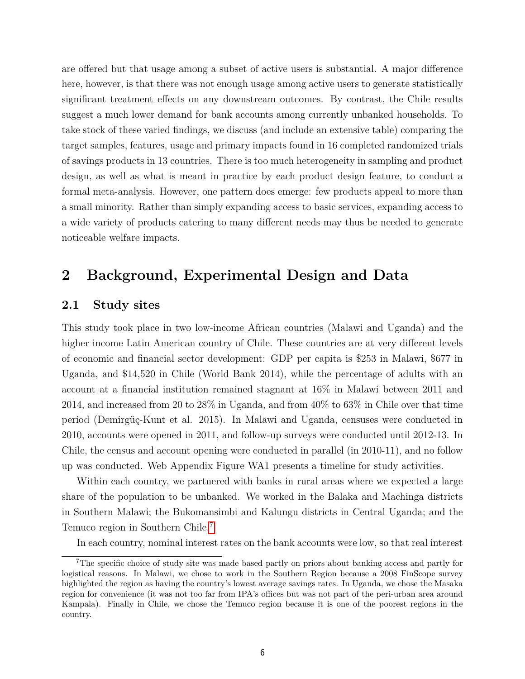are offered but that usage among a subset of active users is substantial. A major difference here, however, is that there was not enough usage among active users to generate statistically significant treatment effects on any downstream outcomes. By contrast, the Chile results suggest a much lower demand for bank accounts among currently unbanked households. To take stock of these varied findings, we discuss (and include an extensive table) comparing the target samples, features, usage and primary impacts found in 16 completed randomized trials of savings products in 13 countries. There is too much heterogeneity in sampling and product design, as well as what is meant in practice by each product design feature, to conduct a formal meta-analysis. However, one pattern does emerge: few products appeal to more than a small minority. Rather than simply expanding access to basic services, expanding access to a wide variety of products catering to many different needs may thus be needed to generate noticeable welfare impacts.

## **2 Background, Experimental Design and Data**

## **2.1 Study sites**

This study took place in two low-income African countries (Malawi and Uganda) and the higher income Latin American country of Chile. These countries are at very different levels of economic and financial sector development: GDP per capita is \$253 in Malawi, \$677 in Uganda, and \$14,520 in Chile (World Bank 2014), while the percentage of adults with an account at a financial institution remained stagnant at 16% in Malawi between 2011 and 2014, and increased from 20 to 28% in Uganda, and from 40% to 63% in Chile over that time period (Demirgüç-Kunt et al. 2015). In Malawi and Uganda, censuses were conducted in 2010, accounts were opened in 2011, and follow-up surveys were conducted until 2012-13. In Chile, the census and account opening were conducted in parallel (in 2010-11), and no follow up was conducted. Web Appendix Figure WA1 presents a timeline for study activities.

Within each country, we partnered with banks in rural areas where we expected a large share of the population to be unbanked. We worked in the Balaka and Machinga districts in Southern Malawi; the Bukomansimbi and Kalungu districts in Central Uganda; and the Temuco region in Southern Chile.7

In each country, nominal interest rates on the bank accounts were low, so that real interest

<sup>7</sup>The specific choice of study site was made based partly on priors about banking access and partly for logistical reasons. In Malawi, we chose to work in the Southern Region because a 2008 FinScope survey highlighted the region as having the country's lowest average savings rates. In Uganda, we chose the Masaka region for convenience (it was not too far from IPA's offices but was not part of the peri-urban area around Kampala). Finally in Chile, we chose the Temuco region because it is one of the poorest regions in the country.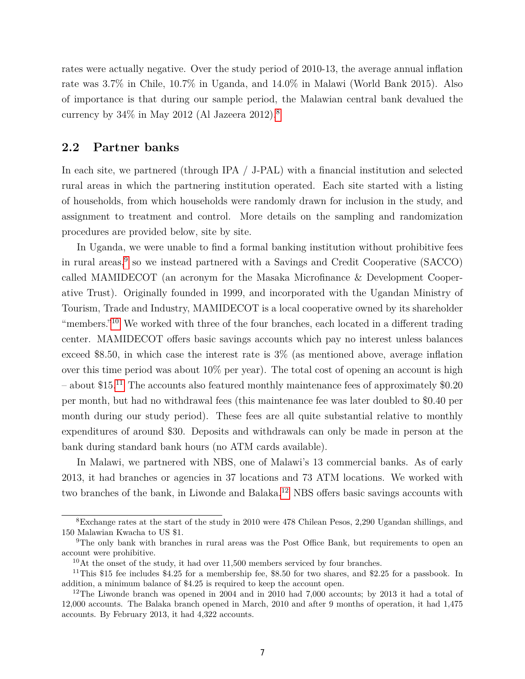rates were actually negative. Over the study period of 2010-13, the average annual inflation rate was 3.7% in Chile, 10.7% in Uganda, and 14.0% in Malawi (World Bank 2015). Also of importance is that during our sample period, the Malawian central bank devalued the currency by 34% in May 2012 (Al Jazeera 2012).8

## **2.2 Partner banks**

In each site, we partnered (through IPA / J-PAL) with a financial institution and selected rural areas in which the partnering institution operated. Each site started with a listing of households, from which households were randomly drawn for inclusion in the study, and assignment to treatment and control. More details on the sampling and randomization procedures are provided below, site by site.

In Uganda, we were unable to find a formal banking institution without prohibitive fees in rural areas,<sup>9</sup> so we instead partnered with a Savings and Credit Cooperative (SACCO) called MAMIDECOT (an acronym for the Masaka Microfinance & Development Cooperative Trust). Originally founded in 1999, and incorporated with the Ugandan Ministry of Tourism, Trade and Industry, MAMIDECOT is a local cooperative owned by its shareholder "members."<sup>10</sup> We worked with three of the four branches, each located in a different trading center. MAMIDECOT offers basic savings accounts which pay no interest unless balances exceed \$8.50, in which case the interest rate is 3% (as mentioned above, average inflation over this time period was about 10% per year). The total cost of opening an account is high – about \$15.<sup>11</sup> The accounts also featured monthly maintenance fees of approximately  $$0.20$ per month, but had no withdrawal fees (this maintenance fee was later doubled to \$0.40 per month during our study period). These fees are all quite substantial relative to monthly expenditures of around \$30. Deposits and withdrawals can only be made in person at the bank during standard bank hours (no ATM cards available).

In Malawi, we partnered with NBS, one of Malawi's 13 commercial banks. As of early 2013, it had branches or agencies in 37 locations and 73 ATM locations. We worked with two branches of the bank, in Liwonde and Balaka.<sup>12</sup> NBS offers basic savings accounts with

<sup>8</sup>Exchange rates at the start of the study in 2010 were 478 Chilean Pesos, 2,290 Ugandan shillings, and 150 Malawian Kwacha to US \$1.

<sup>&</sup>lt;sup>9</sup>The only bank with branches in rural areas was the Post Office Bank, but requirements to open an account were prohibitive.

 $10$ At the onset of the study, it had over 11,500 members serviced by four branches.

<sup>11</sup>This \$15 fee includes \$4.25 for a membership fee, \$8.50 for two shares, and \$2.25 for a passbook. In addition, a minimum balance of \$4.25 is required to keep the account open.

<sup>&</sup>lt;sup>12</sup>The Liwonde branch was opened in 2004 and in 2010 had 7,000 accounts; by 2013 it had a total of 12,000 accounts. The Balaka branch opened in March, 2010 and after 9 months of operation, it had 1,475 accounts. By February 2013, it had 4,322 accounts.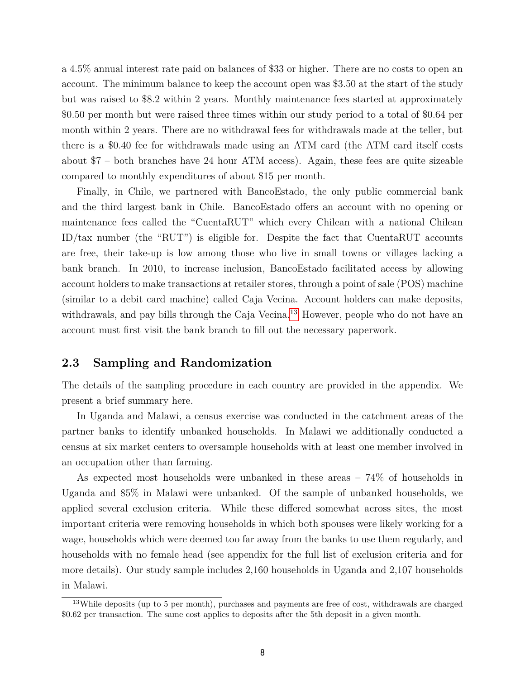a 4.5% annual interest rate paid on balances of \$33 or higher. There are no costs to open an account. The minimum balance to keep the account open was \$3.50 at the start of the study but was raised to \$8.2 within 2 years. Monthly maintenance fees started at approximately \$0.50 per month but were raised three times within our study period to a total of \$0.64 per month within 2 years. There are no withdrawal fees for withdrawals made at the teller, but there is a \$0.40 fee for withdrawals made using an ATM card (the ATM card itself costs about \$7 – both branches have 24 hour ATM access). Again, these fees are quite sizeable compared to monthly expenditures of about \$15 per month.

Finally, in Chile, we partnered with BancoEstado, the only public commercial bank and the third largest bank in Chile. BancoEstado offers an account with no opening or maintenance fees called the "CuentaRUT" which every Chilean with a national Chilean ID/tax number (the "RUT") is eligible for. Despite the fact that CuentaRUT accounts are free, their take-up is low among those who live in small towns or villages lacking a bank branch. In 2010, to increase inclusion, BancoEstado facilitated access by allowing account holders to make transactions at retailer stores, through a point of sale (POS) machine (similar to a debit card machine) called Caja Vecina. Account holders can make deposits, withdrawals, and pay bills through the Caja Vecina.<sup>13</sup> However, people who do not have an account must first visit the bank branch to fill out the necessary paperwork.

## **2.3 Sampling and Randomization**

The details of the sampling procedure in each country are provided in the appendix. We present a brief summary here.

In Uganda and Malawi, a census exercise was conducted in the catchment areas of the partner banks to identify unbanked households. In Malawi we additionally conducted a census at six market centers to oversample households with at least one member involved in an occupation other than farming.

As expected most households were unbanked in these areas – 74% of households in Uganda and 85% in Malawi were unbanked. Of the sample of unbanked households, we applied several exclusion criteria. While these differed somewhat across sites, the most important criteria were removing households in which both spouses were likely working for a wage, households which were deemed too far away from the banks to use them regularly, and households with no female head (see appendix for the full list of exclusion criteria and for more details). Our study sample includes 2,160 households in Uganda and 2,107 households in Malawi.

<sup>&</sup>lt;sup>13</sup>While deposits (up to 5 per month), purchases and payments are free of cost, withdrawals are charged \$0.62 per transaction. The same cost applies to deposits after the 5th deposit in a given month.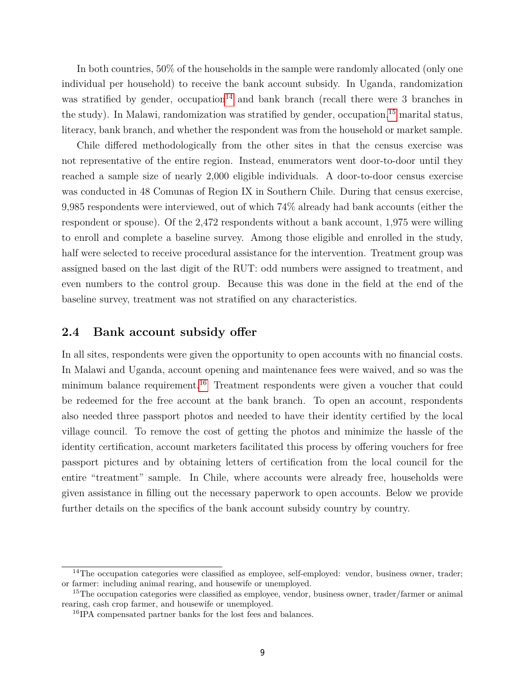In both countries, 50% of the households in the sample were randomly allocated (only one individual per household) to receive the bank account subsidy. In Uganda, randomization was stratified by gender, occupation<sup>14</sup> and bank branch (recall there were 3 branches in the study). In Malawi, randomization was stratified by gender, occupation,<sup>15</sup> marital status, literacy, bank branch, and whether the respondent was from the household or market sample.

Chile differed methodologically from the other sites in that the census exercise was not representative of the entire region. Instead, enumerators went door-to-door until they reached a sample size of nearly 2,000 eligible individuals. A door-to-door census exercise was conducted in 48 Comunas of Region IX in Southern Chile. During that census exercise, 9,985 respondents were interviewed, out of which 74% already had bank accounts (either the respondent or spouse). Of the 2,472 respondents without a bank account, 1,975 were willing to enroll and complete a baseline survey. Among those eligible and enrolled in the study, half were selected to receive procedural assistance for the intervention. Treatment group was assigned based on the last digit of the RUT: odd numbers were assigned to treatment, and even numbers to the control group. Because this was done in the field at the end of the baseline survey, treatment was not stratified on any characteristics.

### **2.4 Bank account subsidy offer**

In all sites, respondents were given the opportunity to open accounts with no financial costs. In Malawi and Uganda, account opening and maintenance fees were waived, and so was the minimum balance requirement.<sup>16</sup> Treatment respondents were given a voucher that could be redeemed for the free account at the bank branch. To open an account, respondents also needed three passport photos and needed to have their identity certified by the local village council. To remove the cost of getting the photos and minimize the hassle of the identity certification, account marketers facilitated this process by offering vouchers for free passport pictures and by obtaining letters of certification from the local council for the entire "treatment" sample. In Chile, where accounts were already free, households were given assistance in filling out the necessary paperwork to open accounts. Below we provide further details on the specifics of the bank account subsidy country by country.

<sup>&</sup>lt;sup>14</sup>The occupation categories were classified as employee, self-employed: vendor, business owner, trader; or farmer: including animal rearing, and housewife or unemployed.

 $15$ The occupation categories were classified as employee, vendor, business owner, trader/farmer or animal rearing, cash crop farmer, and housewife or unemployed.

<sup>16</sup>IPA compensated partner banks for the lost fees and balances.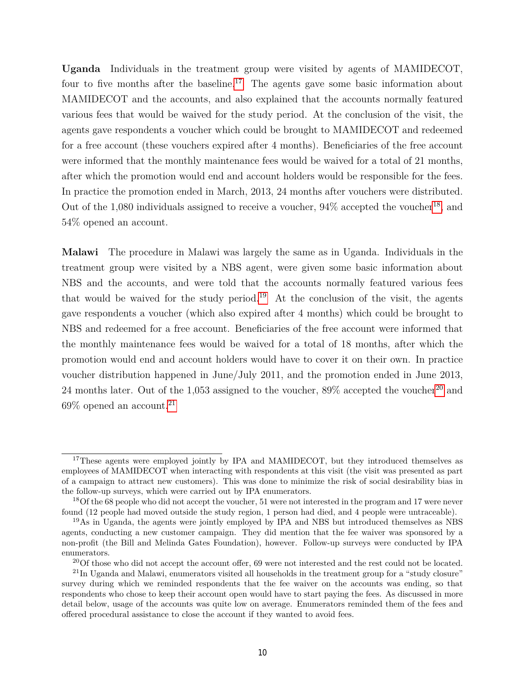**Uganda** Individuals in the treatment group were visited by agents of MAMIDECOT, four to five months after the baseline.<sup>17</sup> The agents gave some basic information about MAMIDECOT and the accounts, and also explained that the accounts normally featured various fees that would be waived for the study period. At the conclusion of the visit, the agents gave respondents a voucher which could be brought to MAMIDECOT and redeemed for a free account (these vouchers expired after 4 months). Beneficiaries of the free account were informed that the monthly maintenance fees would be waived for a total of 21 months, after which the promotion would end and account holders would be responsible for the fees. In practice the promotion ended in March, 2013, 24 months after vouchers were distributed. Out of the 1,080 individuals assigned to receive a voucher,  $94\%$  accepted the voucher<sup>18</sup>, and 54% opened an account.

**Malawi** The procedure in Malawi was largely the same as in Uganda. Individuals in the treatment group were visited by a NBS agent, were given some basic information about NBS and the accounts, and were told that the accounts normally featured various fees that would be waived for the study period.<sup>19</sup> At the conclusion of the visit, the agents gave respondents a voucher (which also expired after 4 months) which could be brought to NBS and redeemed for a free account. Beneficiaries of the free account were informed that the monthly maintenance fees would be waived for a total of 18 months, after which the promotion would end and account holders would have to cover it on their own. In practice voucher distribution happened in June/July 2011, and the promotion ended in June 2013, 24 months later. Out of the 1,053 assigned to the voucher,  $89\%$  accepted the voucher<sup>20</sup> and  $69\%$  opened an account.<sup>21</sup>

<sup>&</sup>lt;sup>17</sup>These agents were employed jointly by IPA and MAMIDECOT, but they introduced themselves as employees of MAMIDECOT when interacting with respondents at this visit (the visit was presented as part of a campaign to attract new customers). This was done to minimize the risk of social desirability bias in the follow-up surveys, which were carried out by IPA enumerators.

<sup>&</sup>lt;sup>18</sup>Of the 68 people who did not accept the voucher, 51 were not interested in the program and 17 were never found (12 people had moved outside the study region, 1 person had died, and 4 people were untraceable).

<sup>&</sup>lt;sup>19</sup>As in Uganda, the agents were jointly employed by IPA and NBS but introduced themselves as NBS agents, conducting a new customer campaign. They did mention that the fee waiver was sponsored by a non-profit (the Bill and Melinda Gates Foundation), however. Follow-up surveys were conducted by IPA enumerators.

<sup>&</sup>lt;sup>20</sup>Of those who did not accept the account offer, 69 were not interested and the rest could not be located.

<sup>21</sup>In Uganda and Malawi, enumerators visited all households in the treatment group for a "study closure" survey during which we reminded respondents that the fee waiver on the accounts was ending, so that respondents who chose to keep their account open would have to start paying the fees. As discussed in more detail below, usage of the accounts was quite low on average. Enumerators reminded them of the fees and offered procedural assistance to close the account if they wanted to avoid fees.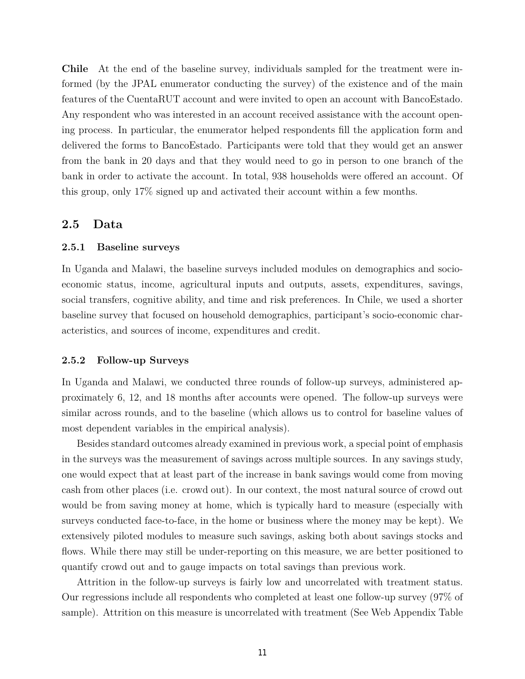**Chile** At the end of the baseline survey, individuals sampled for the treatment were informed (by the JPAL enumerator conducting the survey) of the existence and of the main features of the CuentaRUT account and were invited to open an account with BancoEstado. Any respondent who was interested in an account received assistance with the account opening process. In particular, the enumerator helped respondents fill the application form and delivered the forms to BancoEstado. Participants were told that they would get an answer from the bank in 20 days and that they would need to go in person to one branch of the bank in order to activate the account. In total, 938 households were offered an account. Of this group, only 17% signed up and activated their account within a few months.

### **2.5 Data**

### **2.5.1 Baseline surveys**

In Uganda and Malawi, the baseline surveys included modules on demographics and socioeconomic status, income, agricultural inputs and outputs, assets, expenditures, savings, social transfers, cognitive ability, and time and risk preferences. In Chile, we used a shorter baseline survey that focused on household demographics, participant's socio-economic characteristics, and sources of income, expenditures and credit.

### **2.5.2 Follow-up Surveys**

In Uganda and Malawi, we conducted three rounds of follow-up surveys, administered approximately 6, 12, and 18 months after accounts were opened. The follow-up surveys were similar across rounds, and to the baseline (which allows us to control for baseline values of most dependent variables in the empirical analysis).

Besides standard outcomes already examined in previous work, a special point of emphasis in the surveys was the measurement of savings across multiple sources. In any savings study, one would expect that at least part of the increase in bank savings would come from moving cash from other places (i.e. crowd out). In our context, the most natural source of crowd out would be from saving money at home, which is typically hard to measure (especially with surveys conducted face-to-face, in the home or business where the money may be kept). We extensively piloted modules to measure such savings, asking both about savings stocks and flows. While there may still be under-reporting on this measure, we are better positioned to quantify crowd out and to gauge impacts on total savings than previous work.

Attrition in the follow-up surveys is fairly low and uncorrelated with treatment status. Our regressions include all respondents who completed at least one follow-up survey (97% of sample). Attrition on this measure is uncorrelated with treatment (See Web Appendix Table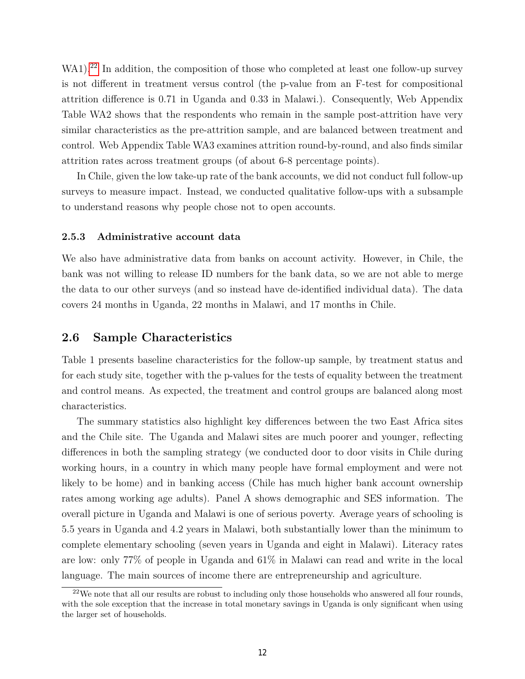WA1).<sup>22</sup> In addition, the composition of those who completed at least one follow-up survey is not different in treatment versus control (the p-value from an F-test for compositional attrition difference is 0.71 in Uganda and 0.33 in Malawi.). Consequently, Web Appendix Table WA2 shows that the respondents who remain in the sample post-attrition have very similar characteristics as the pre-attrition sample, and are balanced between treatment and control. Web Appendix Table WA3 examines attrition round-by-round, and also finds similar attrition rates across treatment groups (of about 6-8 percentage points).

In Chile, given the low take-up rate of the bank accounts, we did not conduct full follow-up surveys to measure impact. Instead, we conducted qualitative follow-ups with a subsample to understand reasons why people chose not to open accounts.

#### **2.5.3 Administrative account data**

We also have administrative data from banks on account activity. However, in Chile, the bank was not willing to release ID numbers for the bank data, so we are not able to merge the data to our other surveys (and so instead have de-identified individual data). The data covers 24 months in Uganda, 22 months in Malawi, and 17 months in Chile.

### **2.6 Sample Characteristics**

Table 1 presents baseline characteristics for the follow-up sample, by treatment status and for each study site, together with the p-values for the tests of equality between the treatment and control means. As expected, the treatment and control groups are balanced along most characteristics.

The summary statistics also highlight key differences between the two East Africa sites and the Chile site. The Uganda and Malawi sites are much poorer and younger, reflecting differences in both the sampling strategy (we conducted door to door visits in Chile during working hours, in a country in which many people have formal employment and were not likely to be home) and in banking access (Chile has much higher bank account ownership rates among working age adults). Panel A shows demographic and SES information. The overall picture in Uganda and Malawi is one of serious poverty. Average years of schooling is 5.5 years in Uganda and 4.2 years in Malawi, both substantially lower than the minimum to complete elementary schooling (seven years in Uganda and eight in Malawi). Literacy rates are low: only 77% of people in Uganda and 61% in Malawi can read and write in the local language. The main sources of income there are entrepreneurship and agriculture.

<sup>&</sup>lt;sup>22</sup>We note that all our results are robust to including only those households who answered all four rounds, with the sole exception that the increase in total monetary savings in Uganda is only significant when using the larger set of households.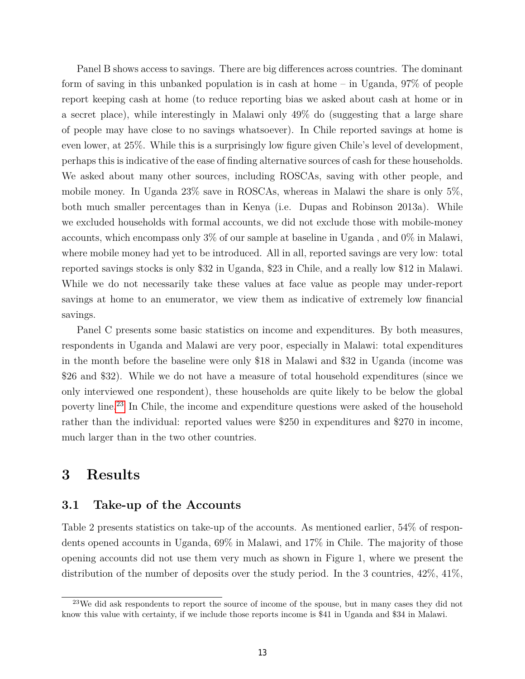Panel B shows access to savings. There are big differences across countries. The dominant form of saving in this unbanked population is in cash at home – in Uganda, 97% of people report keeping cash at home (to reduce reporting bias we asked about cash at home or in a secret place), while interestingly in Malawi only 49% do (suggesting that a large share of people may have close to no savings whatsoever). In Chile reported savings at home is even lower, at 25%. While this is a surprisingly low figure given Chile's level of development, perhaps this is indicative of the ease of finding alternative sources of cash for these households. We asked about many other sources, including ROSCAs, saving with other people, and mobile money. In Uganda 23% save in ROSCAs, whereas in Malawi the share is only 5%, both much smaller percentages than in Kenya (i.e. Dupas and Robinson 2013a). While we excluded households with formal accounts, we did not exclude those with mobile-money accounts, which encompass only 3% of our sample at baseline in Uganda , and 0% in Malawi, where mobile money had yet to be introduced. All in all, reported savings are very low: total reported savings stocks is only \$32 in Uganda, \$23 in Chile, and a really low \$12 in Malawi. While we do not necessarily take these values at face value as people may under-report savings at home to an enumerator, we view them as indicative of extremely low financial savings.

Panel C presents some basic statistics on income and expenditures. By both measures, respondents in Uganda and Malawi are very poor, especially in Malawi: total expenditures in the month before the baseline were only \$18 in Malawi and \$32 in Uganda (income was \$26 and \$32). While we do not have a measure of total household expenditures (since we only interviewed one respondent), these households are quite likely to be below the global poverty line.23 In Chile, the income and expenditure questions were asked of the household rather than the individual: reported values were \$250 in expenditures and \$270 in income, much larger than in the two other countries.

## **3 Results**

### **3.1 Take-up of the Accounts**

Table 2 presents statistics on take-up of the accounts. As mentioned earlier, 54% of respondents opened accounts in Uganda, 69% in Malawi, and 17% in Chile. The majority of those opening accounts did not use them very much as shown in Figure 1, where we present the distribution of the number of deposits over the study period. In the 3 countries, 42%, 41%,

 $23$ We did ask respondents to report the source of income of the spouse, but in many cases they did not know this value with certainty, if we include those reports income is \$41 in Uganda and \$34 in Malawi.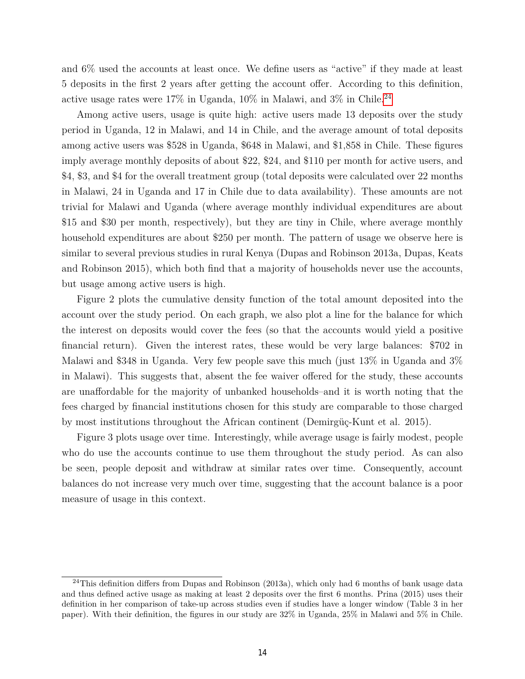and 6% used the accounts at least once. We define users as "active" if they made at least 5 deposits in the first 2 years after getting the account offer. According to this definition, active usage rates were  $17\%$  in Uganda,  $10\%$  in Malawi, and  $3\%$  in Chile.  $^{24}$ 

Among active users, usage is quite high: active users made 13 deposits over the study period in Uganda, 12 in Malawi, and 14 in Chile, and the average amount of total deposits among active users was \$528 in Uganda, \$648 in Malawi, and \$1,858 in Chile. These figures imply average monthly deposits of about \$22, \$24, and \$110 per month for active users, and \$4, \$3, and \$4 for the overall treatment group (total deposits were calculated over 22 months in Malawi, 24 in Uganda and 17 in Chile due to data availability). These amounts are not trivial for Malawi and Uganda (where average monthly individual expenditures are about \$15 and \$30 per month, respectively), but they are tiny in Chile, where average monthly household expenditures are about \$250 per month. The pattern of usage we observe here is similar to several previous studies in rural Kenya (Dupas and Robinson 2013a, Dupas, Keats and Robinson 2015), which both find that a majority of households never use the accounts, but usage among active users is high.

Figure 2 plots the cumulative density function of the total amount deposited into the account over the study period. On each graph, we also plot a line for the balance for which the interest on deposits would cover the fees (so that the accounts would yield a positive financial return). Given the interest rates, these would be very large balances: \$702 in Malawi and \$348 in Uganda. Very few people save this much (just 13% in Uganda and 3% in Malawi). This suggests that, absent the fee waiver offered for the study, these accounts are unaffordable for the majority of unbanked households–and it is worth noting that the fees charged by financial institutions chosen for this study are comparable to those charged by most institutions throughout the African continent (Demirgüç-Kunt et al. 2015).

Figure 3 plots usage over time. Interestingly, while average usage is fairly modest, people who do use the accounts continue to use them throughout the study period. As can also be seen, people deposit and withdraw at similar rates over time. Consequently, account balances do not increase very much over time, suggesting that the account balance is a poor measure of usage in this context.

 $^{24}$ This definition differs from Dupas and Robinson (2013a), which only had 6 months of bank usage data and thus defined active usage as making at least 2 deposits over the first 6 months. Prina (2015) uses their definition in her comparison of take-up across studies even if studies have a longer window (Table 3 in her paper). With their definition, the figures in our study are 32% in Uganda, 25% in Malawi and 5% in Chile.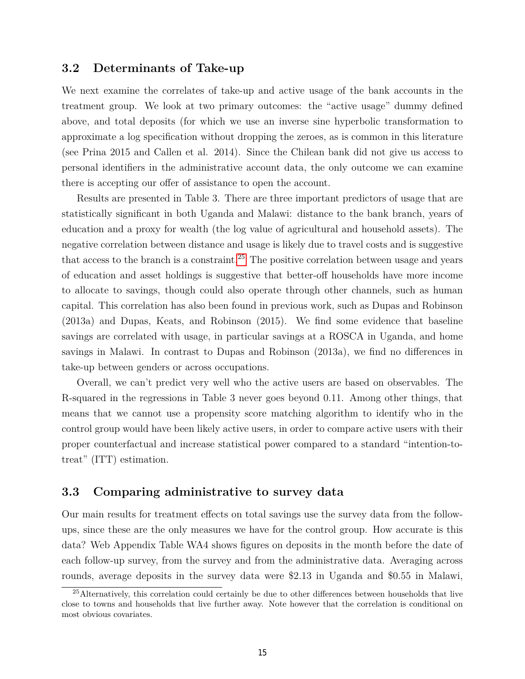### **3.2 Determinants of Take-up**

We next examine the correlates of take-up and active usage of the bank accounts in the treatment group. We look at two primary outcomes: the "active usage" dummy defined above, and total deposits (for which we use an inverse sine hyperbolic transformation to approximate a log specification without dropping the zeroes, as is common in this literature (see Prina 2015 and Callen et al. 2014). Since the Chilean bank did not give us access to personal identifiers in the administrative account data, the only outcome we can examine there is accepting our offer of assistance to open the account.

Results are presented in Table 3. There are three important predictors of usage that are statistically significant in both Uganda and Malawi: distance to the bank branch, years of education and a proxy for wealth (the log value of agricultural and household assets). The negative correlation between distance and usage is likely due to travel costs and is suggestive that access to the branch is a constraint.<sup>25</sup> The positive correlation between usage and years of education and asset holdings is suggestive that better-off households have more income to allocate to savings, though could also operate through other channels, such as human capital. This correlation has also been found in previous work, such as Dupas and Robinson (2013a) and Dupas, Keats, and Robinson (2015). We find some evidence that baseline savings are correlated with usage, in particular savings at a ROSCA in Uganda, and home savings in Malawi. In contrast to Dupas and Robinson (2013a), we find no differences in take-up between genders or across occupations.

Overall, we can't predict very well who the active users are based on observables. The R-squared in the regressions in Table 3 never goes beyond 0.11. Among other things, that means that we cannot use a propensity score matching algorithm to identify who in the control group would have been likely active users, in order to compare active users with their proper counterfactual and increase statistical power compared to a standard "intention-totreat" (ITT) estimation.

## **3.3 Comparing administrative to survey data**

Our main results for treatment effects on total savings use the survey data from the followups, since these are the only measures we have for the control group. How accurate is this data? Web Appendix Table WA4 shows figures on deposits in the month before the date of each follow-up survey, from the survey and from the administrative data. Averaging across rounds, average deposits in the survey data were \$2.13 in Uganda and \$0.55 in Malawi,

<sup>25</sup>Alternatively, this correlation could certainly be due to other differences between households that live close to towns and households that live further away. Note however that the correlation is conditional on most obvious covariates.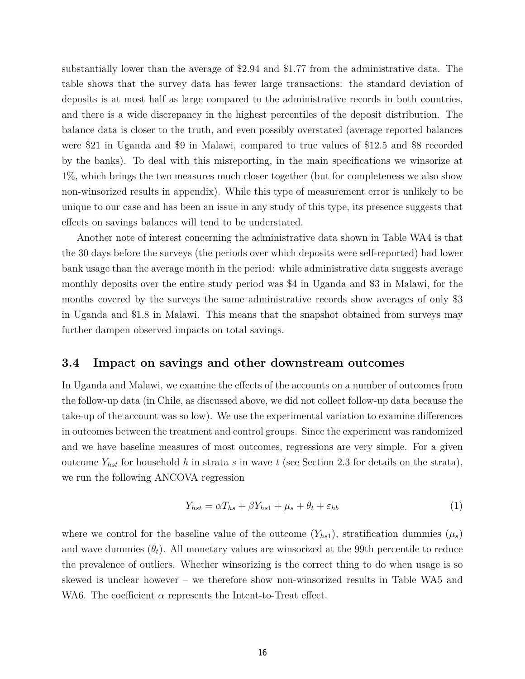substantially lower than the average of \$2.94 and \$1.77 from the administrative data. The table shows that the survey data has fewer large transactions: the standard deviation of deposits is at most half as large compared to the administrative records in both countries, and there is a wide discrepancy in the highest percentiles of the deposit distribution. The balance data is closer to the truth, and even possibly overstated (average reported balances were \$21 in Uganda and \$9 in Malawi, compared to true values of \$12.5 and \$8 recorded by the banks). To deal with this misreporting, in the main specifications we winsorize at 1%, which brings the two measures much closer together (but for completeness we also show non-winsorized results in appendix). While this type of measurement error is unlikely to be unique to our case and has been an issue in any study of this type, its presence suggests that effects on savings balances will tend to be understated.

Another note of interest concerning the administrative data shown in Table WA4 is that the 30 days before the surveys (the periods over which deposits were self-reported) had lower bank usage than the average month in the period: while administrative data suggests average monthly deposits over the entire study period was \$4 in Uganda and \$3 in Malawi, for the months covered by the surveys the same administrative records show averages of only \$3 in Uganda and \$1.8 in Malawi. This means that the snapshot obtained from surveys may further dampen observed impacts on total savings.

### **3.4 Impact on savings and other downstream outcomes**

In Uganda and Malawi, we examine the effects of the accounts on a number of outcomes from the follow-up data (in Chile, as discussed above, we did not collect follow-up data because the take-up of the account was so low). We use the experimental variation to examine differences in outcomes between the treatment and control groups. Since the experiment was randomized and we have baseline measures of most outcomes, regressions are very simple. For a given outcome  $Y_{hst}$  for household *h* in strata *s* in wave *t* (see Section 2.3 for details on the strata), we run the following ANCOVA regression

$$
Y_{hst} = \alpha T_{hs} + \beta Y_{hs1} + \mu_s + \theta_t + \varepsilon_{hb} \tag{1}
$$

where we control for the baseline value of the outcome  $(Y_{hs1})$ , stratification dummies  $(\mu_s)$ and wave dummies  $(\theta_t)$ . All monetary values are winsorized at the 99th percentile to reduce the prevalence of outliers. Whether winsorizing is the correct thing to do when usage is so skewed is unclear however – we therefore show non-winsorized results in Table WA5 and WA6. The coefficient  $\alpha$  represents the Intent-to-Treat effect.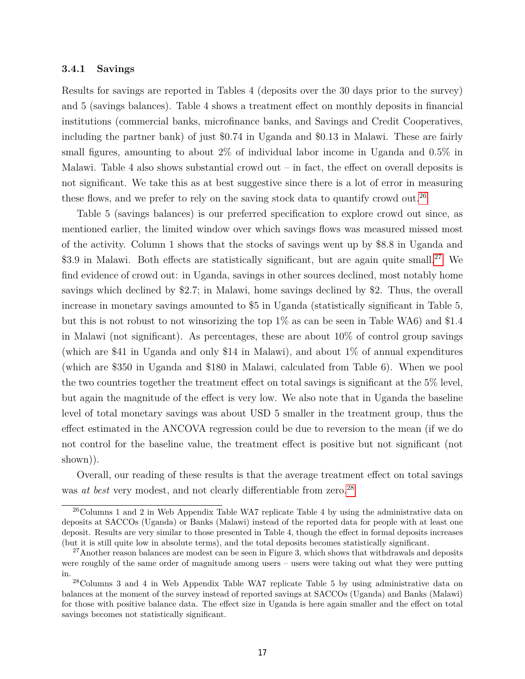### **3.4.1 Savings**

Results for savings are reported in Tables 4 (deposits over the 30 days prior to the survey) and 5 (savings balances). Table 4 shows a treatment effect on monthly deposits in financial institutions (commercial banks, microfinance banks, and Savings and Credit Cooperatives, including the partner bank) of just \$0.74 in Uganda and \$0.13 in Malawi. These are fairly small figures, amounting to about 2% of individual labor income in Uganda and 0.5% in Malawi. Table 4 also shows substantial crowd out  $-$  in fact, the effect on overall deposits is not significant. We take this as at best suggestive since there is a lot of error in measuring these flows, and we prefer to rely on the saving stock data to quantify crowd out.<sup>26</sup>

Table 5 (savings balances) is our preferred specification to explore crowd out since, as mentioned earlier, the limited window over which savings flows was measured missed most of the activity. Column 1 shows that the stocks of savings went up by \$8.8 in Uganda and \$3.9 in Malawi. Both effects are statistically significant, but are again quite small.<sup>27</sup> We find evidence of crowd out: in Uganda, savings in other sources declined, most notably home savings which declined by \$2.7; in Malawi, home savings declined by \$2. Thus, the overall increase in monetary savings amounted to \$5 in Uganda (statistically significant in Table 5, but this is not robust to not winsorizing the top 1% as can be seen in Table WA6) and \$1.4 in Malawi (not significant). As percentages, these are about 10% of control group savings (which are \$41 in Uganda and only \$14 in Malawi), and about 1% of annual expenditures (which are \$350 in Uganda and \$180 in Malawi, calculated from Table 6). When we pool the two countries together the treatment effect on total savings is significant at the 5% level, but again the magnitude of the effect is very low. We also note that in Uganda the baseline level of total monetary savings was about USD 5 smaller in the treatment group, thus the effect estimated in the ANCOVA regression could be due to reversion to the mean (if we do not control for the baseline value, the treatment effect is positive but not significant (not shown)).

Overall, our reading of these results is that the average treatment effect on total savings was *at best* very modest, and not clearly differentiable from zero.<sup>28</sup>

<sup>&</sup>lt;sup>26</sup>Columns 1 and 2 in Web Appendix Table WA7 replicate Table 4 by using the administrative data on deposits at SACCOs (Uganda) or Banks (Malawi) instead of the reported data for people with at least one deposit. Results are very similar to those presented in Table 4, though the effect in formal deposits increases (but it is still quite low in absolute terms), and the total deposits becomes statistically significant.

 $27$ Another reason balances are modest can be seen in Figure 3, which shows that withdrawals and deposits were roughly of the same order of magnitude among users – users were taking out what they were putting in.

<sup>28</sup>Columns 3 and 4 in Web Appendix Table WA7 replicate Table 5 by using administrative data on balances at the moment of the survey instead of reported savings at SACCOs (Uganda) and Banks (Malawi) for those with positive balance data. The effect size in Uganda is here again smaller and the effect on total savings becomes not statistically significant.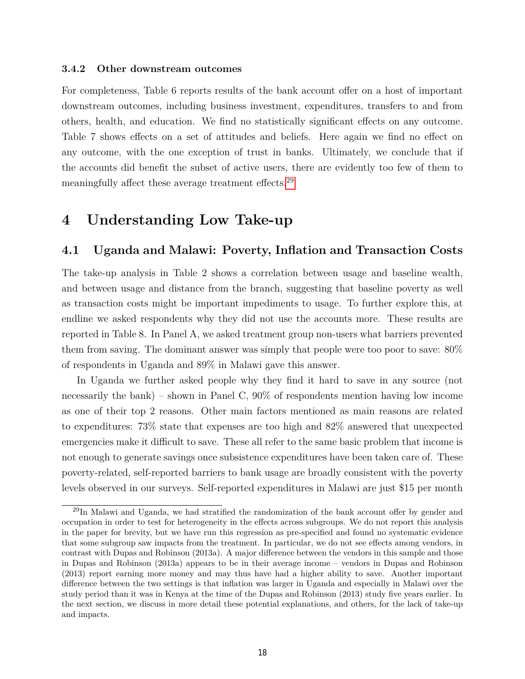### **3.4.2 Other downstream outcomes**

For completeness, Table 6 reports results of the bank account offer on a host of important downstream outcomes, including business investment, expenditures, transfers to and from others, health, and education. We find no statistically significant effects on any outcome. Table 7 shows effects on a set of attitudes and beliefs. Here again we find no effect on any outcome, with the one exception of trust in banks. Ultimately, we conclude that if the accounts did benefit the subset of active users, there are evidently too few of them to meaningfully affect these average treatment effects.29

## **4 Understanding Low Take-up**

### **4.1 Uganda and Malawi: Poverty, Inflation and Transaction Costs**

The take-up analysis in Table 2 shows a correlation between usage and baseline wealth, and between usage and distance from the branch, suggesting that baseline poverty as well as transaction costs might be important impediments to usage. To further explore this, at endline we asked respondents why they did not use the accounts more. These results are reported in Table 8. In Panel A, we asked treatment group non-users what barriers prevented them from saving. The dominant answer was simply that people were too poor to save: 80% of respondents in Uganda and 89% in Malawi gave this answer.

In Uganda we further asked people why they find it hard to save in any source (not necessarily the bank) – shown in Panel C, 90% of respondents mention having low income as one of their top 2 reasons. Other main factors mentioned as main reasons are related to expenditures: 73% state that expenses are too high and 82% answered that unexpected emergencies make it difficult to save. These all refer to the same basic problem that income is not enough to generate savings once subsistence expenditures have been taken care of. These poverty-related, self-reported barriers to bank usage are broadly consistent with the poverty levels observed in our surveys. Self-reported expenditures in Malawi are just \$15 per month

<sup>29</sup>In Malawi and Uganda, we had stratified the randomization of the bank account offer by gender and occupation in order to test for heterogeneity in the effects across subgroups. We do not report this analysis in the paper for brevity, but we have run this regression as pre-specified and found no systematic evidence that some subgroup saw impacts from the treatment. In particular, we do not see effects among vendors, in contrast with Dupas and Robinson (2013a). A major difference between the vendors in this sample and those in Dupas and Robinson (2013a) appears to be in their average income – vendors in Dupas and Robinson (2013) report earning more money and may thus have had a higher ability to save. Another important difference between the two settings is that inflation was larger in Uganda and especially in Malawi over the study period than it was in Kenya at the time of the Dupas and Robinson (2013) study five years earlier. In the next section, we discuss in more detail these potential explanations, and others, for the lack of take-up and impacts.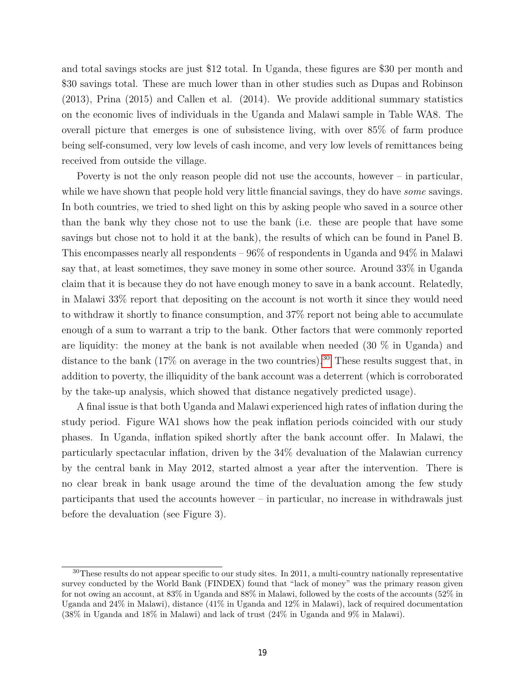and total savings stocks are just \$12 total. In Uganda, these figures are \$30 per month and \$30 savings total. These are much lower than in other studies such as Dupas and Robinson (2013), Prina (2015) and Callen et al. (2014). We provide additional summary statistics on the economic lives of individuals in the Uganda and Malawi sample in Table WA8. The overall picture that emerges is one of subsistence living, with over 85% of farm produce being self-consumed, very low levels of cash income, and very low levels of remittances being received from outside the village.

Poverty is not the only reason people did not use the accounts, however – in particular, while we have shown that people hold very little financial savings, they do have *some* savings. In both countries, we tried to shed light on this by asking people who saved in a source other than the bank why they chose not to use the bank (i.e. these are people that have some savings but chose not to hold it at the bank), the results of which can be found in Panel B. This encompasses nearly all respondents – 96% of respondents in Uganda and 94% in Malawi say that, at least sometimes, they save money in some other source. Around 33% in Uganda claim that it is because they do not have enough money to save in a bank account. Relatedly, in Malawi 33% report that depositing on the account is not worth it since they would need to withdraw it shortly to finance consumption, and 37% report not being able to accumulate enough of a sum to warrant a trip to the bank. Other factors that were commonly reported are liquidity: the money at the bank is not available when needed (30 % in Uganda) and distance to the bank  $(17\%$  on average in the two countries).<sup>30</sup> These results suggest that, in addition to poverty, the illiquidity of the bank account was a deterrent (which is corroborated by the take-up analysis, which showed that distance negatively predicted usage).

A final issue is that both Uganda and Malawi experienced high rates of inflation during the study period. Figure WA1 shows how the peak inflation periods coincided with our study phases. In Uganda, inflation spiked shortly after the bank account offer. In Malawi, the particularly spectacular inflation, driven by the 34% devaluation of the Malawian currency by the central bank in May 2012, started almost a year after the intervention. There is no clear break in bank usage around the time of the devaluation among the few study participants that used the accounts however – in particular, no increase in withdrawals just before the devaluation (see Figure 3).

<sup>&</sup>lt;sup>30</sup>These results do not appear specific to our study sites. In 2011, a multi-country nationally representative survey conducted by the World Bank (FINDEX) found that "lack of money" was the primary reason given for not owing an account, at 83% in Uganda and 88% in Malawi, followed by the costs of the accounts (52% in Uganda and 24% in Malawi), distance (41% in Uganda and 12% in Malawi), lack of required documentation (38% in Uganda and 18% in Malawi) and lack of trust (24% in Uganda and 9% in Malawi).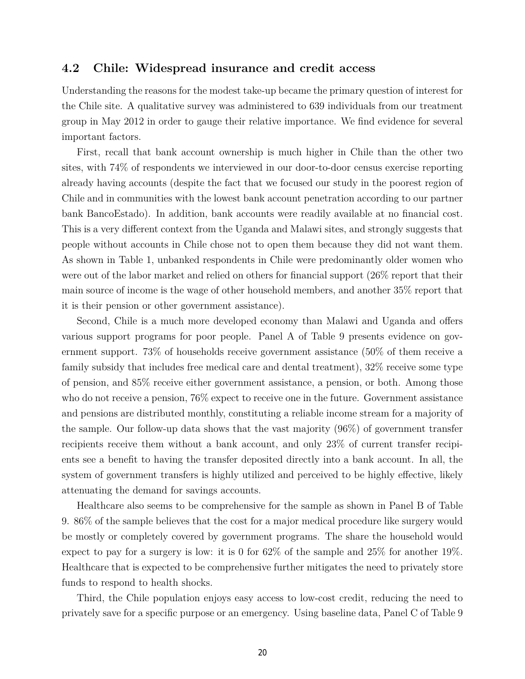### **4.2 Chile: Widespread insurance and credit access**

Understanding the reasons for the modest take-up became the primary question of interest for the Chile site. A qualitative survey was administered to 639 individuals from our treatment group in May 2012 in order to gauge their relative importance. We find evidence for several important factors.

First, recall that bank account ownership is much higher in Chile than the other two sites, with 74% of respondents we interviewed in our door-to-door census exercise reporting already having accounts (despite the fact that we focused our study in the poorest region of Chile and in communities with the lowest bank account penetration according to our partner bank BancoEstado). In addition, bank accounts were readily available at no financial cost. This is a very different context from the Uganda and Malawi sites, and strongly suggests that people without accounts in Chile chose not to open them because they did not want them. As shown in Table 1, unbanked respondents in Chile were predominantly older women who were out of the labor market and relied on others for financial support (26% report that their main source of income is the wage of other household members, and another 35% report that it is their pension or other government assistance).

Second, Chile is a much more developed economy than Malawi and Uganda and offers various support programs for poor people. Panel A of Table 9 presents evidence on government support. 73% of households receive government assistance (50% of them receive a family subsidy that includes free medical care and dental treatment), 32% receive some type of pension, and 85% receive either government assistance, a pension, or both. Among those who do not receive a pension, 76% expect to receive one in the future. Government assistance and pensions are distributed monthly, constituting a reliable income stream for a majority of the sample. Our follow-up data shows that the vast majority (96%) of government transfer recipients receive them without a bank account, and only 23% of current transfer recipients see a benefit to having the transfer deposited directly into a bank account. In all, the system of government transfers is highly utilized and perceived to be highly effective, likely attenuating the demand for savings accounts.

Healthcare also seems to be comprehensive for the sample as shown in Panel B of Table 9. 86% of the sample believes that the cost for a major medical procedure like surgery would be mostly or completely covered by government programs. The share the household would expect to pay for a surgery is low: it is 0 for 62% of the sample and 25% for another 19%. Healthcare that is expected to be comprehensive further mitigates the need to privately store funds to respond to health shocks.

Third, the Chile population enjoys easy access to low-cost credit, reducing the need to privately save for a specific purpose or an emergency. Using baseline data, Panel C of Table 9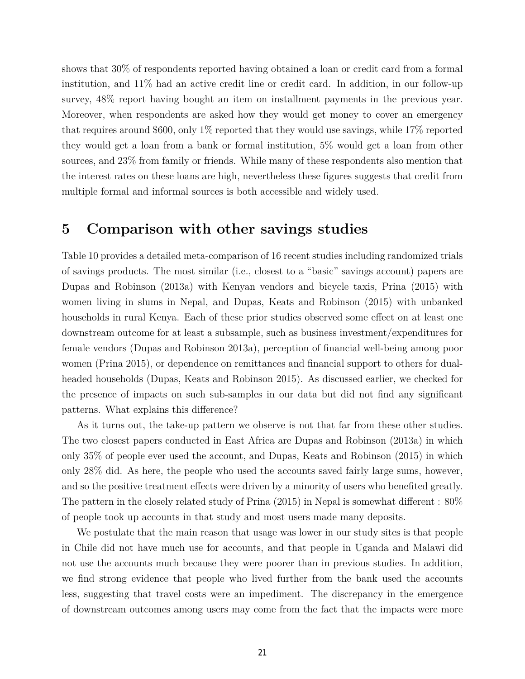shows that 30% of respondents reported having obtained a loan or credit card from a formal institution, and 11% had an active credit line or credit card. In addition, in our follow-up survey, 48% report having bought an item on installment payments in the previous year. Moreover, when respondents are asked how they would get money to cover an emergency that requires around \$600, only 1% reported that they would use savings, while 17% reported they would get a loan from a bank or formal institution, 5% would get a loan from other sources, and 23% from family or friends. While many of these respondents also mention that the interest rates on these loans are high, nevertheless these figures suggests that credit from multiple formal and informal sources is both accessible and widely used.

## **5 Comparison with other savings studies**

Table 10 provides a detailed meta-comparison of 16 recent studies including randomized trials of savings products. The most similar (i.e., closest to a "basic" savings account) papers are Dupas and Robinson (2013a) with Kenyan vendors and bicycle taxis, Prina (2015) with women living in slums in Nepal, and Dupas, Keats and Robinson (2015) with unbanked households in rural Kenya. Each of these prior studies observed some effect on at least one downstream outcome for at least a subsample, such as business investment/expenditures for female vendors (Dupas and Robinson 2013a), perception of financial well-being among poor women (Prina 2015), or dependence on remittances and financial support to others for dualheaded households (Dupas, Keats and Robinson 2015). As discussed earlier, we checked for the presence of impacts on such sub-samples in our data but did not find any significant patterns. What explains this difference?

As it turns out, the take-up pattern we observe is not that far from these other studies. The two closest papers conducted in East Africa are Dupas and Robinson (2013a) in which only 35% of people ever used the account, and Dupas, Keats and Robinson (2015) in which only 28% did. As here, the people who used the accounts saved fairly large sums, however, and so the positive treatment effects were driven by a minority of users who benefited greatly. The pattern in the closely related study of Prina (2015) in Nepal is somewhat different : 80% of people took up accounts in that study and most users made many deposits.

We postulate that the main reason that usage was lower in our study sites is that people in Chile did not have much use for accounts, and that people in Uganda and Malawi did not use the accounts much because they were poorer than in previous studies. In addition, we find strong evidence that people who lived further from the bank used the accounts less, suggesting that travel costs were an impediment. The discrepancy in the emergence of downstream outcomes among users may come from the fact that the impacts were more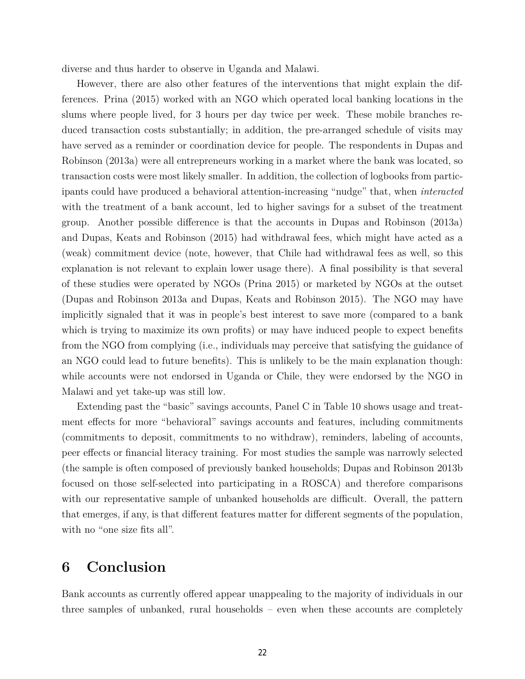diverse and thus harder to observe in Uganda and Malawi.

However, there are also other features of the interventions that might explain the differences. Prina (2015) worked with an NGO which operated local banking locations in the slums where people lived, for 3 hours per day twice per week. These mobile branches reduced transaction costs substantially; in addition, the pre-arranged schedule of visits may have served as a reminder or coordination device for people. The respondents in Dupas and Robinson (2013a) were all entrepreneurs working in a market where the bank was located, so transaction costs were most likely smaller. In addition, the collection of logbooks from participants could have produced a behavioral attention-increasing "nudge" that, when *interacted* with the treatment of a bank account, led to higher savings for a subset of the treatment group. Another possible difference is that the accounts in Dupas and Robinson (2013a) and Dupas, Keats and Robinson (2015) had withdrawal fees, which might have acted as a (weak) commitment device (note, however, that Chile had withdrawal fees as well, so this explanation is not relevant to explain lower usage there). A final possibility is that several of these studies were operated by NGOs (Prina 2015) or marketed by NGOs at the outset (Dupas and Robinson 2013a and Dupas, Keats and Robinson 2015). The NGO may have implicitly signaled that it was in people's best interest to save more (compared to a bank which is trying to maximize its own profits) or may have induced people to expect benefits from the NGO from complying (i.e., individuals may perceive that satisfying the guidance of an NGO could lead to future benefits). This is unlikely to be the main explanation though: while accounts were not endorsed in Uganda or Chile, they were endorsed by the NGO in Malawi and yet take-up was still low.

Extending past the "basic" savings accounts, Panel C in Table 10 shows usage and treatment effects for more "behavioral" savings accounts and features, including commitments (commitments to deposit, commitments to no withdraw), reminders, labeling of accounts, peer effects or financial literacy training. For most studies the sample was narrowly selected (the sample is often composed of previously banked households; Dupas and Robinson 2013b focused on those self-selected into participating in a ROSCA) and therefore comparisons with our representative sample of unbanked households are difficult. Overall, the pattern that emerges, if any, is that different features matter for different segments of the population, with no "one size fits all".

## **6 Conclusion**

Bank accounts as currently offered appear unappealing to the majority of individuals in our three samples of unbanked, rural households – even when these accounts are completely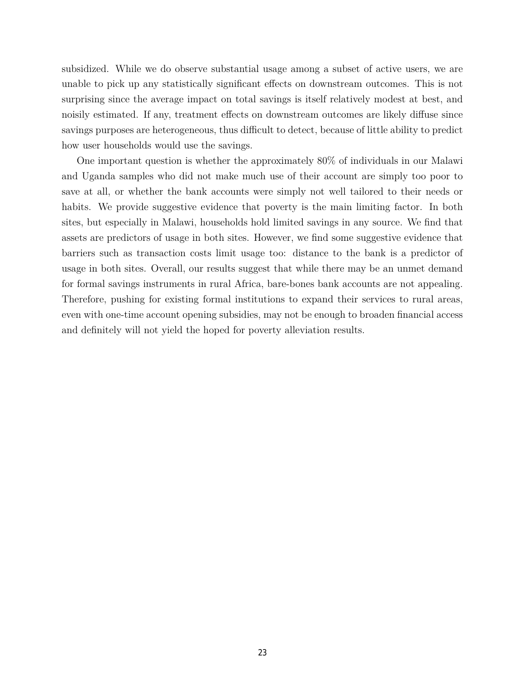subsidized. While we do observe substantial usage among a subset of active users, we are unable to pick up any statistically significant effects on downstream outcomes. This is not surprising since the average impact on total savings is itself relatively modest at best, and noisily estimated. If any, treatment effects on downstream outcomes are likely diffuse since savings purposes are heterogeneous, thus difficult to detect, because of little ability to predict how user households would use the savings.

One important question is whether the approximately 80% of individuals in our Malawi and Uganda samples who did not make much use of their account are simply too poor to save at all, or whether the bank accounts were simply not well tailored to their needs or habits. We provide suggestive evidence that poverty is the main limiting factor. In both sites, but especially in Malawi, households hold limited savings in any source. We find that assets are predictors of usage in both sites. However, we find some suggestive evidence that barriers such as transaction costs limit usage too: distance to the bank is a predictor of usage in both sites. Overall, our results suggest that while there may be an unmet demand for formal savings instruments in rural Africa, bare-bones bank accounts are not appealing. Therefore, pushing for existing formal institutions to expand their services to rural areas, even with one-time account opening subsidies, may not be enough to broaden financial access and definitely will not yield the hoped for poverty alleviation results.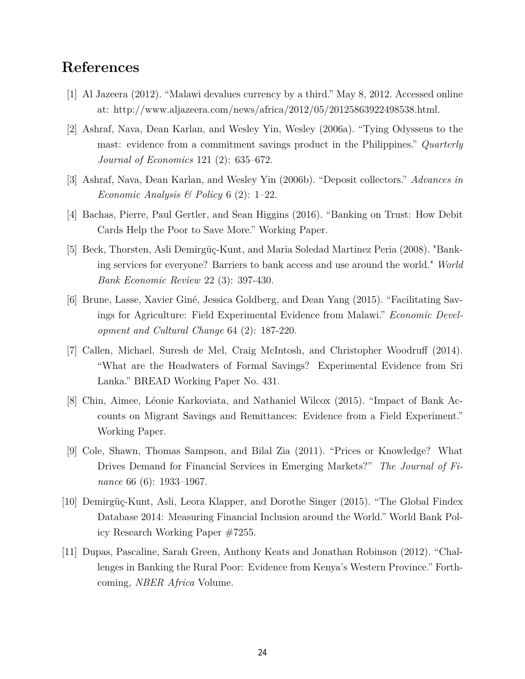## **References**

- [1] Al Jazeera (2012). "Malawi devalues currency by a third." May 8, 2012. Accessed online at: http://www.aljazeera.com/news/africa/2012/05/20125863922498538.html.
- [2] Ashraf, Nava, Dean Karlan, and Wesley Yin, Wesley (2006a). "Tying Odysseus to the mast: evidence from a commitment savings product in the Philippines." *Quarterly Journal of Economics* 121 (2): 635–672.
- [3] Ashraf, Nava, Dean Karlan, and Wesley Yin (2006b). "Deposit collectors." *Advances in Economic Analysis & Policy* 6 (2): 1–22.
- [4] Bachas, Pierre, Paul Gertler, and Sean Higgins (2016). "Banking on Trust: How Debit Cards Help the Poor to Save More." Working Paper.
- [5] Beck, Thorsten, Asli Demirgüç-Kunt, and Maria Soledad Martinez Peria (2008). "Banking services for everyone? Barriers to bank access and use around the world." *World Bank Economic Review* 22 (3): 397-430.
- [6] Brune, Lasse, Xavier Giné, Jessica Goldberg, and Dean Yang (2015). "Facilitating Savings for Agriculture: Field Experimental Evidence from Malawi." *Economic Development and Cultural Change* 64 (2): 187-220.
- [7] Callen, Michael, Suresh de Mel, Craig McIntosh, and Christopher Woodruff (2014). "What are the Headwaters of Formal Savings? Experimental Evidence from Sri Lanka." BREAD Working Paper No. 431.
- [8] Chin, Aimee, Léonie Karkoviata, and Nathaniel Wilcox (2015). "Impact of Bank Accounts on Migrant Savings and Remittances: Evidence from a Field Experiment." Working Paper.
- [9] Cole, Shawn, Thomas Sampson, and Bilal Zia (2011). "Prices or Knowledge? What Drives Demand for Financial Services in Emerging Markets?" *The Journal of Finance* 66 (6): 1933–1967.
- [10] Demirgüç-Kunt, Asli, Leora Klapper, and Dorothe Singer (2015). "The Global Findex Database 2014: Measuring Financial Inclusion around the World." World Bank Policy Research Working Paper #7255.
- [11] Dupas, Pascaline, Sarah Green, Anthony Keats and Jonathan Robinson (2012). "Challenges in Banking the Rural Poor: Evidence from Kenya's Western Province." Forthcoming, *NBER Africa* Volume.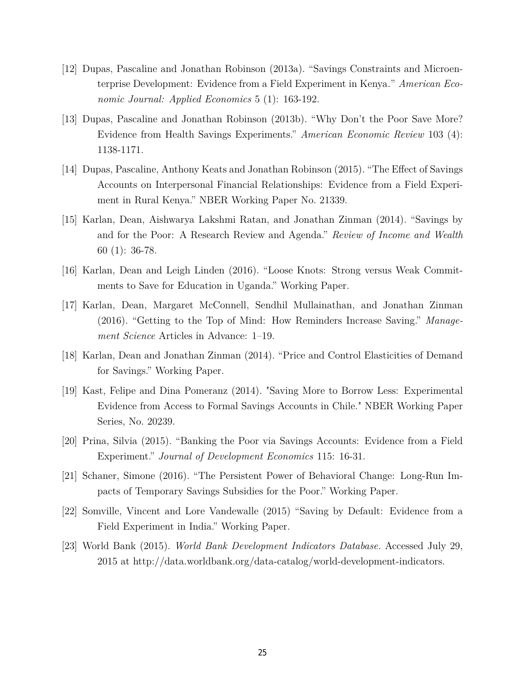- [12] Dupas, Pascaline and Jonathan Robinson (2013a). "Savings Constraints and Microenterprise Development: Evidence from a Field Experiment in Kenya*.*" *American Economic Journal: Applied Economics* 5 (1): 163-192.
- [13] Dupas, Pascaline and Jonathan Robinson (2013b). "Why Don't the Poor Save More? Evidence from Health Savings Experiments." *American Economic Review* 103 (4): 1138-1171.
- [14] Dupas, Pascaline, Anthony Keats and Jonathan Robinson (2015). "The Effect of Savings Accounts on Interpersonal Financial Relationships: Evidence from a Field Experiment in Rural Kenya." NBER Working Paper No. 21339.
- [15] Karlan, Dean, Aishwarya Lakshmi Ratan, and Jonathan Zinman (2014). "Savings by and for the Poor: A Research Review and Agenda." *Review of Income and Wealth* 60 (1): 36-78.
- [16] Karlan, Dean and Leigh Linden (2016). "Loose Knots: Strong versus Weak Commitments to Save for Education in Uganda." Working Paper.
- [17] Karlan, Dean, Margaret McConnell, Sendhil Mullainathan, and Jonathan Zinman (2016). "Getting to the Top of Mind: How Reminders Increase Saving." *Management Science* Articles in Advance: 1–19.
- [18] Karlan, Dean and Jonathan Zinman (2014). "Price and Control Elasticities of Demand for Savings." Working Paper.
- [19] Kast, Felipe and Dina Pomeranz (2014). "Saving More to Borrow Less: Experimental Evidence from Access to Formal Savings Accounts in Chile." NBER Working Paper Series, No. 20239.
- [20] Prina, Silvia (2015). "Banking the Poor via Savings Accounts: Evidence from a Field Experiment." *Journal of Development Economics* 115: 16-31.
- [21] Schaner, Simone (2016). "The Persistent Power of Behavioral Change: Long-Run Impacts of Temporary Savings Subsidies for the Poor." Working Paper.
- [22] Somville, Vincent and Lore Vandewalle (2015) "Saving by Default: Evidence from a Field Experiment in India." Working Paper.
- [23] World Bank (2015). *World Bank Development Indicators Database*. Accessed July 29, 2015 at http://data.worldbank.org/data-catalog/world-development-indicators.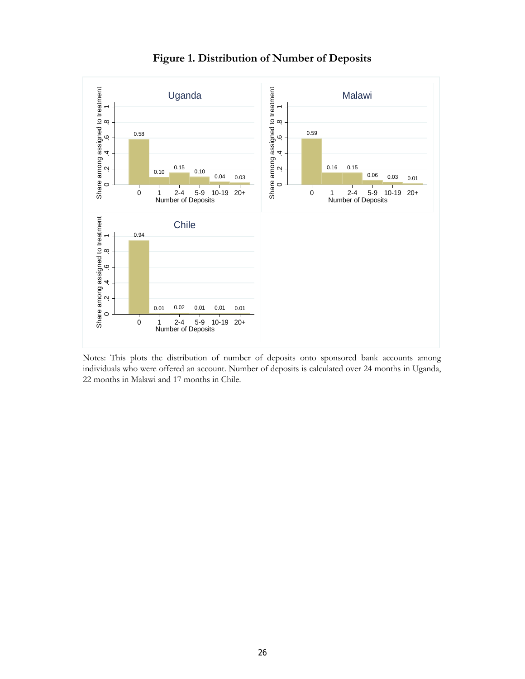

**Figure 1. Distribution of Number of Deposits**

Notes: This plots the distribution of number of deposits onto sponsored bank accounts among individuals who were offered an account. Number of deposits is calculated over 24 months in Uganda, 22 months in Malawi and 17 months in Chile.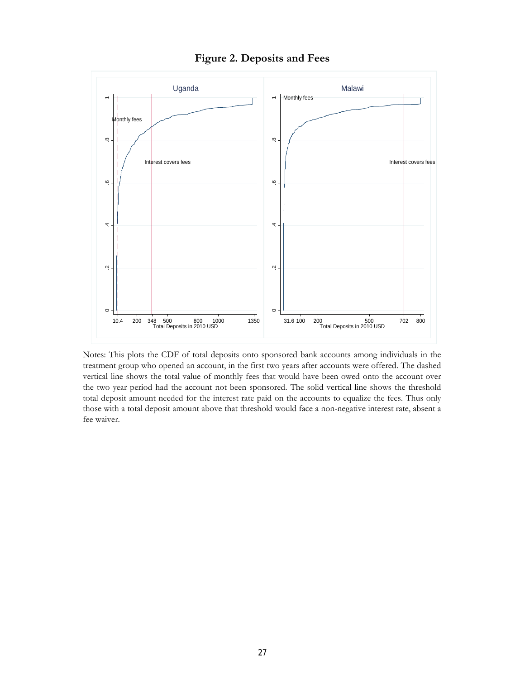



Notes: This plots the CDF of total deposits onto sponsored bank accounts among individuals in the treatment group who opened an account, in the first two years after accounts were offered. The dashed vertical line shows the total value of monthly fees that would have been owed onto the account over the two year period had the account not been sponsored. The solid vertical line shows the threshold total deposit amount needed for the interest rate paid on the accounts to equalize the fees. Thus only those with a total deposit amount above that threshold would face a non-negative interest rate, absent a fee waiver.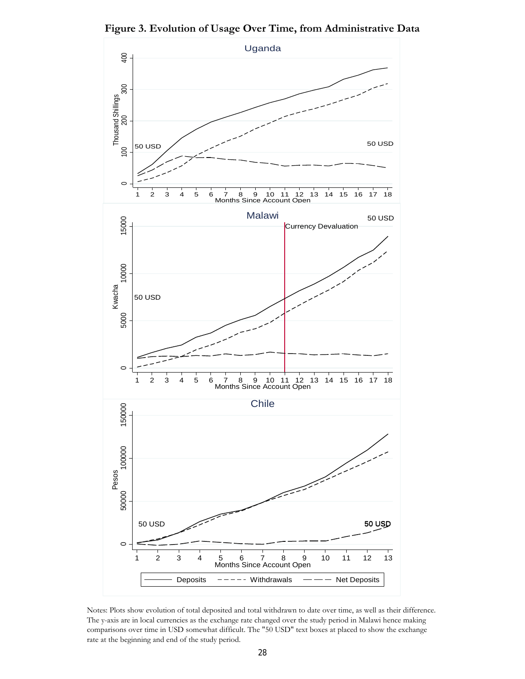**Figure 3. Evolution of Usage Over Time, from Administrative Data**



Notes: Plots show evolution of total deposited and total withdrawn to date over time, as well as their difference. The y-axis are in local currencies as the exchange rate changed over the study period in Malawi hence making comparisons over time in USD somewhat difficult. The "50 USD" text boxes at placed to show the exchange rate at the beginning and end of the study period.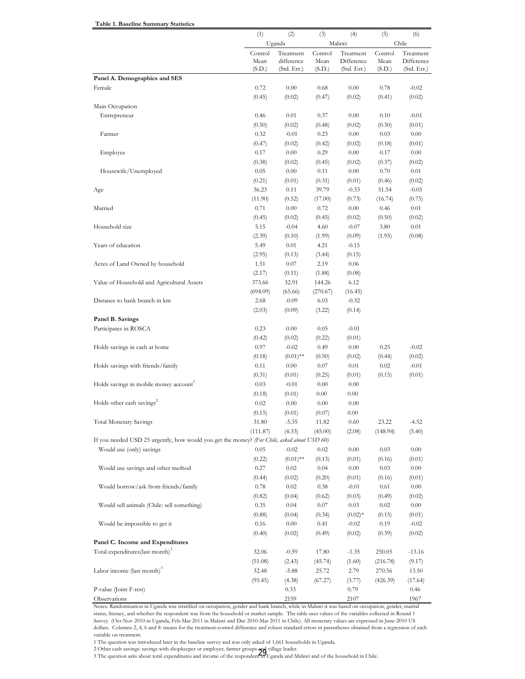|                                                                                             | (1)            | (2)                       | (3)            | (4)                       | (5)            | (6)                       |
|---------------------------------------------------------------------------------------------|----------------|---------------------------|----------------|---------------------------|----------------|---------------------------|
|                                                                                             |                | Uganda                    |                | Malawi                    |                | Chile                     |
|                                                                                             | Control        | Treatment                 | Control        | Treatment                 | Control        | Treatment                 |
|                                                                                             | Mean<br>(S.D.) | difference<br>(Std. Err.) | Mean<br>(S.D.) | Difference<br>(Std. Err.) | Mean<br>(S.D.) | Difference<br>(Std. Err.) |
| Panel A. Demographics and SES                                                               |                |                           |                |                           |                |                           |
| Female                                                                                      | 0.72           | 0.00                      | 0.68           | 0.00                      | 0.78           | $-0.02$                   |
|                                                                                             | (0.45)         | (0.02)                    | (0.47)         | (0.02)                    | (0.41)         | (0.02)                    |
| Main Occupation                                                                             |                |                           |                |                           |                |                           |
| Entrepreneur                                                                                | 0.46           | 0.01                      | 0.37           | 0.00                      | 0.10           | $-0.01$                   |
|                                                                                             | (0.50)         | (0.02)                    | (0.48)         | (0.02)                    | (0.30)         | (0.01)                    |
| Farmer                                                                                      | 0.32           | $-0.01$                   | 0.23           | 0.00                      | 0.03           | 0.00                      |
|                                                                                             | (0.47)         | (0.02)                    | (0.42)         | (0.02)                    | (0.18)         | (0.01)                    |
| Employee                                                                                    | 0.17           | 0.00                      | 0.29           | 0.00                      | 0.17           | 0.00                      |
|                                                                                             | (0.38)         | (0.02)                    | (0.45)         | (0.02)                    | (0.37)         | (0.02)                    |
| Housewife/Unemployed                                                                        | 0.05           | 0.00                      | 0.11           | 0.00                      | 0.70           | 0.01                      |
|                                                                                             | (0.21)         | (0.01)                    | (0.31)         | (0.01)                    | (0.46)         | (0.02)                    |
| Age                                                                                         | 36.23          | 0.11                      | 39.79          | $-0.33$                   | 51.54          | $-0.05$                   |
|                                                                                             | (11.90)        | (0.52)                    | (17.00)        | (0.73)                    | (16.74)        | (0.75)                    |
| Married                                                                                     | 0.71           | 0.00                      | 0.72           | 0.00                      | 0.46           | 0.01                      |
|                                                                                             | (0.45)         | (0.02)                    | (0.45)         | (0.02)                    | (0.50)         | (0.02)                    |
| Household size                                                                              | 5.15           | $-0.04$                   | 4.60           | $-0.07$                   | 3.80           | 0.01                      |
|                                                                                             | (2.39)         | (0.10)                    | (1.99)         | (0.09)                    | (1.95)         | (0.08)                    |
| Years of education                                                                          | 5.49           | 0.01                      | 4.21           | $-0.15$                   |                |                           |
|                                                                                             | (2.95)         | (0.13)                    | (3.44)         | (0.15)                    |                |                           |
| Acres of Land Owned by household                                                            | 1.51           | 0.07                      | 2.19           | 0.06                      |                |                           |
|                                                                                             | (2.17)         | (0.11)                    | (1.88)         | (0.08)                    |                |                           |
| Value of Household and Agricultural Assets                                                  | 373.66         | 32.91                     | 144.26         | 6.12                      |                |                           |
|                                                                                             | (694.09)       | (65.66)                   | (270.67)       | (16.45)                   |                |                           |
| Distance to bank branch in km                                                               | 2.68           | $-0.09$                   | 6.03           | $-0.32$                   |                |                           |
|                                                                                             | (2.03)         | (0.09)                    | (3.22)         | (0.14)                    |                |                           |
| Panel B. Savings                                                                            |                |                           |                |                           |                |                           |
| Participates in ROSCA                                                                       | 0.23           | 0.00                      | 0.05           | $-0.01$                   |                |                           |
|                                                                                             | (0.42)         | (0.02)                    | (0.22)         | (0.01)                    |                |                           |
| Holds savings in cash at home                                                               | 0.97           | $-0.02$                   | 0.49           | 0.00                      | 0.25           | $-0.02$                   |
|                                                                                             | (0.18)         | $(0.01)$ **               | (0.50)         | (0.02)                    | (0.44)         | (0.02)                    |
| Holds savings with friends/family                                                           | 0.11           | 0.00                      | 0.07           | 0.01                      | 0.02           | $-0.01$                   |
|                                                                                             | (0.31)         | (0.01)                    | (0.25)         | (0.01)                    | (0.15)         | (0.01)                    |
| Holds savings in mobile money account                                                       | 0.03           | $-0.01$                   | 0.00           | 0.00                      |                |                           |
|                                                                                             | (0.18)         | (0.01)                    | 0.00           | 0.00                      |                |                           |
| Holds other cash savings <sup>2</sup>                                                       | 0.02           | 0.00                      | 0.00           | 0.00                      |                |                           |
|                                                                                             | (0.15)         | (0.01)                    | (0.07)         | 0.00                      |                |                           |
| <b>Total Monetary Savings</b>                                                               | 31.80          | $-5.35$                   | 11.82          | 0.60                      | 23.22          | $-4.52$                   |
|                                                                                             | (111.87)       | (4.33)                    | (45.00)        | (2.08)                    | (148.94)       | (5.40)                    |
| If you needed USD 25 urgently, how would you get the money? (For Chile, asked about USD 60) |                |                           |                |                           |                |                           |
| Would use (only) savings                                                                    | 0.05           | $-0.02$                   | 0.02           | 0.00                      | 0.03           | 0.00                      |
|                                                                                             | (0.22)         | $(0.01)$ **               | (0.13)         | (0.01)                    | (0.16)         | (0.01)                    |
| Would use savings and other method                                                          | 0.27           | 0.02                      | 0.04           | 0.00                      | 0.03           | $0.00\,$                  |
|                                                                                             | (0.44)         | (0.02)                    | (0.20)         | (0.01)                    | (0.16)         | (0.01)                    |
| Would borrow/ask from friends/family                                                        | 0.78           | 0.02                      | 0.38           | $-0.01$                   | 0.61           | 0.00                      |
|                                                                                             | (0.82)         | (0.04)                    | (0.62)         | (0.03)                    | (0.49)         | (0.02)                    |
| Would sell animals (Chile: sell something)                                                  | 0.35           | 0.04                      | 0.07           | 0.03                      | 0.02           | 0.00                      |
|                                                                                             | (0.88)         | (0.04)                    | (0.34)         | $(0.02)$ *                | (0.15)         | (0.01)                    |
| Would be impossible to get it                                                               | 0.16           | 0.00                      | 0.41           | $-0.02$                   | 0.19           | $-0.02$                   |
|                                                                                             | (0.40)         | (0.02)                    | (0.49)         | (0.02)                    | (0.39)         | (0.02)                    |
| Panel C. Income and Expenditures                                                            |                |                           |                |                           |                |                           |
| Total expenditures(last month) <sup>3</sup>                                                 | 32.06          | $-0.59$                   | 17.80          | $-1.35$                   | 250.05         | $-13.16$                  |
|                                                                                             | (51.08)        | (2.43)                    | (45.74)        | (1.60)                    | (216.78)       | (9.17)                    |
| Labor income (last month) <sup>3</sup>                                                      | 32.48          | $-5.88$                   | 25.72          | 2.79                      | 270.56         | 13.50                     |
|                                                                                             | (95.45)        | (4.38)                    | (67.27)        | (3.77)                    | (426.39)       | (17.64)                   |
| P-value (Joint F-test)                                                                      |                | 0.33                      |                | 0.79                      |                | 0.46                      |
| Observations                                                                                |                | 2159                      |                | 2107                      |                | 1967                      |

Notes: Randomization in Uganda was stratified on occupation, gender and bank branch, while in Malawi it was based on occupation, gender, marital status, literacy, and whether the respondent was from the household or market sample. The table uses values of the variables collected in Round 1 Survey (Oct-Nov 2010 in Uganda, Feb-Mar 2011 in Malawi and Dec 2010-Mar 2011 in Chile). All monetary values are expressed in June-2010 US dollars. Columns 2, 4, 6 and 8: means for the treatment-control difference and robust standard errors in parentheses obtained from a regression of each variable on treatment.

1 The question was introduced later in the baseline survey and was only asked of 1,661 households in Uganda.

2 Other cash savings: savings with shopkeeper or employer, farmer groups and village leader.

 **Table 1. Baseline Summary Statistics**

2 Other cash savings. Savings with shopkeeper or employer, failifier groups  $\sum_{i=1}^N\sum_{j=1}^N\sum_{j=1}^N\sum_{j=1}^N\sum_{j=1}^N\sum_{j=1}^N\sum_{j=1}^N\sum_{j=1}^N\sum_{j=1}^N\sum_{j=1}^N\sum_{j=1}^N\sum_{j=1}^N\sum_{j=1}^N\sum_{j=1}^N\sum_{j=1}^N\sum_{j=1}^N\$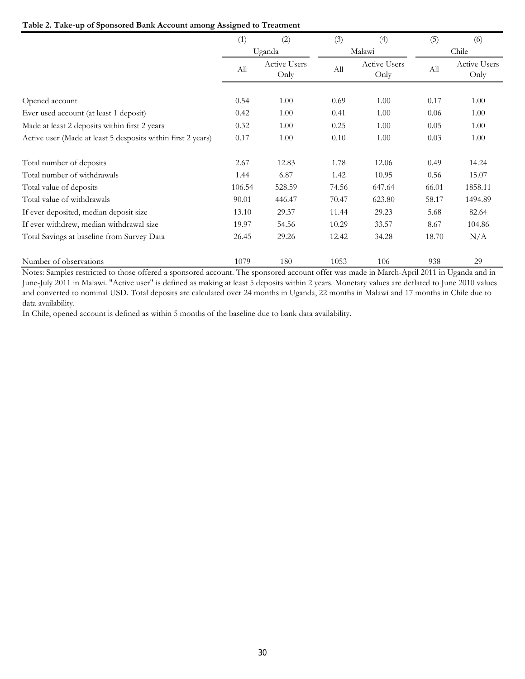### **Table 2. Take-up of Sponsored Bank Account among Assigned to Treatment**

|                                                              | (1)    | (2)                  | (3)   | (4)                  | (5)   | (6)                  |
|--------------------------------------------------------------|--------|----------------------|-------|----------------------|-------|----------------------|
|                                                              |        | Uganda               |       | Malawi               |       | Chile                |
|                                                              | All    | Active Users<br>Only | All   | Active Users<br>Only | All   | Active Users<br>Only |
| Opened account                                               | 0.54   | 1.00                 | 0.69  | 1.00                 | 0.17  | 1.00                 |
| Ever used account (at least 1 deposit)                       | 0.42   | 1.00                 | 0.41  | 1.00                 | 0.06  | 1.00                 |
| Made at least 2 deposits within first 2 years                | 0.32   | 1.00                 | 0.25  | 1.00                 | 0.05  | 1.00                 |
| Active user (Made at least 5 desposits within first 2 years) | 0.17   | 1.00                 | 0.10  | 1.00                 | 0.03  | 1.00                 |
| Total number of deposits                                     | 2.67   | 12.83                | 1.78  | 12.06                | 0.49  | 14.24                |
| Total number of withdrawals                                  | 1.44   | 6.87                 | 1.42  | 10.95                | 0.56  | 15.07                |
| Total value of deposits                                      | 106.54 | 528.59               | 74.56 | 647.64               | 66.01 | 1858.11              |
| Total value of withdrawals                                   | 90.01  | 446.47               | 70.47 | 623.80               | 58.17 | 1494.89              |
| If ever deposited, median deposit size                       | 13.10  | 29.37                | 11.44 | 29.23                | 5.68  | 82.64                |
| If ever withdrew, median withdrawal size                     | 19.97  | 54.56                | 10.29 | 33.57                | 8.67  | 104.86               |
| Total Savings at baseline from Survey Data                   | 26.45  | 29.26                | 12.42 | 34.28                | 18.70 | N/A                  |
| Number of observations                                       | 1079   | 180                  | 1053  | 106                  | 938   | 29                   |

Notes: Samples restricted to those offered a sponsored account. The sponsored account offer was made in March-April 2011 in Uganda and in June-July 2011 in Malawi. "Active user" is defined as making at least 5 deposits within 2 years. Monetary values are deflated to June 2010 values and converted to nominal USD. Total deposits are calculated over 24 months in Uganda, 22 months in Malawi and 17 months in Chile due to data availability.

In Chile, opened account is defined as within 5 months of the baseline due to bank data availability.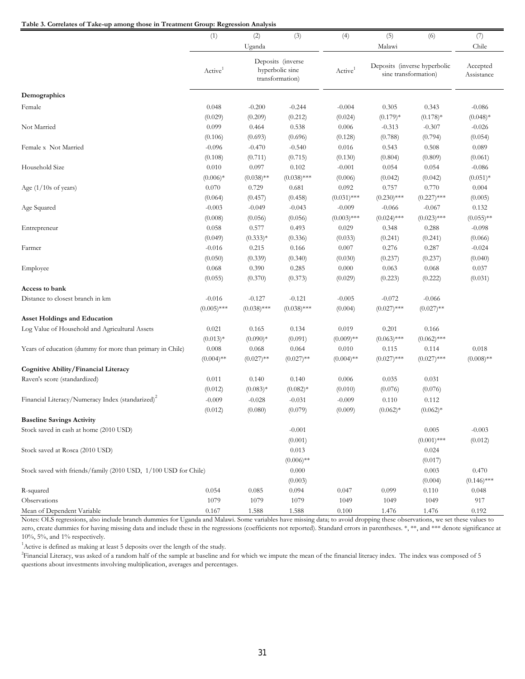#### **Table 3. Correlates of Take-up among those in Treatment Group: Regression Analysis**

| radic 9. Conclairs of Take-up among mosc in Treatment Group. Regression Amarysis      |                     |               |                                                         |                     |                                                      |                        |               |
|---------------------------------------------------------------------------------------|---------------------|---------------|---------------------------------------------------------|---------------------|------------------------------------------------------|------------------------|---------------|
|                                                                                       | (1)                 | (2)           | (3)                                                     | (4)                 | (5)                                                  | (6)                    | (7)           |
|                                                                                       |                     | Uganda        |                                                         |                     | Malawi                                               |                        | Chile         |
|                                                                                       | Active <sup>1</sup> |               | Deposits (inverse<br>hyperbolic sine<br>transformation) | Active <sup>1</sup> | Deposits (inverse hyperbolic<br>sine transformation) | Accepted<br>Assistance |               |
| Demographics                                                                          |                     |               |                                                         |                     |                                                      |                        |               |
| Female                                                                                | 0.048               | $-0.200$      | $-0.244$                                                | $-0.004$            | 0.305                                                | 0.343                  | $-0.086$      |
|                                                                                       | (0.029)             | (0.209)       | (0.212)                                                 | (0.024)             | $(0.179)*$                                           | $(0.178)*$             | $(0.048)*$    |
| Not Married                                                                           | 0.099               | 0.464         | 0.538                                                   | 0.006               | $-0.313$                                             | $-0.307$               | $-0.026$      |
|                                                                                       | (0.106)             | (0.693)       | (0.696)                                                 | (0.128)             | (0.788)                                              | (0.794)                | (0.054)       |
| Female x Not Married                                                                  | $-0.096$            | $-0.470$      | $-0.540$                                                | 0.016               | 0.543                                                | 0.508                  | 0.089         |
|                                                                                       | (0.108)             | (0.711)       | (0.715)                                                 | (0.130)             | (0.804)                                              | (0.809)                | (0.061)       |
| Household Size                                                                        | 0.010               | 0.097         | 0.102                                                   | $-0.001$            | 0.054                                                | 0.054                  | $-0.086$      |
|                                                                                       | $(0.006)*$          | $(0.038)$ **  | $(0.038)$ ***                                           | (0.006)             | (0.042)                                              | (0.042)                | $(0.051)*$    |
| Age $(1/10s$ of years)                                                                | 0.070               | 0.729         | 0.681                                                   | 0.092               | 0.757                                                | 0.770                  | 0.004         |
|                                                                                       | (0.064)             | (0.457)       | (0.458)                                                 | $(0.031)$ ***       | $(0.230)$ ***                                        | $(0.227)$ ***          | (0.005)       |
| Age Squared                                                                           | $-0.003$            | $-0.049$      | $-0.043$                                                | $-0.009$            | $-0.066$                                             | $-0.067$               | 0.132         |
|                                                                                       | (0.008)             | (0.056)       | (0.056)                                                 | $(0.003)$ ***       | $(0.024)$ ***                                        | $(0.023)$ ***          | $(0.055)$ **  |
| Entrepreneur                                                                          | 0.058               | 0.577         | 0.493                                                   | 0.029               | 0.348                                                | 0.288                  | $-0.098$      |
|                                                                                       | (0.049)             | $(0.333)*$    | (0.336)                                                 | (0.033)             | (0.241)                                              | (0.241)                | (0.066)       |
| Farmer                                                                                | $-0.016$            | 0.215         | 0.166                                                   | 0.007               | 0.276                                                | 0.287                  | $-0.024$      |
|                                                                                       | (0.050)             | (0.339)       | (0.340)                                                 | (0.030)             | (0.237)                                              | (0.237)                | (0.040)       |
| Employee                                                                              | 0.068               | 0.390         | 0.285                                                   | 0.000               | 0.063                                                | 0.068                  | 0.037         |
|                                                                                       | (0.055)             | (0.370)       | (0.373)                                                 | (0.029)             | (0.223)                                              | (0.222)                | (0.031)       |
| Access to bank                                                                        |                     |               |                                                         |                     |                                                      |                        |               |
| Distance to closest branch in km                                                      | $-0.016$            | $-0.127$      | $-0.121$                                                | $-0.005$            | $-0.072$                                             | $-0.066$               |               |
|                                                                                       | $(0.005)$ ***       | $(0.038)$ *** | $(0.038)$ ***                                           | (0.004)             | $(0.027)$ ***                                        | $(0.027)$ **           |               |
| <b>Asset Holdings and Education</b><br>Log Value of Household and Agricultural Assets | 0.021               | 0.165         | 0.134                                                   | 0.019               | 0.201                                                | 0.166                  |               |
|                                                                                       | $(0.013)*$          | $(0.090)*$    | (0.091)                                                 | $(0.009)$ **        | $(0.063)$ ***                                        | $(0.062)$ ***          |               |
| Years of education (dummy for more than primary in Chile)                             | 0.008               | 0.068         | 0.064                                                   | 0.010               | 0.115                                                | 0.114                  | 0.018         |
|                                                                                       | $(0.004)$ **        | $(0.027)$ **  | $(0.027)$ **                                            | $(0.004)$ **        | $(0.027)$ ***                                        | $(0.027)$ ***          | $(0.008)$ **  |
| <b>Cognitive Ability/Financial Literacy</b>                                           |                     |               |                                                         |                     |                                                      |                        |               |
| Raven's score (standardized)                                                          | 0.011               | 0.140         | 0.140                                                   | 0.006               | 0.035                                                | 0.031                  |               |
|                                                                                       | (0.012)             | $(0.083)*$    | $(0.082)*$                                              | (0.010)             | (0.076)                                              | (0.076)                |               |
| Financial Literacy/Numeracy Index (standarized) <sup>2</sup>                          | $-0.009$            | $-0.028$      | $-0.031$                                                | $-0.009$            | 0.110                                                | 0.112                  |               |
|                                                                                       | (0.012)             | (0.080)       | (0.079)                                                 | (0.009)             | $(0.062)*$                                           | $(0.062)*$             |               |
| <b>Baseline Savings Activity</b>                                                      |                     |               |                                                         |                     |                                                      |                        |               |
| Stock saved in cash at home (2010 USD)                                                |                     |               | $-0.001$                                                |                     |                                                      | 0.005                  | $-0.003$      |
|                                                                                       |                     |               | (0.001)                                                 |                     |                                                      | $(0.001)$ ***          | (0.012)       |
| Stock saved at Rosca (2010 USD)                                                       |                     |               | 0.013                                                   |                     |                                                      | 0.024                  |               |
|                                                                                       |                     |               | $(0.006)$ **                                            |                     |                                                      | (0.017)                |               |
| Stock saved with friends/family (2010 USD, 1/100 USD for Chile)                       |                     |               | 0.000                                                   |                     |                                                      | 0.003                  | 0.470         |
|                                                                                       |                     |               | (0.003)                                                 |                     |                                                      | (0.004)                | $(0.146)$ *** |
| R-squared                                                                             | 0.054               | 0.085         | 0.094                                                   | 0.047               | 0.099                                                | 0.110                  | 0.048         |
| Observations                                                                          | 1079                | 1079          | 1079                                                    | 1049                | 1049                                                 | 1049                   | 917           |
| Mean of Dependent Variable                                                            | 0.167               | 1.588         | 1.588                                                   | 0.100               | 1.476                                                | 1.476                  | 0.192         |

Notes: OLS regressions, also include branch dummies for Uganda and Malawi. Some variables have missing data; to avoid dropping these observations, we set these values to zero, create dummies for having missing data and include these in the regressions (coefficients not reported). Standard errors in parentheses. \*, \*\*, and \*\*\* denote significance at 10%, 5%, and 1% respectively.

<sup>1</sup> Active is defined as making at least 5 deposits over the length of the study.

2 Financial Literacy, was asked of a random half of the sample at baseline and for which we impute the mean of the financial literacy index. The index was composed of 5 questions about investments involving multiplication, averages and percentages.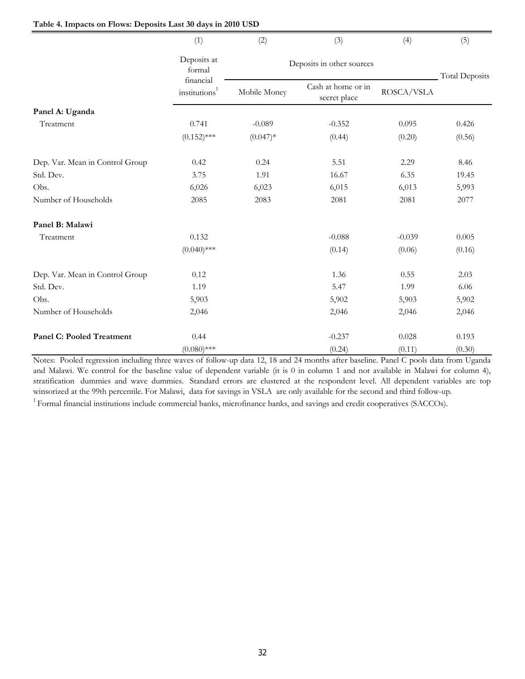|                                  | (1)                                    | (2)          | (3)                                | (4)        | (5)                   |  |  |  |
|----------------------------------|----------------------------------------|--------------|------------------------------------|------------|-----------------------|--|--|--|
|                                  | Deposits at<br>formal                  |              | Deposits in other sources          |            |                       |  |  |  |
|                                  | financial<br>institutions <sup>1</sup> | Mobile Money | Cash at home or in<br>secret place | ROSCA/VSLA | <b>Total Deposits</b> |  |  |  |
| Panel A: Uganda                  |                                        |              |                                    |            |                       |  |  |  |
| Treatment                        | 0.741                                  | $-0.089$     | $-0.352$                           | 0.095      | 0.426                 |  |  |  |
|                                  | $(0.152)$ ***                          | $(0.047)*$   | (0.44)                             | (0.20)     | (0.56)                |  |  |  |
| Dep. Var. Mean in Control Group  | 0.42                                   | 0.24         | 5.51                               | 2.29       | 8.46                  |  |  |  |
| Std. Dev.                        | 3.75                                   | 1.91         | 16.67                              | 6.35       | 19.45                 |  |  |  |
| Obs.                             | 6,026                                  | 6,023        | 6,015                              | 6,013      | 5,993                 |  |  |  |
| Number of Households             | 2085                                   | 2083         | 2081                               | 2081       | 2077                  |  |  |  |
| Panel B: Malawi                  |                                        |              |                                    |            |                       |  |  |  |
| Treatment                        | 0.132                                  |              | $-0.088$                           | $-0.039$   | 0.005                 |  |  |  |
|                                  | $(0.040)$ ***                          |              | (0.14)                             | (0.06)     | (0.16)                |  |  |  |
| Dep. Var. Mean in Control Group  | 0.12                                   |              | 1.36                               | 0.55       | 2.03                  |  |  |  |
| Std. Dev.                        | 1.19                                   |              | 5.47                               | 1.99       | 6.06                  |  |  |  |
| Obs.                             | 5,903                                  |              | 5,902                              | 5,903      | 5,902                 |  |  |  |
| Number of Households             | 2,046                                  |              | 2,046                              | 2,046      | 2,046                 |  |  |  |
| <b>Panel C: Pooled Treatment</b> | 0.44                                   |              | $-0.237$                           | 0.028      | 0.193                 |  |  |  |
|                                  | $(0.080)$ ***                          |              | (0.24)                             | (0.11)     | (0.30)                |  |  |  |

**Table 4. Impacts on Flows: Deposits Last 30 days in 2010 USD**

Notes: Pooled regression including three waves of follow-up data 12, 18 and 24 months after baseline. Panel C pools data from Uganda and Malawi. We control for the baseline value of dependent variable (it is 0 in column 1 and not available in Malawi for column 4), stratification dummies and wave dummies. Standard errors are clustered at the respondent level. All dependent variables are top winsorized at the 99th percentile. For Malawi, data for savings in VSLA are only available for the second and third follow-up.

 $1$  Formal financial institutions include commercial banks, microfinance banks, and savings and credit cooperatives (SACCOs).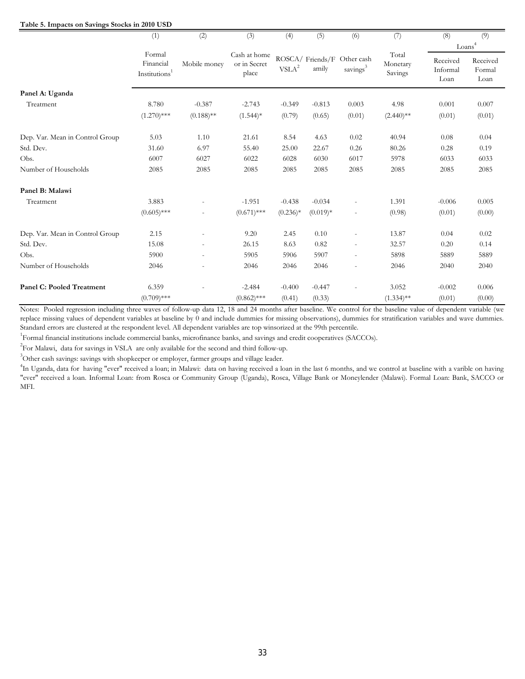#### **Table 5. Impacts on Savings Stocks in 2010 USD**

|                                  | (1)                                              | (2)                      | (3)                                   | (4)                          | (5)        | (6)                                                 | (7)                          | (8)                          | (9)                        |
|----------------------------------|--------------------------------------------------|--------------------------|---------------------------------------|------------------------------|------------|-----------------------------------------------------|------------------------------|------------------------------|----------------------------|
|                                  |                                                  |                          |                                       |                              |            |                                                     |                              |                              | Loans <sup>4</sup>         |
|                                  | Formal<br>Financial<br>Institutions <sup>1</sup> | Mobile money             | Cash at home<br>or in Secret<br>place | $\ensuremath{\text{VSLA}}^2$ | amily      | ROSCA/ Friends/F Other cash<br>savings <sup>3</sup> | Total<br>Monetary<br>Savings | Received<br>Informal<br>Loan | Received<br>Formal<br>Loan |
| Panel A: Uganda                  |                                                  |                          |                                       |                              |            |                                                     |                              |                              |                            |
| Treatment                        | 8.780                                            | $-0.387$                 | $-2.743$                              | $-0.349$                     | $-0.813$   | 0.003                                               | 4.98                         | 0.001                        | 0.007                      |
|                                  | $(1.270)$ ***                                    | $(0.188)$ **             | $(1.544)*$                            | (0.79)                       | (0.65)     | (0.01)                                              | $(2.440)$ **                 | (0.01)                       | (0.01)                     |
| Dep. Var. Mean in Control Group  | 5.03                                             | 1.10                     | 21.61                                 | 8.54                         | 4.63       | 0.02                                                | 40.94                        | 0.08                         | 0.04                       |
| Std. Dev.                        | 31.60                                            | 6.97                     | 55.40                                 | 25.00                        | 22.67      | 0.26                                                | 80.26                        | 0.28                         | 0.19                       |
| Obs.                             | 6007                                             | 6027                     | 6022                                  | 6028                         | 6030       | 6017                                                | 5978                         | 6033                         | 6033                       |
| Number of Households             | 2085                                             | 2085                     | 2085                                  | 2085                         | 2085       | 2085                                                | 2085                         | 2085                         | 2085                       |
| Panel B: Malawi                  |                                                  |                          |                                       |                              |            |                                                     |                              |                              |                            |
| Treatment                        | 3.883                                            |                          | $-1.951$                              | $-0.438$                     | $-0.034$   |                                                     | 1.391                        | $-0.006$                     | 0.005                      |
|                                  | $(0.605)$ ***                                    |                          | $(0.671)$ ***                         | $(0.236)*$                   | $(0.019)*$ | $\overline{\phantom{a}}$                            | (0.98)                       | (0.01)                       | (0.00)                     |
| Dep. Var. Mean in Control Group  | 2.15                                             |                          | 9.20                                  | 2.45                         | 0.10       |                                                     | 13.87                        | 0.04                         | 0.02                       |
| Std. Dev.                        | 15.08                                            | $\overline{\phantom{a}}$ | 26.15                                 | 8.63                         | 0.82       | $\overline{\phantom{a}}$                            | 32.57                        | 0.20                         | 0.14                       |
| Obs.                             | 5900                                             | $\overline{\phantom{a}}$ | 5905                                  | 5906                         | 5907       | $\overline{\phantom{a}}$                            | 5898                         | 5889                         | 5889                       |
| Number of Households             | 2046                                             |                          | 2046                                  | 2046                         | 2046       |                                                     | 2046                         | 2040                         | 2040                       |
| <b>Panel C: Pooled Treatment</b> | 6.359                                            |                          | $-2.484$                              | $-0.400$                     | $-0.447$   |                                                     | 3.052                        | $-0.002$                     | 0.006                      |
|                                  | $(0.709)$ ***                                    |                          | $(0.862)$ ***                         | (0.41)                       | (0.33)     |                                                     | $(1.334)$ **                 | (0.01)                       | (0.00)                     |

Notes: Pooled regression including three waves of follow-up data 12, 18 and 24 months after baseline. We control for the baseline value of dependent variable (we replace missing values of dependent variables at baseline by 0 and include dummies for missing observations), dummies for stratification variables and wave dummies. Standard errors are clustered at the respondent level. All dependent variables are top winsorized at the 99th percentile.

<sup>1</sup>Formal financial institutions include commercial banks, microfinance banks, and savings and credit cooperatives (SACCOs).

<sup>2</sup>For Malawi, data for savings in VSLA are only available for the second and third follow-up.

<sup>3</sup>Other cash savings: savings with shopkeeper or employer, farmer groups and village leader.

<sup>4</sup>In Uganda, data for having "ever" received a loan; in Malawi: data on having received a loan in the last 6 months, and we control at baseline with a varible on having "ever" received a loan. Informal Loan: from Rosca or Community Group (Uganda), Rosca, Village Bank or Moneylender (Malawi). Formal Loan: Bank, SACCO or MFI.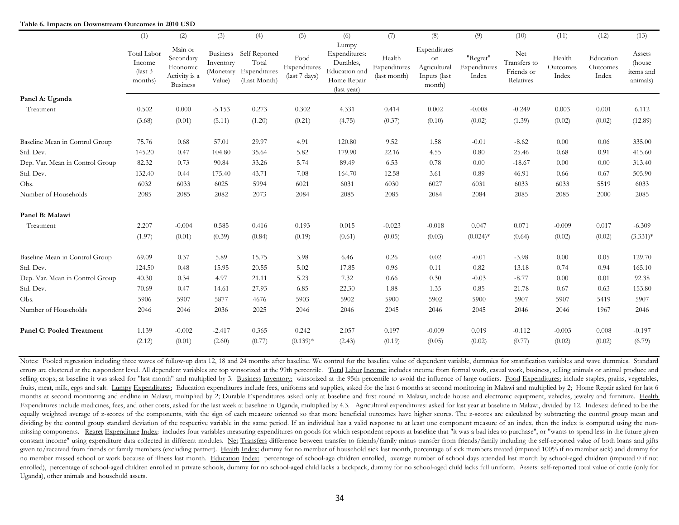|                                  | (1)                                              | (2)                                                           | (3)                 | (4)                                                                       | (5)                                   | (6)                                                                                | (7)                                    | (8)                                                          | (9)                               | (10)                                           | (11)                        | (12)                           | (13)                                       |
|----------------------------------|--------------------------------------------------|---------------------------------------------------------------|---------------------|---------------------------------------------------------------------------|---------------------------------------|------------------------------------------------------------------------------------|----------------------------------------|--------------------------------------------------------------|-----------------------------------|------------------------------------------------|-----------------------------|--------------------------------|--------------------------------------------|
|                                  | Total Labor<br>Income<br>$\int$ ast 3<br>months) | Main or<br>Secondary<br>Economic<br>Activity is a<br>Business | Inventory<br>Value) | Business Self Reported<br>Total<br>(Monetary Expenditures<br>(Last Month) | Food<br>Expenditures<br>(last 7 days) | Lumpy<br>Expenditures:<br>Durables,<br>Education and<br>Home Repair<br>(last year) | Health<br>Expenditures<br>(last month) | Expenditures<br>on<br>Agricultural<br>Inputs (last<br>month) | "Regret"<br>Expenditures<br>Index | Net<br>Transfers to<br>Friends or<br>Relatives | Health<br>Outcomes<br>Index | Education<br>Outcomes<br>Index | Assets<br>(house)<br>items and<br>animals) |
| Panel A: Uganda                  |                                                  |                                                               |                     |                                                                           |                                       |                                                                                    |                                        |                                                              |                                   |                                                |                             |                                |                                            |
| Treatment                        | 0.502                                            | 0.000                                                         | $-5.153$            | 0.273                                                                     | 0.302                                 | 4.331                                                                              | 0.414                                  | 0.002                                                        | $-0.008$                          | $-0.249$                                       | 0.003                       | 0.001                          | 6.112                                      |
|                                  | (3.68)                                           | (0.01)                                                        | (5.11)              | (1.20)                                                                    | (0.21)                                | (4.75)                                                                             | (0.37)                                 | (0.10)                                                       | (0.02)                            | (1.39)                                         | (0.02)                      | (0.02)                         | (12.89)                                    |
| Baseline Mean in Control Group   | 75.76                                            | 0.68                                                          | 57.01               | 29.97                                                                     | 4.91                                  | 120.80                                                                             | 9.52                                   | 1.58                                                         | $-0.01$                           | $-8.62$                                        | 0.00                        | 0.06                           | 335.00                                     |
| Std. Dev.                        | 145.20                                           | 0.47                                                          | 104.80              | 35.64                                                                     | 5.82                                  | 179.90                                                                             | 22.16                                  | 4.55                                                         | 0.80                              | 25.46                                          | 0.68                        | 0.91                           | 415.60                                     |
| Dep. Var. Mean in Control Group  | 82.32                                            | 0.73                                                          | 90.84               | 33.26                                                                     | 5.74                                  | 89.49                                                                              | 6.53                                   | 0.78                                                         | 0.00                              | $-18.67$                                       | 0.00                        | 0.00                           | 313.40                                     |
| Std. Dev.                        | 132.40                                           | 0.44                                                          | 175.40              | 43.71                                                                     | 7.08                                  | 164.70                                                                             | 12.58                                  | 3.61                                                         | 0.89                              | 46.91                                          | 0.66                        | 0.67                           | 505.90                                     |
| Obs.                             | 6032                                             | 6033                                                          | 6025                | 5994                                                                      | 6021                                  | 6031                                                                               | 6030                                   | 6027                                                         | 6031                              | 6033                                           | 6033                        | 5519                           | 6033                                       |
| Number of Households             | 2085                                             | 2085                                                          | 2082                | 2073                                                                      | 2084                                  | 2085                                                                               | 2085                                   | 2084                                                         | 2084                              | 2085                                           | 2085                        | 2000                           | 2085                                       |
| Panel B: Malawi                  |                                                  |                                                               |                     |                                                                           |                                       |                                                                                    |                                        |                                                              |                                   |                                                |                             |                                |                                            |
| Treatment                        | 2.207                                            | $-0.004$                                                      | 0.585               | 0.416                                                                     | 0.193                                 | 0.015                                                                              | $-0.023$                               | $-0.018$                                                     | 0.047                             | 0.071                                          | $-0.009$                    | 0.017                          | $-6.309$                                   |
|                                  | (1.97)                                           | (0.01)                                                        | (0.39)              | (0.84)                                                                    | (0.19)                                | (0.61)                                                                             | (0.05)                                 | (0.03)                                                       | $(0.024)$ *                       | (0.64)                                         | (0.02)                      | (0.02)                         | $(3.331)*$                                 |
| Baseline Mean in Control Group   | 69.09                                            | 0.37                                                          | 5.89                | 15.75                                                                     | 3.98                                  | 6.46                                                                               | 0.26                                   | 0.02                                                         | $-0.01$                           | $-3.98$                                        | 0.00                        | 0.05                           | 129.70                                     |
| Std. Dev.                        | 124.50                                           | 0.48                                                          | 15.95               | 20.55                                                                     | 5.02                                  | 17.85                                                                              | 0.96                                   | 0.11                                                         | 0.82                              | 13.18                                          | 0.74                        | 0.94                           | 165.10                                     |
| Dep. Var. Mean in Control Group  | 40.30                                            | 0.34                                                          | 4.97                | 21.11                                                                     | 5.23                                  | 7.32                                                                               | 0.66                                   | 0.30                                                         | $-0.03$                           | $-8.77$                                        | 0.00                        | 0.01                           | 92.38                                      |
| Std. Dev.                        | 70.69                                            | 0.47                                                          | 14.61               | 27.93                                                                     | 6.85                                  | 22.30                                                                              | 1.88                                   | 1.35                                                         | 0.85                              | 21.78                                          | 0.67                        | 0.63                           | 153.80                                     |
| Obs.                             | 5906                                             | 5907                                                          | 5877                | 4676                                                                      | 5903                                  | 5902                                                                               | 5900                                   | 5902                                                         | 5900                              | 5907                                           | 5907                        | 5419                           | 5907                                       |
| Number of Households             | 2046                                             | 2046                                                          | 2036                | 2025                                                                      | 2046                                  | 2046                                                                               | 2045                                   | 2046                                                         | 2045                              | 2046                                           | 2046                        | 1967                           | 2046                                       |
| <b>Panel C: Pooled Treatment</b> | 1.139                                            | $-0.002$                                                      | $-2.417$            | 0.365                                                                     | 0.242                                 | 2.057                                                                              | 0.197                                  | $-0.009$                                                     | 0.019                             | $-0.112$                                       | $-0.003$                    | 0.008                          | $-0.197$                                   |
|                                  | (2.12)                                           | (0.01)                                                        | (2.60)              | (0.77)                                                                    | $(0.139)*$                            | (2.43)                                                                             | (0.19)                                 | (0.05)                                                       | (0.02)                            | (0.77)                                         | (0.02)                      | (0.02)                         | (6.79)                                     |

**Table 6. Impacts on Downstream Outcomes in 2010 USD**

Notes: Pooled regression including three waves of follow-up data 12, 18 and 24 months after baseline. We control for the baseline value of dependent variable, dummies for stratification variables and wave dummies. Standard errors are clustered at the respondent level. All dependent variables are top winsorized at the 99th percentile. Total Labor Income: includes income from formal work, casual work, business, selling animals or animal produc selling crops; at baseline it was asked for "last month" and multiplied by 3. Business Inventory: winsorized at the 95th percentile to avoid the influence of large outliers. Food Expenditures: include staples, grains, vege fruits, meat, milk, eggs and salt. Lumpy Expenditures: Education expenditures include fees, uniforms and supplies, asked for the last 6 months at second monitoring in Malawi and multiplied by 2; Home Repair asked for last months at second monitoring and endline in Malawi, multiplied by 2; Durable Expenditures asked only at baseline and first round in Malawi, include house and electronic equipment, vehicles, jewelry and furniture. Health Expenditures include medicines, fees, and other costs, asked for the last week at baseline in Uganda, multiplied by 4.3. Agricultural expenditures: asked for last year at baseline in Malawi, divided by 12. Indexes: defined equally weighted average of z-scores of the components, with the sign of each measure oriented so that more beneficial outcomes have higher scores. The z-scores are calculated by subtracting the control group mean and dividing by the control group standard deviation of the respective variable in the same period. If an individual has a valid response to at least one component measure of an index, then the index is computed using the nonmissing components. Regret Expenditure Index: includes four variables measuring expenditures on goods for which respondent reports at baseline that "it was a bad idea to purchase", or "wants to spend less in the future given constant income" using expenditure data collected in different modules. Net Transfers difference between transfer to friends/family minus transfer from friends/family including the self-reported value of both loans and gif given to/received from friends or family members (excluding partner). Health Index: dummy for no member of household sick last month, percentage of sick members treated (imputed 100% if no member sick) and dummy for no member missed school or work because of illness last month. Education Index: percentage of school-age children enrolled, average number of school days attended last month by school-aged children (imputed 0 if not enrolled), percentage of school-aged children enrolled in private schools, dummy for no school-aged child lacks a backpack, dummy for no school-aged child lacks full uniform. Assets: self-reported total value of cattle (on Uganda), other animals and household assets.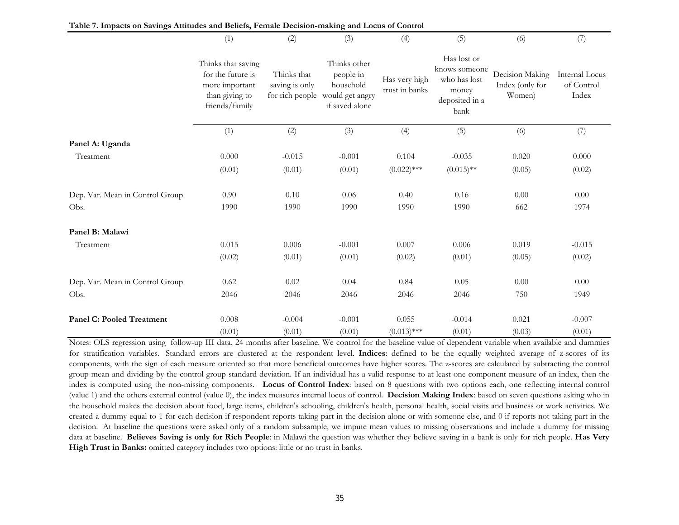|                                  | (1)                                                                                           | (2)                           | (3)                                                                                         | (4)                             | (5)                                                                             | (6)                                          | (7)                                   |
|----------------------------------|-----------------------------------------------------------------------------------------------|-------------------------------|---------------------------------------------------------------------------------------------|---------------------------------|---------------------------------------------------------------------------------|----------------------------------------------|---------------------------------------|
|                                  | Thinks that saving<br>for the future is<br>more important<br>than giving to<br>friends/family | Thinks that<br>saving is only | Thinks other<br>people in<br>household<br>for rich people would get angry<br>if saved alone | Has very high<br>trust in banks | Has lost or<br>knows someone<br>who has lost<br>money<br>deposited in a<br>bank | Decision Making<br>Index (only for<br>Women) | Internal Locus<br>of Control<br>Index |
|                                  | (1)                                                                                           | (2)                           | (3)                                                                                         | (4)                             | (5)                                                                             | (6)                                          | (7)                                   |
| Panel A: Uganda                  |                                                                                               |                               |                                                                                             |                                 |                                                                                 |                                              |                                       |
| Treatment                        | 0.000                                                                                         | $-0.015$                      | $-0.001$                                                                                    | 0.104                           | $-0.035$                                                                        | 0.020                                        | 0.000                                 |
|                                  | (0.01)                                                                                        | (0.01)                        | (0.01)                                                                                      | $(0.022)$ ***                   | $(0.015)$ **                                                                    | (0.05)                                       | (0.02)                                |
| Dep. Var. Mean in Control Group  | 0.90                                                                                          | 0.10                          | 0.06                                                                                        | 0.40                            | 0.16                                                                            | 0.00                                         | 0.00                                  |
| Obs.                             | 1990                                                                                          | 1990                          | 1990                                                                                        | 1990                            | 1990                                                                            | 662                                          | 1974                                  |
| Panel B: Malawi                  |                                                                                               |                               |                                                                                             |                                 |                                                                                 |                                              |                                       |
| Treatment                        | 0.015                                                                                         | 0.006                         | $-0.001$                                                                                    | 0.007                           | 0.006                                                                           | 0.019                                        | $-0.015$                              |
|                                  | (0.02)                                                                                        | (0.01)                        | (0.01)                                                                                      | (0.02)                          | (0.01)                                                                          | (0.05)                                       | (0.02)                                |
| Dep. Var. Mean in Control Group  | 0.62                                                                                          | 0.02                          | 0.04                                                                                        | 0.84                            | 0.05                                                                            | 0.00                                         | 0.00                                  |
| Obs.                             | 2046                                                                                          | 2046                          | 2046                                                                                        | 2046                            | 2046                                                                            | 750                                          | 1949                                  |
| <b>Panel C: Pooled Treatment</b> | 0.008                                                                                         | $-0.004$                      | $-0.001$                                                                                    | 0.055                           | $-0.014$                                                                        | 0.021                                        | $-0.007$                              |
|                                  | (0.01)                                                                                        | (0.01)                        | (0.01)                                                                                      | $(0.013)$ ***                   | (0.01)                                                                          | (0.03)                                       | (0.01)                                |

**Table 7. Impacts on Savings Attitudes and Beliefs, Female Decision-making and Locus of Control**

Notes: OLS regression using follow-up III data, 24 months after baseline. We control for the baseline value of dependent variable when available and dummies for stratification variables. Standard errors are clustered at the respondent level. **Indices**: defined to be the equally weighted average of z-scores of its components, with the sign of each measure oriented so that more beneficial outcomes have higher scores. The z-scores are calculated by subtracting the control group mean and dividing by the control group standard deviation. If an individual has a valid response to at least one component measure of an index, then the index is computed using the non-missing components. **Locus of Control Index**: based on 8 questions with two options each, one reflecting internal control (value 1) and the others external control (value 0), the index measures internal locus of control. **Decision Making Index**: based on seven questions asking who in the household makes the decision about food, large items, children's schooling, children's health, personal health, social visits and business or work activities. We created a dummy equal to 1 for each decision if respondent reports taking part in the decision alone or with someone else, and 0 if reports not taking part in the decision. At baseline the questions were asked only of a random subsample, we impute mean values to missing observations and include a dummy for missing data at baseline. **Believes Saving is only for Rich People**: in Malawi the question was whether they believe saving in a bank is only for rich people. **Has Very High Trust in Banks:** omitted category includes two options: little or no trust in banks.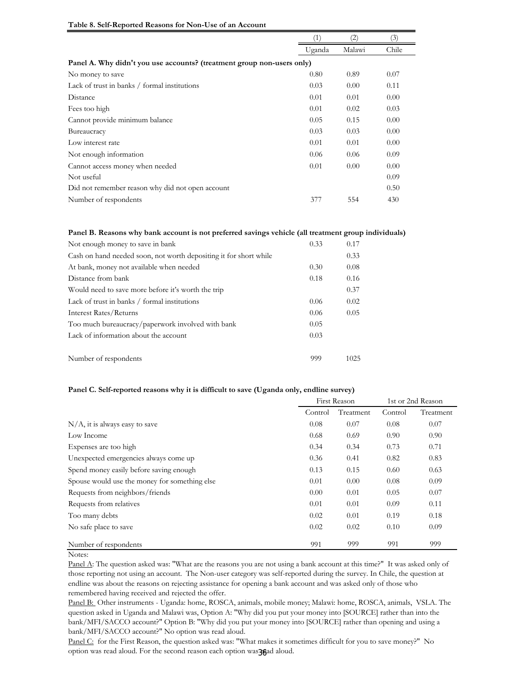|                                                                        |        | $\left( 2\right)$ | (3)   |
|------------------------------------------------------------------------|--------|-------------------|-------|
|                                                                        | Uganda | Malawi            | Chile |
| Panel A. Why didn't you use accounts? (treatment group non-users only) |        |                   |       |
| No money to save                                                       | 0.80   | 0.89              | 0.07  |
| Lack of trust in banks / formal institutions                           | 0.03   | 0.00              | 0.11  |
| Distance                                                               | 0.01   | 0.01              | 0.00  |
| Fees too high                                                          | 0.01   | 0.02              | 0.03  |
| Cannot provide minimum balance                                         | 0.05   | 0.15              | 0.00  |
| Bureaucracy                                                            | 0.03   | 0.03              | 0.00  |
| Low interest rate                                                      | 0.01   | 0.01              | 0.00  |
| Not enough information                                                 | 0.06   | 0.06              | 0.09  |
| Cannot access money when needed                                        | 0.01   | 0.00              | 0.00  |
| Not useful                                                             |        |                   | 0.09  |
| Did not remember reason why did not open account                       |        |                   | 0.50  |
| Number of respondents                                                  | 377    | 554               | 430   |

#### **Table 8. Self-Reported Reasons for Non-Use of an Account**

#### **Panel B. Reasons why bank account is not preferred savings vehicle (all treatment group individuals)**

| Not enough money to save in bank                                  | 0.33 | 0.17 |
|-------------------------------------------------------------------|------|------|
| Cash on hand needed soon, not worth depositing it for short while |      | 0.33 |
| At bank, money not available when needed                          | 0.30 | 0.08 |
| Distance from bank                                                | 0.18 | 0.16 |
| Would need to save more before it's worth the trip                |      | 0.37 |
| Lack of trust in banks / formal institutions                      | 0.06 | 0.02 |
| Interest Rates/Returns                                            | 0.06 | 0.05 |
| Too much bureaucracy/paperwork involved with bank                 | 0.05 |      |
| Lack of information about the account                             | 0.03 |      |
|                                                                   |      |      |
| Number of respondents                                             | 999  | 1025 |

#### **Panel C. Self-reported reasons why it is difficult to save (Uganda only, endline survey)**

|                                               |         | <b>First Reason</b> | 1st or 2nd Reason |           |  |
|-----------------------------------------------|---------|---------------------|-------------------|-----------|--|
|                                               | Control | Treatment           | Control           | Treatment |  |
| $N/A$ , it is always easy to save             | 0.08    | 0.07                | 0.08              | 0.07      |  |
| Low Income                                    | 0.68    | 0.69                | 0.90              | 0.90      |  |
| Expenses are too high                         | 0.34    | 0.34                | 0.73              | 0.71      |  |
| Unexpected emergencies always come up         | 0.36    | 0.41                | 0.82              | 0.83      |  |
| Spend money easily before saving enough       | 0.13    | 0.15                | 0.60              | 0.63      |  |
| Spouse would use the money for something else | 0.01    | 0.00                | 0.08              | 0.09      |  |
| Requests from neighbors/friends               | 0.00    | 0.01                | 0.05              | 0.07      |  |
| Requests from relatives                       | 0.01    | 0.01                | 0.09              | 0.11      |  |
| Too many debts                                | 0.02    | 0.01                | 0.19              | 0.18      |  |
| No safe place to save                         | 0.02    | 0.02                | 0.10              | 0.09      |  |
| Number of respondents                         | 991     | 999                 | 991               | 999       |  |

#### Notes:

Panel A: The question asked was: "What are the reasons you are not using a bank account at this time?" It was asked only of those reporting not using an account. The Non-user category was self-reported during the survey. In Chile, the question at endline was about the reasons on rejecting assistance for opening a bank account and was asked only of those who remembered having received and rejected the offer.

Panel B: Other instruments - Uganda: home, ROSCA, animals, mobile money; Malawi: home, ROSCA, animals, VSLA. The question asked in Uganda and Malawi was, Option A: "Why did you put your money into [SOURCE] rather than into the bank/MFI/SACCO account?" Option B: "Why did you put your money into [SOURCE] rather than opening and using a bank/MFI/SACCO account?" No option was read aloud.

Panel C: for the First Reason, the question asked was: "What makes it sometimes difficult for you to save money?" No option was read aloud. For the second reason each option was **36** aloud.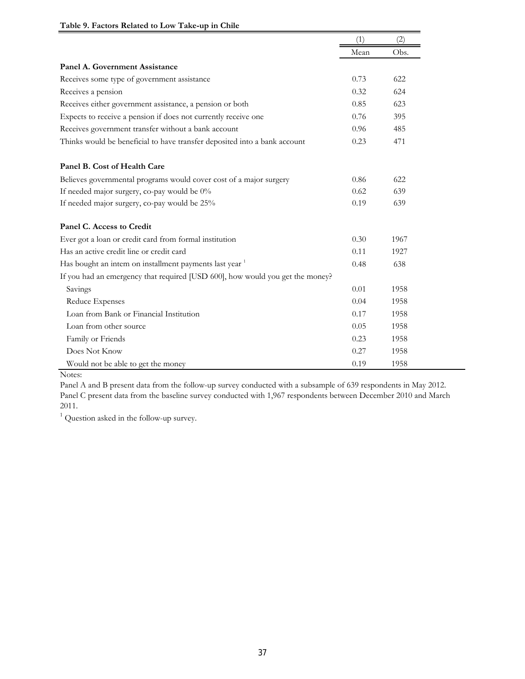|                                                                               | (1)  | (2)  |
|-------------------------------------------------------------------------------|------|------|
|                                                                               | Mean | Obs. |
| Panel A. Government Assistance                                                |      |      |
| Receives some type of government assistance                                   | 0.73 | 622  |
| Receives a pension                                                            | 0.32 | 624  |
| Receives either government assistance, a pension or both                      | 0.85 | 623  |
| Expects to receive a pension if does not currently receive one                | 0.76 | 395  |
| Receives government transfer without a bank account                           | 0.96 | 485  |
| Thinks would be beneficial to have transfer deposited into a bank account     | 0.23 | 471  |
| Panel B. Cost of Health Care                                                  |      |      |
| Believes governmental programs would cover cost of a major surgery            | 0.86 | 622  |
| If needed major surgery, co-pay would be 0%                                   | 0.62 | 639  |
| If needed major surgery, co-pay would be 25%                                  | 0.19 | 639  |
| Panel C. Access to Credit                                                     |      |      |
| Ever got a loan or credit card from formal institution                        | 0.30 | 1967 |
| Has an active credit line or credit card                                      | 0.11 | 1927 |
| Has bought an intem on installment payments last year 1                       | 0.48 | 638  |
| If you had an emergency that required [USD 600], how would you get the money? |      |      |
| Savings                                                                       | 0.01 | 1958 |
| Reduce Expenses                                                               | 0.04 | 1958 |
| Loan from Bank or Financial Institution                                       | 0.17 | 1958 |
| Loan from other source                                                        | 0.05 | 1958 |
| Family or Friends                                                             | 0.23 | 1958 |
| Does Not Know                                                                 | 0.27 | 1958 |
| Would not be able to get the money                                            | 0.19 | 1958 |

### **Table 9. Factors Related to Low Take-up in Chile**

Notes:

Panel A and B present data from the follow-up survey conducted with a subsample of 639 respondents in May 2012. Panel C present data from the baseline survey conducted with 1,967 respondents between December 2010 and March 2011.

<sup>1</sup> Question asked in the follow-up survey.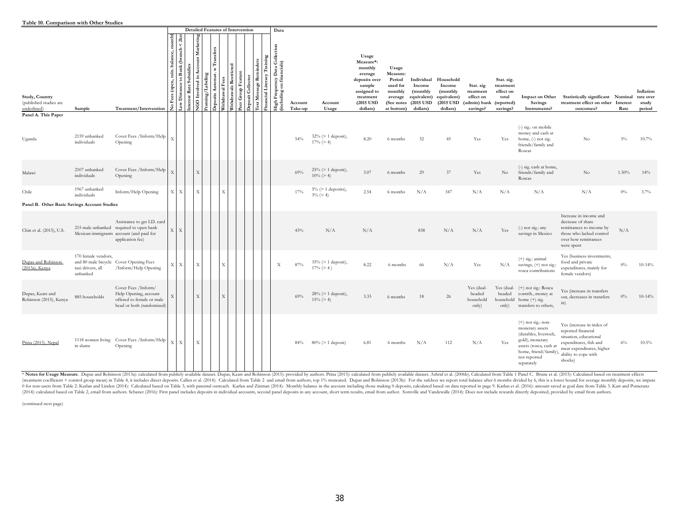|                                                         |                                                      |                                                                                                                                        |                                                                                                                                       | <b>Detailed Features of Intervention</b>          |                         |                                                                                           |                        |                              |                                                                             | Data                                                       |                    |                                         |                                                                                                                          |                                                                                           |                                                                           |                                                                          |                                                                            |                                                           |                                                                                                                                                                     |                                                                                                                                                                     |       |                                           |
|---------------------------------------------------------|------------------------------------------------------|----------------------------------------------------------------------------------------------------------------------------------------|---------------------------------------------------------------------------------------------------------------------------------------|---------------------------------------------------|-------------------------|-------------------------------------------------------------------------------------------|------------------------|------------------------------|-----------------------------------------------------------------------------|------------------------------------------------------------|--------------------|-----------------------------------------|--------------------------------------------------------------------------------------------------------------------------|-------------------------------------------------------------------------------------------|---------------------------------------------------------------------------|--------------------------------------------------------------------------|----------------------------------------------------------------------------|-----------------------------------------------------------|---------------------------------------------------------------------------------------------------------------------------------------------------------------------|---------------------------------------------------------------------------------------------------------------------------------------------------------------------|-------|-------------------------------------------|
| Study, Country<br>(published studies are<br>underlined) | Sample                                               | Treatment/Intervention                                                                                                                 | month<br>$\mathop{\rm ch}\nolimits$<br>ıce.<br>bala<br>$\frac{1}{2}$<br>$\epsilon$<br>(open,<br>Fees<br><b>E</b><br>$\tilde{z}$<br>۶, | Marketin<br>Subsidi<br>Æ<br>Rate<br>É<br>SO.<br>E | Labelin,<br>ming,<br>Ę, | $\label{eq:transf} \textbf{Transfers}$<br>È<br>Automat.<br>त्त्वं<br>Withdraw<br>Deposits | Withdrawals Restricted | Collecto<br>Group<br>Deposit | raining<br>minders<br>ancial Literacy<br>$R$ er<br>Message<br>$_{ext}$<br>운 | High Frequency Data Collection<br>including on financials) | Account<br>Take-up | Account<br>Usage                        | Usage<br>Measure*:<br>monthly<br>average<br>deposits over<br>sample<br>assigned to<br>treatment<br>(2015 USD<br>dollars) | Usage<br>Measure:<br>Period<br>used for<br>monthly<br>average<br>(See notes<br>at bottom) | Individual<br>Income<br>(monthly<br>equivalent)<br>(2015 USD)<br>dollars) | Household<br>Income<br>(monthly<br>equivalent)<br>(2015 USD)<br>dollars) | Stat. sig<br>treatment<br>effect on<br>(admin) bank (reported)<br>savings? | Stat. sig.<br>treatment<br>effect on<br>total<br>savings? | Impact on Other<br><b>Savings</b><br>Instruments?                                                                                                                   | Statistically significant Nominal<br>treatment effect on other Interest<br>outcomes?                                                                                | Rate  | Inflation<br>rate over<br>study<br>period |
| Panel A. This Paper<br>Uganda                           | 2159 unbanked<br>individuals                         | Cover Fees /Inform/Help<br>Opening                                                                                                     |                                                                                                                                       |                                                   |                         |                                                                                           |                        |                              |                                                                             |                                                            | 54%                | $32\%$ (> 1 deposit),<br>$17\% (> 4)$   | 8.20                                                                                                                     | 6 months                                                                                  | 32                                                                        | 45                                                                       | Yes                                                                        | Yes                                                       | (-) sig.: on mobile<br>money and cash at<br>home, (-) not sig.<br>friends/family and<br>Roscas                                                                      | No                                                                                                                                                                  | $3\%$ | 10.7%                                     |
| Malawi                                                  | 2107 unbanked<br>individuals                         | Cover Fees /Inform/Help<br>Opening                                                                                                     |                                                                                                                                       | X                                                 |                         |                                                                                           |                        |                              |                                                                             |                                                            | 69%                | $25\%$ (> 1 deposit),<br>$10\% (> 4)$   | 3.07                                                                                                                     | 6 months                                                                                  | 29                                                                        | 37                                                                       | Yes                                                                        | No                                                        | (-) sig. cash at home,<br>friends/family and<br>Roscas                                                                                                              | No                                                                                                                                                                  | 1.50% | 14%                                       |
| Chile<br>Panel B. Other Basic Savings Account Studies   | 1967 unbanked<br>individuals                         | Inform/Help Opening                                                                                                                    | X                                                                                                                                     | X                                                 |                         | X                                                                                         |                        |                              |                                                                             |                                                            | 17%                | $5\%$ ( $> 1$ deposits),<br>$3\% (> 4)$ | 2.54                                                                                                                     | 6 months                                                                                  | N/A                                                                       | 347                                                                      | N/A                                                                        | N/A                                                       | N/A                                                                                                                                                                 | N/A                                                                                                                                                                 | $0\%$ | 3.7%                                      |
| Chin et al. (2015), U.S.                                |                                                      | Assistance to get I.D. card<br>215 male unbanked required to open bank<br>Mexican immigrants account (and paid for<br>application fee) | $\bar{x}$<br>$\boldsymbol{\mathrm{X}}$                                                                                                |                                                   |                         |                                                                                           |                        |                              |                                                                             |                                                            | 43%                | N/A                                     | N/A                                                                                                                      |                                                                                           | 838                                                                       | N/A                                                                      | N/A                                                                        | Yes                                                       | $(-)$ not sig.: any<br>savings in Mexico                                                                                                                            | Increase in income and<br>decrease of share<br>remittances to income by<br>those who lacked control<br>over how remittances<br>were spent                           | N/A   |                                           |
| Dupas and Robinson<br>(2013a), Kenya                    | 170 female vendors,<br>taxi drivers, all<br>unbanked | and 80 male bicycle Cover Opening Fees<br>/Inform/Help Opening                                                                         | X                                                                                                                                     | X                                                 |                         | X                                                                                         |                        |                              |                                                                             | $\mathbf X$                                                | 87%                | $35\%$ (> 1 deposit),<br>$17\% (> 4)$   | 8.22                                                                                                                     | 6 months                                                                                  | 66                                                                        | N/A                                                                      | Yes                                                                        | N/A                                                       | $(+)$ sig.: animal<br>savings, (+) not sig.:<br>rosca contributions                                                                                                 | Yes (business investments,<br>food and private<br>expenditures, mainly for<br>female vendors)                                                                       | $0\%$ | $10-14%$                                  |
| Dupas, Keats and<br>Robinson (2015), Kenya              | 885 households                                       | Cover Fees /Inform/<br>Help Opening, account<br>offered to female or male<br>head or both (randomized)                                 |                                                                                                                                       | X                                                 |                         | X                                                                                         |                        |                              |                                                                             |                                                            | 69%                | $28\%$ (> 1 deposit),<br>$15\% (> 4)$   | 3.33                                                                                                                     | 6 months                                                                                  | 18                                                                        | 26                                                                       | Yes (dual-<br>headed<br>household<br>only)                                 | Yes (dual-<br>headed<br>household<br>only)                | (+) not sig.: Rosca<br>contrib., money at<br>home $(+)$ sig.<br>transfers to others,                                                                                | Yes (increase in transfers<br>out, decreases in transfers<br>in)                                                                                                    | $0\%$ | $10-14%$                                  |
| Prina (2015), Nepal                                     | in slums                                             | 1118 women living Cover Fees / Inform/Help<br>Opening                                                                                  | X<br><b>X</b>                                                                                                                         | X                                                 |                         |                                                                                           |                        |                              |                                                                             |                                                            | 84%                | $80\%$ (> 1 deposit)                    | 6.81                                                                                                                     | 6 months                                                                                  | N/A                                                                       | 112                                                                      | N/A                                                                        | Yes                                                       | $(+)$ not sig.: non-<br>monetary assets<br>(durables, livestock,<br>gold), monetary<br>assets (rosca, cash at<br>home, friend/family)<br>not reported<br>separately | Yes (increase in index of<br>reported financial<br>situation, educational<br>expenditures, fish and<br>meat expenditures, higher<br>ability to cope with<br>shocks) | 6%    | $10.5\%$                                  |

\* Notes for Usage Measure. Dupas and Robinson (2013a): calculated from publicly available dataset. Dupas, Keats and Robinson (2015): provided by authors. Prina (2015): calculated from publicly available dataset. Ashraf et 0 for non-users from Table 2. Karlan and Linden (2014): Calculated based on Table 3, with parental outreach. Karlan and Zimman (2014): Monthly balance in the account including those making 0 deposits, calculated based on d (2014): Calculated based on Table 2, email from authors. Schaner (2016): First panel includes deposits in individual accounts, second panel deposits in any account, short term results, email from author. Somville and Vande

(continued next page)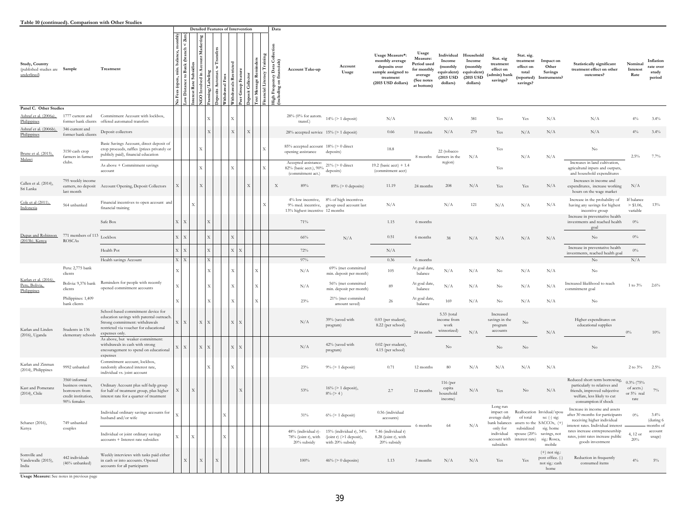#### **Table 10 (continued). Comparison with Other Studies**

|                                                                |                                                                                           |                                                                                                                                                                              |                                           |                               |                                           |                          |         |                           | <b>Detailed Features of Intervention</b> |                                        |                       |            | Data                                                                                            |                                                                            |                                                                            |                                                                                                              |                                                                                        |                                                                          |                                                                         |                                                                 |                                                                         |                                                                         |                                                                                                                                                       |                                                  |                                           |
|----------------------------------------------------------------|-------------------------------------------------------------------------------------------|------------------------------------------------------------------------------------------------------------------------------------------------------------------------------|-------------------------------------------|-------------------------------|-------------------------------------------|--------------------------|---------|---------------------------|------------------------------------------|----------------------------------------|-----------------------|------------|-------------------------------------------------------------------------------------------------|----------------------------------------------------------------------------|----------------------------------------------------------------------------|--------------------------------------------------------------------------------------------------------------|----------------------------------------------------------------------------------------|--------------------------------------------------------------------------|-------------------------------------------------------------------------|-----------------------------------------------------------------|-------------------------------------------------------------------------|-------------------------------------------------------------------------|-------------------------------------------------------------------------------------------------------------------------------------------------------|--------------------------------------------------|-------------------------------------------|
| Study, Country<br>(published studies are Sample<br>underlined) |                                                                                           | Treatment                                                                                                                                                                    | monthly<br>balance,<br>o Fees (open, min. | Distance to Bank (branch<br>È | Уar<br>Subsidie<br>Rate<br><b>xterest</b> | ğ<br>$\sin$<br>GO Involv | eposits | Fees<br><b>Tithdrawal</b> | ithdrawals Restric                       | Group Feature<br>eposit Collector<br>ă | Rem<br>Message I<br>ੱ | ncial Lite | Colle<br>ds)<br>Data<br>ancial<br>uency<br>on fina<br>ı Freqı<br>uding<br>្នូ<br>ឆ្នាំ<br>ឆ្នាំ | <b>Account Take-up</b>                                                     | Account<br>Usage                                                           | Usage Measure*:<br>monthly average<br>deposits over<br>sample assigned to<br>treatment<br>(2015 USD dollars) | Usage<br>Measure:<br>Period used<br>for monthly<br>average<br>(See notes<br>at bottom) | Individual<br>Income<br>(monthly<br>equivalent)<br>(2015 USD<br>dollars) | Household<br>Income<br>(monthly<br>equivalent)<br>(2015 USD<br>dollars) | Stat. sig<br>treatment<br>effect on<br>(admin) bank<br>savings? | Stat. sig.<br>treatment<br>effect on<br>total<br>(reported)<br>savings? | Impact on<br>Other<br><b>Savings</b><br>Instruments?                    | Statistically significant<br>treatment effect on other<br>outcomes?                                                                                   | Nominal<br>Interest<br>Rate                      | Inflation<br>rate over<br>study<br>period |
| Panel C. Other Studies                                         |                                                                                           |                                                                                                                                                                              |                                           |                               |                                           |                          |         |                           |                                          |                                        |                       |            |                                                                                                 |                                                                            |                                                                            |                                                                                                              |                                                                                        |                                                                          |                                                                         |                                                                 |                                                                         |                                                                         |                                                                                                                                                       |                                                  |                                           |
| Ashraf et al. (2006a),<br>Philippines                          | 1777 current and<br>former bank clients                                                   | Commitment Account with lockbox,<br>offered automated transfers                                                                                                              |                                           |                               |                                           |                          |         |                           | $\mathbf{x}$                             |                                        |                       |            |                                                                                                 | 28% (0% for autom.<br>transf.                                              | $14\%$ $(>1$ deposit)                                                      | N/A                                                                                                          |                                                                                        | N/A                                                                      | 381                                                                     | $\operatorname{Yes}$                                            | Yes                                                                     | N/A                                                                     | N/A                                                                                                                                                   | $4\%$                                            | 3.4%                                      |
| Ashraf et al. (2006b),<br>Philippines                          | 346 current and<br>former bank clients                                                    | Deposit collectors                                                                                                                                                           |                                           |                               |                                           |                          |         |                           | $\mathbf X$                              | X                                      |                       |            |                                                                                                 | 28% accepted service 15% (> 1 deposit)                                     |                                                                            | 0.66                                                                                                         | 10 months                                                                              | $N/\Lambda$                                                              | 279                                                                     | Yes                                                             | N/A                                                                     | N/A                                                                     | N/A                                                                                                                                                   | $4\%$                                            | $3.4\%$                                   |
| Brune et al. (2015),<br>Malawi<br>clubs.                       | 3150 cash crop<br>farmers in farmer                                                       | Basic Savings Account, direct deposit of<br>crop proceeds, raffles (prizes privately or<br>publicly paid), financial education                                               |                                           |                               |                                           |                          |         |                           |                                          |                                        |                       |            |                                                                                                 | 85% accepted account 18% (> 0 direct<br>opening assistance                 | deposits)                                                                  | 18.8                                                                                                         | 8 months                                                                               | 22 (tobacco<br>N/A<br>farmers in the                                     | Yes                                                                     | N/A                                                             | N/A                                                                     | $_{\rm No}$                                                             | 2.5%                                                                                                                                                  | 7.7%                                             |                                           |
|                                                                |                                                                                           | As above + Commitment savings<br>account                                                                                                                                     |                                           |                               |                                           | X                        |         |                           |                                          |                                        |                       |            |                                                                                                 | Accepted assistance:<br>82% (basic acct.), 90%<br>(commitment act.)        | $21\%$ (> 0 direct<br>deposits)                                            | 19.2 (basic acct) + $1.4$<br>(commitment acct)                                                               |                                                                                        | region)                                                                  |                                                                         | Yes                                                             |                                                                         |                                                                         | Increases in land cultivation,<br>agricultural inputs and outputs,<br>and household expenditures                                                      |                                                  |                                           |
| Callen et al. (2014),<br>Sri Lanka                             | 795 weekly income<br>earners, no deposit<br>last month                                    | Account Opening, Deposit Collectors                                                                                                                                          | X                                         |                               |                                           |                          |         |                           |                                          |                                        |                       |            | $\mathbf X$                                                                                     | 89%                                                                        | $89\% (> 0$ deposits)                                                      | 11.19                                                                                                        | 24 months                                                                              | 208                                                                      | N/A                                                                     | Yes                                                             | Yes                                                                     | N/A                                                                     | Increases in income and<br>expenditures, increase working<br>hours on the wage market                                                                 | N/A                                              |                                           |
| Cole et al (2011),<br>Indonesia                                | 564 unbanked                                                                              | Financial incentives to open account and<br>financial training                                                                                                               |                                           |                               |                                           |                          |         |                           |                                          |                                        |                       |            |                                                                                                 | 4% low incentive,<br>9% med. incentive,<br>13% highest incentive 12 months | 8% of high incentives<br>group used account last                           | N/A                                                                                                          |                                                                                        | $N/\Lambda$                                                              | 121                                                                     | N/A                                                             | N/A                                                                     | N/A                                                                     | Increase in the probability of<br>having any savings for highest<br>incentive group                                                                   | If balance<br>$>$ \$1.06,<br>variable            | 13%                                       |
|                                                                |                                                                                           | Safe Box                                                                                                                                                                     | $\mathbf X$                               | $\mathbf X$                   |                                           |                          |         |                           |                                          |                                        |                       |            |                                                                                                 | 71%                                                                        |                                                                            | 1.15                                                                                                         | 6 months                                                                               |                                                                          |                                                                         |                                                                 |                                                                         |                                                                         | Increase in preventative health<br>investments and reached health<br>goal                                                                             | $0\%$                                            |                                           |
| Dupas and Robinson<br>(2013b), Kenya                           | 771 members of 113 Lockbox<br><b>ROSCAs</b>                                               |                                                                                                                                                                              | $\mathbf X$                               | $\mathbf{X}$                  |                                           |                          |         |                           | $\overline{X}$                           |                                        |                       |            |                                                                                                 | $66\%$                                                                     | N/A                                                                        | 0.51                                                                                                         | 6 months                                                                               | 38                                                                       | N/A                                                                     | N/A                                                             | N/A                                                                     | N/A                                                                     | No                                                                                                                                                    | $0\%$                                            |                                           |
|                                                                |                                                                                           | Health Pot                                                                                                                                                                   | $\bar{X}$                                 | $\overline{\mathbf{x}}$       |                                           |                          |         |                           | $\mathbf X$<br>$\bar{X}$                 |                                        |                       |            |                                                                                                 | 72%                                                                        |                                                                            | N/A                                                                                                          |                                                                                        |                                                                          |                                                                         |                                                                 |                                                                         |                                                                         | Increase in preventative health<br>investments, reached health goal                                                                                   | $0\%$                                            |                                           |
|                                                                |                                                                                           | Health savings Account                                                                                                                                                       | X X                                       |                               |                                           |                          |         |                           |                                          |                                        |                       |            |                                                                                                 | 97%                                                                        |                                                                            | 0.36                                                                                                         | 6 months                                                                               |                                                                          |                                                                         |                                                                 |                                                                         |                                                                         | $\rm No$                                                                                                                                              | N/A                                              |                                           |
|                                                                | Peru: 2,775 bank<br>clients                                                               |                                                                                                                                                                              | $\boldsymbol{\mathrm{X}}$                 |                               |                                           |                          |         |                           | X                                        |                                        | X                     |            |                                                                                                 | N/A                                                                        | 69% (met committed<br>min. deposit per month)                              | 105                                                                                                          | At goal date,<br>balance                                                               | $N/\Lambda$                                                              | N/A                                                                     | No                                                              | N/A                                                                     | N/A                                                                     | $_{\rm No}$                                                                                                                                           |                                                  |                                           |
| Karlan et al. (2016),<br>Peru, Bolivia,<br>Philippines         | Bolivia: 9,376 bank<br>clients                                                            | Reminders for people with recently<br>opened commitment accounts                                                                                                             | $\boldsymbol{\mathrm{X}}$                 |                               |                                           |                          |         |                           |                                          |                                        |                       |            |                                                                                                 | N/A                                                                        | 56% (met committed<br>min. deposit per month)                              | 89                                                                                                           | At goal date,<br>balance                                                               | N/A                                                                      | N/A                                                                     | No                                                              | N/A                                                                     | N/A                                                                     | Increased likelihood to reach<br>commitment goal                                                                                                      | 1 to $3\%$                                       | 2.6%                                      |
|                                                                | Philippines: 1,409<br>bank clients                                                        |                                                                                                                                                                              | X                                         |                               |                                           |                          |         |                           |                                          |                                        |                       |            |                                                                                                 | 23%                                                                        | 21% (met commited<br>amount saved)                                         | 26                                                                                                           | At goal date,<br>balance                                                               | 169                                                                      | N/A                                                                     | N <sub>0</sub>                                                  | N/A                                                                     | N/A                                                                     | N <sub>0</sub>                                                                                                                                        |                                                  |                                           |
| Karlan and Linden<br>(2016), Uganda                            | Students in 136<br>elementary schools                                                     | School-based commitment device for<br>education savings with parental outreach<br>Strong commitment: withdrawals<br>restricted via voucher for educational<br>expenses only. | X                                         | X                             | X                                         |                          |         |                           | X<br>X                                   |                                        |                       |            |                                                                                                 | N/A                                                                        | 39% (saved with<br>program)                                                | $0.03$ (per student),<br>8.22 (per school)                                                                   | 24 months                                                                              | 5.33 (total<br>income from<br>work<br>winsorized)                        | N/A                                                                     | Increased<br>savings in the<br>program<br>accounts              | No                                                                      | N/A                                                                     | Higher expenditures on<br>educational supplies                                                                                                        | 0%                                               | 10%                                       |
|                                                                |                                                                                           | As above, but weaker commitment:<br>withdrawals in cash with strong<br>encouragement to spend on educational<br>expenses                                                     | X                                         | $\mathbf X$                   |                                           | X                        |         |                           | X<br>$\bar{X}$                           |                                        |                       |            |                                                                                                 | N/A                                                                        | 42% (saved with<br>program)                                                | $0.02$ (per student),<br>4.15 (per school)                                                                   |                                                                                        | No                                                                       |                                                                         | N <sub>o</sub>                                                  | No                                                                      |                                                                         | $\rm No$                                                                                                                                              |                                                  |                                           |
| Karlan and Zinman<br>(2014), Philippines                       | 9992 unbanked                                                                             | Commitment account, lockbox,<br>randomly allocated interest rate,<br>individual vs. joint account                                                                            |                                           |                               |                                           |                          |         |                           | X                                        |                                        |                       |            |                                                                                                 | 23%                                                                        | $9\% (> 1$ deposit)                                                        | 0.71                                                                                                         | 12 months                                                                              | 80                                                                       | N/A                                                                     | N/A                                                             | N/A                                                                     | N/A                                                                     |                                                                                                                                                       | $2$ to $3\%$                                     | $2.5\%$                                   |
| Kast and Pomeranz<br>(2014), Chile                             | 3560 informal<br>business owners,<br>borrowers from<br>credit institution,<br>90% females | Ordinary Account plus self-help group<br>for half of treatment group, plus higher<br>interest rate for a quarter of treatment                                                |                                           |                               |                                           |                          |         |                           |                                          |                                        |                       |            |                                                                                                 | 53%                                                                        | $16\%$ (> 1 deposit),<br>$8\% (> 4)$                                       | 2.7                                                                                                          | 12 months                                                                              | 116 (per<br>capita<br>household<br>income)                               | $\rm N/A$                                                               | Yes                                                             | No                                                                      | N/A                                                                     | Reduced short term borrowing,<br>particularly to relatives and<br>friends, improved subjective<br>welfare, less likely to cut<br>consumption if shock | $0.3\%$ (75%<br>of accts.)<br>or 5% real<br>rate | $7\%$                                     |
| Schaner (2016),                                                | 749 unbanked                                                                              | Individual ordinary savings accounts for<br>husband and/or wife                                                                                                              |                                           |                               |                                           |                          |         |                           |                                          |                                        |                       |            |                                                                                                 | 31%                                                                        | $6\% (> 1$ deposit)                                                        | 0.56 (individual<br>accounts)                                                                                |                                                                                        |                                                                          |                                                                         | Long run<br>impact on<br>average daily<br>bank balances         | of total                                                                | Reallocation Invidual/spou<br>se: (-) sig:<br>assets to the SACCOs, (+) | Increase in income and assets<br>after 30 months for participants<br>receiving higher individual                                                      | $0\%$                                            | 3.4%<br>(during 6                         |
| Kenya                                                          | couples                                                                                   | Individual or joint ordinary savings<br>accounts + Interest rate subsidies                                                                                                   | X                                         |                               |                                           |                          |         |                           |                                          |                                        |                       |            |                                                                                                 | 48% (individual r)-<br>78% (joint r), with<br>20% subsidy                  | 15% (individual r), 34%<br>$(joint r)$ $(>1$ deposit),<br>with 20% subsidy | 7.46 (individual r)<br>8.28 (joint r), with<br>20% subsidy                                                   | 6 months                                                                               | 64                                                                       | N/A                                                                     | only for<br>individual<br>account with<br>subsidies             | subsidized<br>spouse (20%<br>interest rate)                             | sig. home<br>savings, not<br>sig.: Rosca,<br>mobile                     | interest rates. Individual interest<br>rates increase entrepreneurship<br>rates, joint rates increase public<br>goods investment                      | 4, 12 or<br>20%                                  | nonths of<br>account<br>usage)            |
| Somville and<br>Vandewalle (2015),<br>India                    | 442 individuals<br>(46% unbanked)                                                         | Weekly interviews with tasks paid either<br>in cash or into accounts. Opened<br>accounts for all participants                                                                |                                           | $\overline{X}$                |                                           |                          |         |                           |                                          |                                        |                       |            |                                                                                                 | 100%                                                                       | $46\% (> 0$ deposits)                                                      | 1.13                                                                                                         | 3 months                                                                               | N/A                                                                      | N/A                                                                     | Yes                                                             | Yes                                                                     | $(+)$ not sig.:<br>post office. (-)<br>not sig.: cash<br>home           | Reduction in frequently<br>consumed items                                                                                                             | $4\%$                                            | $5\%$                                     |

**Usage Measure:** See notes in previous page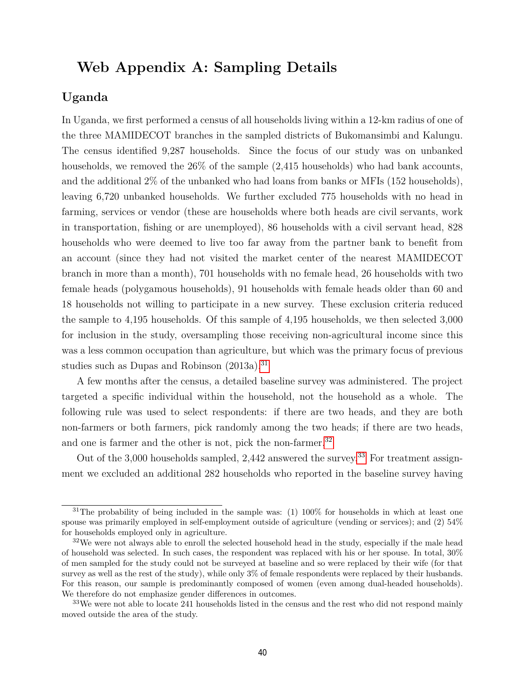## **Web Appendix A: Sampling Details**

## **Uganda**

In Uganda, we first performed a census of all households living within a 12-km radius of one of the three MAMIDECOT branches in the sampled districts of Bukomansimbi and Kalungu. The census identified 9,287 households. Since the focus of our study was on unbanked households, we removed the  $26\%$  of the sample (2,415 households) who had bank accounts, and the additional 2% of the unbanked who had loans from banks or MFIs (152 households), leaving 6,720 unbanked households. We further excluded 775 households with no head in farming, services or vendor (these are households where both heads are civil servants, work in transportation, fishing or are unemployed), 86 households with a civil servant head, 828 households who were deemed to live too far away from the partner bank to benefit from an account (since they had not visited the market center of the nearest MAMIDECOT branch in more than a month), 701 households with no female head, 26 households with two female heads (polygamous households), 91 households with female heads older than 60 and 18 households not willing to participate in a new survey. These exclusion criteria reduced the sample to 4,195 households. Of this sample of 4,195 households, we then selected 3,000 for inclusion in the study, oversampling those receiving non-agricultural income since this was a less common occupation than agriculture, but which was the primary focus of previous studies such as Dupas and Robinson (2013a).<sup>31</sup>

A few months after the census, a detailed baseline survey was administered. The project targeted a specific individual within the household, not the household as a whole. The following rule was used to select respondents: if there are two heads, and they are both non-farmers or both farmers, pick randomly among the two heads; if there are two heads, and one is farmer and the other is not, pick the non-farmer.<sup>32</sup>

Out of the 3,000 households sampled,  $2,442$  answered the survey.<sup>33</sup> For treatment assignment we excluded an additional 282 households who reported in the baseline survey having

 $31$ The probability of being included in the sample was: (1) 100% for households in which at least one spouse was primarily employed in self-employment outside of agriculture (vending or services); and (2) 54% for households employed only in agriculture.

 $32\text{We were not always able to enroll the selected household head in the study, especially if the male head.}$ of household was selected. In such cases, the respondent was replaced with his or her spouse. In total, 30% of men sampled for the study could not be surveyed at baseline and so were replaced by their wife (for that survey as well as the rest of the study), while only 3% of female respondents were replaced by their husbands. For this reason, our sample is predominantly composed of women (even among dual-headed households). We therefore do not emphasize gender differences in outcomes.

<sup>&</sup>lt;sup>33</sup>We were not able to locate 241 households listed in the census and the rest who did not respond mainly moved outside the area of the study.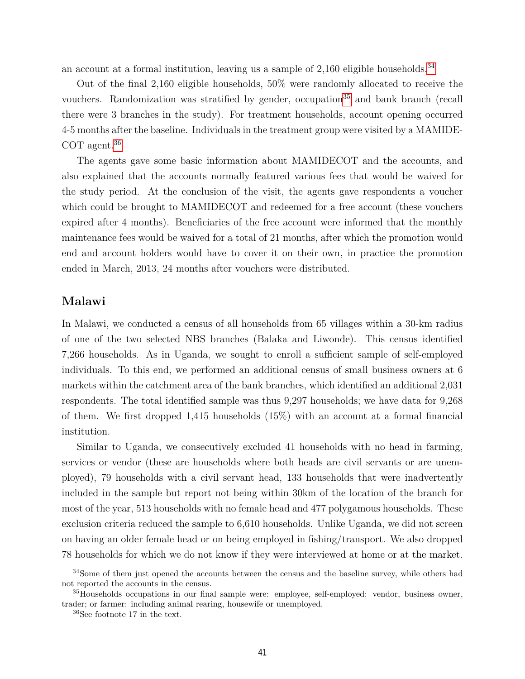an account at a formal institution, leaving us a sample of  $2,160$  eligible households.<sup>34</sup>

Out of the final 2,160 eligible households, 50% were randomly allocated to receive the vouchers. Randomization was stratified by gender, occupation<sup>35</sup> and bank branch (recall there were 3 branches in the study). For treatment households, account opening occurred 4-5 months after the baseline. Individuals in the treatment group were visited by a MAMIDE-COT agent.<sup>36</sup>

The agents gave some basic information about MAMIDECOT and the accounts, and also explained that the accounts normally featured various fees that would be waived for the study period. At the conclusion of the visit, the agents gave respondents a voucher which could be brought to MAMIDECOT and redeemed for a free account (these vouchers expired after 4 months). Beneficiaries of the free account were informed that the monthly maintenance fees would be waived for a total of 21 months, after which the promotion would end and account holders would have to cover it on their own, in practice the promotion ended in March, 2013, 24 months after vouchers were distributed.

## **Malawi**

In Malawi, we conducted a census of all households from 65 villages within a 30-km radius of one of the two selected NBS branches (Balaka and Liwonde). This census identified 7,266 households. As in Uganda, we sought to enroll a sufficient sample of self-employed individuals. To this end, we performed an additional census of small business owners at 6 markets within the catchment area of the bank branches, which identified an additional 2,031 respondents. The total identified sample was thus 9,297 households; we have data for 9,268 of them. We first dropped 1,415 households (15%) with an account at a formal financial institution.

Similar to Uganda, we consecutively excluded 41 households with no head in farming, services or vendor (these are households where both heads are civil servants or are unemployed), 79 households with a civil servant head, 133 households that were inadvertently included in the sample but report not being within 30km of the location of the branch for most of the year, 513 households with no female head and 477 polygamous households. These exclusion criteria reduced the sample to 6,610 households. Unlike Uganda, we did not screen on having an older female head or on being employed in fishing/transport. We also dropped 78 households for which we do not know if they were interviewed at home or at the market.

<sup>&</sup>lt;sup>34</sup>Some of them just opened the accounts between the census and the baseline survey, while others had not reported the accounts in the census.

<sup>35</sup>Households occupations in our final sample were: employee, self-employed: vendor, business owner, trader; or farmer: including animal rearing, housewife or unemployed.

<sup>36</sup>See footnote 17 in the text.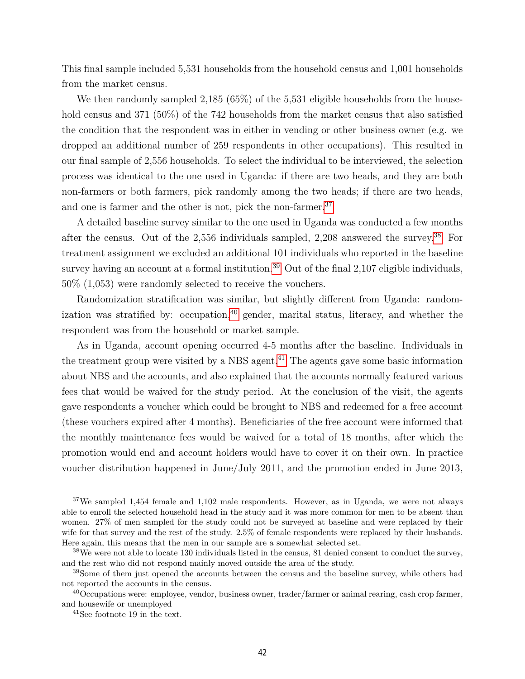This final sample included 5,531 households from the household census and 1,001 households from the market census.

We then randomly sampled 2,185 (65%) of the 5,531 eligible households from the household census and 371 (50%) of the 742 households from the market census that also satisfied the condition that the respondent was in either in vending or other business owner (e.g. we dropped an additional number of 259 respondents in other occupations). This resulted in our final sample of 2,556 households. To select the individual to be interviewed, the selection process was identical to the one used in Uganda: if there are two heads, and they are both non-farmers or both farmers, pick randomly among the two heads; if there are two heads, and one is farmer and the other is not, pick the non-farmer.<sup>37</sup>

A detailed baseline survey similar to the one used in Uganda was conducted a few months after the census. Out of the 2,556 individuals sampled, 2,208 answered the survey.38 For treatment assignment we excluded an additional 101 individuals who reported in the baseline survey having an account at a formal institution.<sup>39</sup> Out of the final  $2,107$  eligible individuals, 50% (1,053) were randomly selected to receive the vouchers.

Randomization stratification was similar, but slightly different from Uganda: randomization was stratified by: occupation,  $40$  gender, marital status, literacy, and whether the respondent was from the household or market sample.

As in Uganda, account opening occurred 4-5 months after the baseline. Individuals in the treatment group were visited by a NBS agent.<sup>41</sup> The agents gave some basic information about NBS and the accounts, and also explained that the accounts normally featured various fees that would be waived for the study period. At the conclusion of the visit, the agents gave respondents a voucher which could be brought to NBS and redeemed for a free account (these vouchers expired after 4 months). Beneficiaries of the free account were informed that the monthly maintenance fees would be waived for a total of 18 months, after which the promotion would end and account holders would have to cover it on their own. In practice voucher distribution happened in June/July 2011, and the promotion ended in June 2013,

<sup>37</sup>We sampled 1,454 female and 1,102 male respondents. However, as in Uganda, we were not always able to enroll the selected household head in the study and it was more common for men to be absent than women. 27% of men sampled for the study could not be surveyed at baseline and were replaced by their wife for that survey and the rest of the study. 2.5% of female respondents were replaced by their husbands. Here again, this means that the men in our sample are a somewhat selected set.

<sup>&</sup>lt;sup>38</sup>We were not able to locate 130 individuals listed in the census, 81 denied consent to conduct the survey, and the rest who did not respond mainly moved outside the area of the study.

<sup>&</sup>lt;sup>39</sup>Some of them just opened the accounts between the census and the baseline survey, while others had not reported the accounts in the census.

<sup>40</sup>Occupations were: employee, vendor, business owner, trader/farmer or animal rearing, cash crop farmer, and housewife or unemployed

<sup>41</sup>See footnote 19 in the text.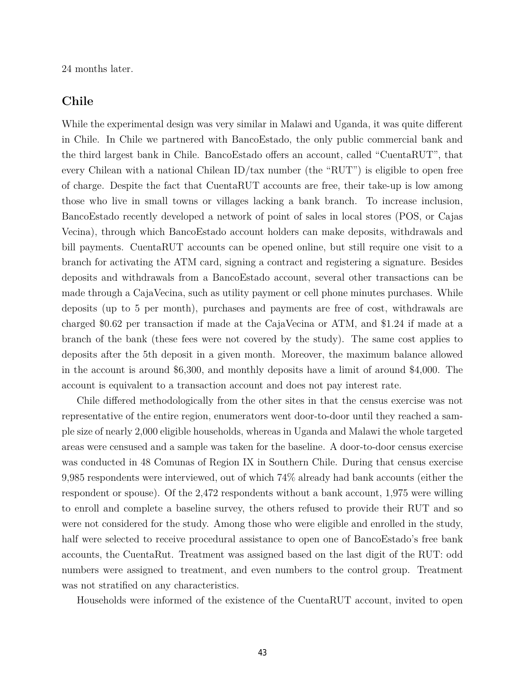24 months later.

## **Chile**

While the experimental design was very similar in Malawi and Uganda, it was quite different in Chile. In Chile we partnered with BancoEstado, the only public commercial bank and the third largest bank in Chile. BancoEstado offers an account, called "CuentaRUT", that every Chilean with a national Chilean ID/tax number (the "RUT") is eligible to open free of charge. Despite the fact that CuentaRUT accounts are free, their take-up is low among those who live in small towns or villages lacking a bank branch. To increase inclusion, BancoEstado recently developed a network of point of sales in local stores (POS, or Cajas Vecina), through which BancoEstado account holders can make deposits, withdrawals and bill payments. CuentaRUT accounts can be opened online, but still require one visit to a branch for activating the ATM card, signing a contract and registering a signature. Besides deposits and withdrawals from a BancoEstado account, several other transactions can be made through a CajaVecina, such as utility payment or cell phone minutes purchases. While deposits (up to 5 per month), purchases and payments are free of cost, withdrawals are charged \$0.62 per transaction if made at the CajaVecina or ATM, and \$1.24 if made at a branch of the bank (these fees were not covered by the study). The same cost applies to deposits after the 5th deposit in a given month. Moreover, the maximum balance allowed in the account is around \$6,300, and monthly deposits have a limit of around \$4,000. The account is equivalent to a transaction account and does not pay interest rate.

Chile differed methodologically from the other sites in that the census exercise was not representative of the entire region, enumerators went door-to-door until they reached a sample size of nearly 2,000 eligible households, whereas in Uganda and Malawi the whole targeted areas were censused and a sample was taken for the baseline. A door-to-door census exercise was conducted in 48 Comunas of Region IX in Southern Chile. During that census exercise 9,985 respondents were interviewed, out of which 74% already had bank accounts (either the respondent or spouse). Of the 2,472 respondents without a bank account, 1,975 were willing to enroll and complete a baseline survey, the others refused to provide their RUT and so were not considered for the study. Among those who were eligible and enrolled in the study, half were selected to receive procedural assistance to open one of BancoEstado's free bank accounts, the CuentaRut. Treatment was assigned based on the last digit of the RUT: odd numbers were assigned to treatment, and even numbers to the control group. Treatment was not stratified on any characteristics.

Households were informed of the existence of the CuentaRUT account, invited to open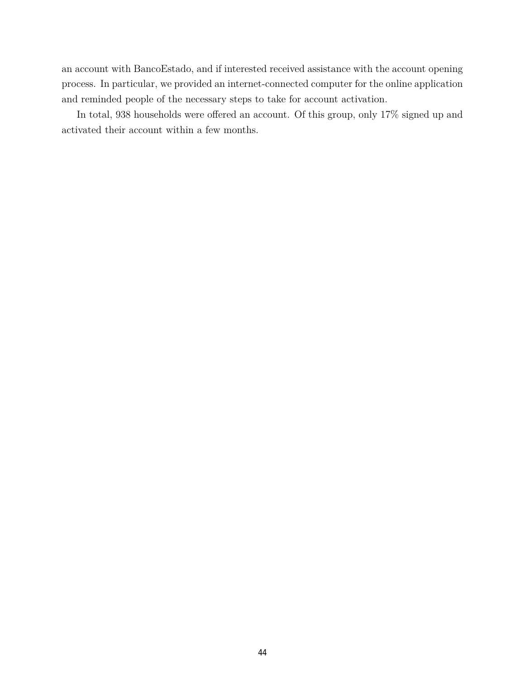an account with BancoEstado, and if interested received assistance with the account opening process. In particular, we provided an internet-connected computer for the online application and reminded people of the necessary steps to take for account activation.

In total, 938 households were offered an account. Of this group, only 17% signed up and activated their account within a few months.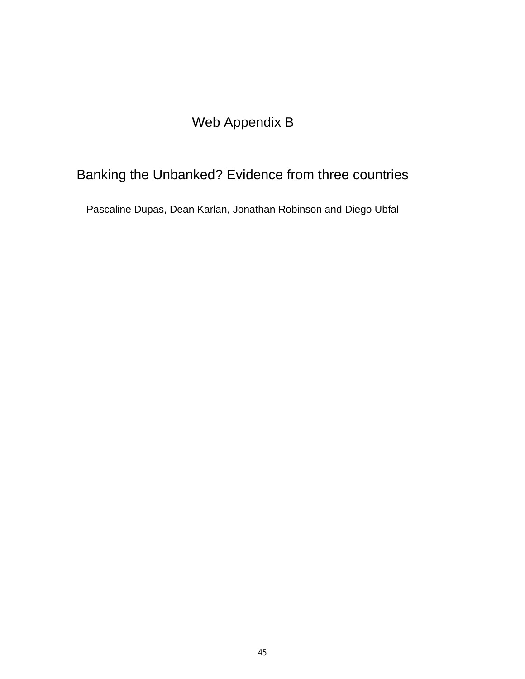# Web Appendix B

# Banking the Unbanked? Evidence from three countries

Pascaline Dupas, Dean Karlan, Jonathan Robinson and Diego Ubfal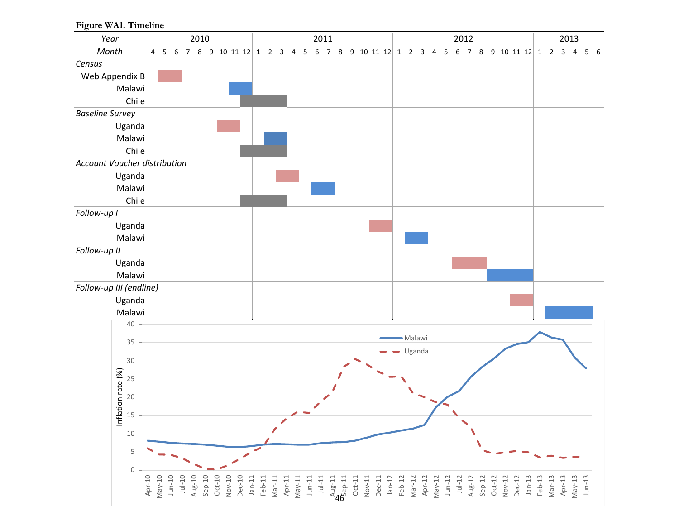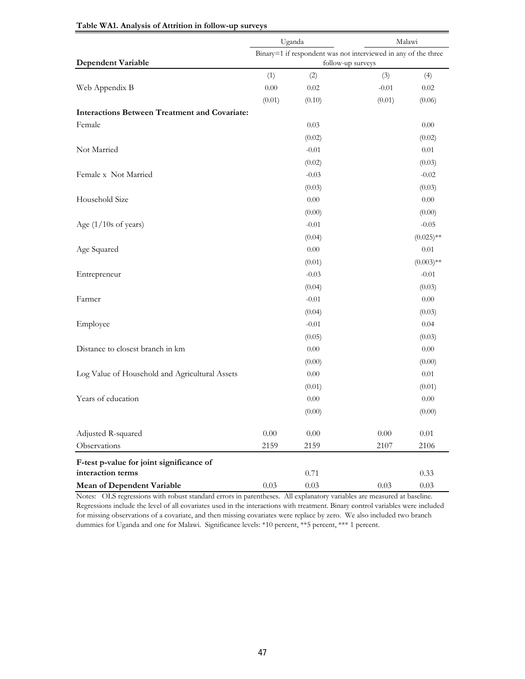|                                                      |                                                                | Uganda  | Malawi   |              |  |  |  |  |  |  |
|------------------------------------------------------|----------------------------------------------------------------|---------|----------|--------------|--|--|--|--|--|--|
|                                                      | Binary=1 if respondent was not interviewed in any of the three |         |          |              |  |  |  |  |  |  |
| <b>Dependent Variable</b>                            | follow-up surveys                                              |         |          |              |  |  |  |  |  |  |
|                                                      | (1)                                                            | (2)     | (3)      | (4)          |  |  |  |  |  |  |
| Web Appendix B                                       | 0.00                                                           | 0.02    | $-0.01$  | 0.02         |  |  |  |  |  |  |
|                                                      | (0.01)                                                         | (0.10)  | (0.01)   | (0.06)       |  |  |  |  |  |  |
| <b>Interactions Between Treatment and Covariate:</b> |                                                                |         |          |              |  |  |  |  |  |  |
| Female                                               |                                                                | 0.03    |          | 0.00         |  |  |  |  |  |  |
|                                                      |                                                                | (0.02)  |          | (0.02)       |  |  |  |  |  |  |
| Not Married                                          |                                                                | $-0.01$ |          | 0.01         |  |  |  |  |  |  |
|                                                      |                                                                | (0.02)  |          | (0.03)       |  |  |  |  |  |  |
| Female x Not Married                                 |                                                                | $-0.03$ |          | $-0.02$      |  |  |  |  |  |  |
|                                                      |                                                                | (0.03)  |          | (0.03)       |  |  |  |  |  |  |
| Household Size                                       |                                                                | 0.00    |          | 0.00         |  |  |  |  |  |  |
|                                                      |                                                                | (0.00)  |          | (0.00)       |  |  |  |  |  |  |
| Age $(1/10s$ of years)                               |                                                                | $-0.01$ |          | $-0.05$      |  |  |  |  |  |  |
|                                                      |                                                                | (0.04)  |          | $(0.025)$ ** |  |  |  |  |  |  |
| Age Squared                                          |                                                                | 0.00    |          | 0.01         |  |  |  |  |  |  |
|                                                      |                                                                | (0.01)  |          | $(0.003)$ ** |  |  |  |  |  |  |
| Entrepreneur                                         |                                                                | $-0.03$ |          | $-0.01$      |  |  |  |  |  |  |
|                                                      |                                                                | (0.04)  |          | (0.03)       |  |  |  |  |  |  |
| Farmer                                               |                                                                | $-0.01$ |          | 0.00         |  |  |  |  |  |  |
|                                                      |                                                                | (0.04)  |          | (0.03)       |  |  |  |  |  |  |
| Employee                                             |                                                                | $-0.01$ |          | 0.04         |  |  |  |  |  |  |
|                                                      |                                                                | (0.05)  |          | (0.03)       |  |  |  |  |  |  |
| Distance to closest branch in km                     |                                                                | 0.00    |          | 0.00         |  |  |  |  |  |  |
|                                                      |                                                                | (0.00)  |          | (0.00)       |  |  |  |  |  |  |
| Log Value of Household and Agricultural Assets       |                                                                | 0.00    |          | 0.01         |  |  |  |  |  |  |
|                                                      |                                                                | (0.01)  |          | (0.01)       |  |  |  |  |  |  |
| Years of education                                   |                                                                | 0.00    |          | 0.00         |  |  |  |  |  |  |
|                                                      |                                                                | (0.00)  |          | (0.00)       |  |  |  |  |  |  |
| Adjusted R-squared                                   | 0.00                                                           | 0.00    | $0.00\,$ | $0.01\,$     |  |  |  |  |  |  |
| Observations                                         | 2159                                                           | 2159    | 2107     | 2106         |  |  |  |  |  |  |
| F-test p-value for joint significance of             |                                                                |         |          |              |  |  |  |  |  |  |
| interaction terms                                    |                                                                | 0.71    |          | 0.33         |  |  |  |  |  |  |
| <b>Mean of Dependent Variable</b>                    | 0.03                                                           | 0.03    | $0.03\,$ | 0.03         |  |  |  |  |  |  |

### **Table WA1. Analysis of Attrition in follow-up surveys**

Notes: OLS regressions with robust standard errors in parentheses. All explanatory variables are measured at baseline. Regressions include the level of all covariates used in the interactions with treatment. Binary control variables were included for missing observations of a covariate, and then missing covariates were replace by zero. We also included two branch dummies for Uganda and one for Malawi. Significance levels: \*10 percent, \*\*5 percent, \*\*\* 1 percent.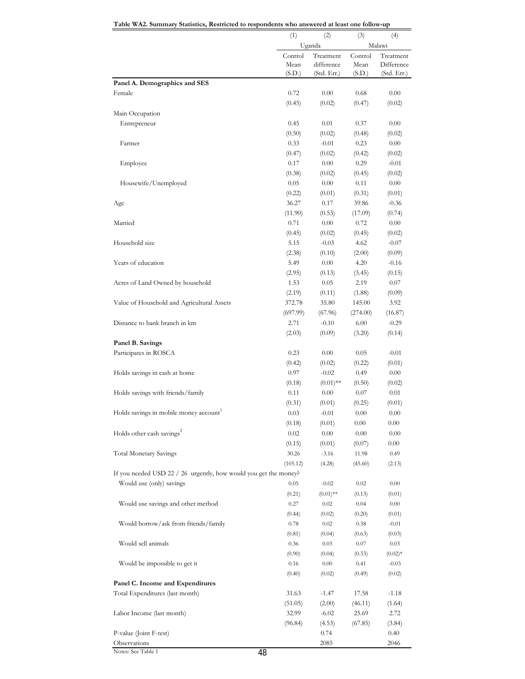$(1)$   $(2)$   $(3)$   $(4)$ Control Mean (S.D.) Treatment difference (Std. Err.) Control Mean (S.D.) Treatment Difference (Std. Err.) **Panel A. Demographics and SES** Female 0.72 0.00 0.68 0.00  $(0.45)$   $(0.02)$   $(0.47)$   $(0.02)$ Main Occupation Entrepreneur 0.45 0.01 0.37 0.00  $(0.50)$   $(0.02)$   $(0.48)$   $(0.02)$ Farmer 0.33 -0.01 0.23 0.00  $(0.47)$   $(0.02)$   $(0.42)$   $(0.02)$ Employee 0.17 0.00 0.29 -0.01  $(0.38)$   $(0.02)$   $(0.45)$   $(0.02)$ Housewife/Unemployed 0.05 0.00 0.11 0.00  $(0.22)$   $(0.01)$   $(0.31)$   $(0.01)$ Age 36.27 0.17 39.86 -0.36  $(11.90)$   $(0.53)$   $(17.09)$   $(0.74)$ Married 0.71 0.00 0.72 0.00  $(0.45)$   $(0.02)$   $(0.45)$   $(0.02)$ Household size 5.15 -0.03 4.62 -0.07  $(2.38)$   $(0.10)$   $(2.00)$   $(0.09)$ Years of education 6.49 0.00 4.20  $-0.16$  $(2.95)$   $(0.13)$   $(3.45)$   $(0.15)$ Acres of Land Owned by household 1.53 0.05 2.19 0.07  $(2.19)$   $(0.11)$   $(1.88)$   $(0.09)$ Value of Household and Agricultural Assets 372.78 35.80 145.00 3.92 (697.99) (67.96) (274.00) (16.87) Distance to bank branch in km 2.71 -0.10 6.00 -0.29  $(2.03)$   $(0.09)$   $(3.20)$   $(0.14)$ **Panel B. Savings** Participates in ROSCA 0.23 0.00 0.05 -0.01  $(0.42)$   $(0.02)$   $(0.22)$   $(0.01)$ Holds savings in cash at home 0.97 -0.02 0.49 0.00  $(0.18)$   $(0.01)$ \*\*  $(0.50)$   $(0.02)$ Holds savings with friends/family 0.11 0.00 0.07 0.01  $(0.31)$   $(0.01)$   $(0.25)$   $(0.01)$ Holds savings in mobile money  $\mathrm{account}^1$  0.03  $-0.01$  0.00 0.00  $(0.18)$   $(0.01)$   $0.00$   $0.00$ Holds other cash savings<sup>2</sup> 0.02 0.00 0.00 0.00 0.00  $(0.15)$   $(0.01)$   $(0.07)$   $0.00$ Total Monetary Savings 30.26 -3.16 11.98 0.49  $(105.12)$   $(4.28)$   $(45.60)$   $(2.13)$ If you needed USD 22 / 26 urgently, how would you get the money? Would use (only) savings  $0.05 -0.02 = 0.02 = 0.00$  $(0.21)$   $(0.01)$ <sup>\*\*</sup>  $(0.13)$   $(0.01)$ Would use savings and other method 0.27 0.02 0.04 0.00  $(0.44)$   $(0.02)$   $(0.20)$   $(0.01)$ Would borrow/ask from friends/family 0.78 0.02 0.38 -0.01  $(0.81)$   $(0.04)$   $(0.63)$   $(0.03)$  Would sell animals 0.36 0.03 0.07 0.03  $(0.90)$   $(0.04)$   $(0.33)$   $(0.02)$ \* Would be impossible to get it  $0.16$   $0.00$   $0.41$   $-0.03$  $(0.40)$   $(0.02)$   $(0.49)$   $(0.02)$ **Panel C. Income and Expenditures** Total Expenditures (last month) 31.63 -1.47 17.58 -1.18  $(51.05)$   $(2.00)$   $(46.11)$   $(1.64)$ Labor Income (last month) 32.99 -6.02 25.69 2.72 (96.84) (4.53) (67.85) (3.84) P-value (Joint F-test) 0.74 0.40 Observations 2085 2046 Uganda Malawi

| Table WA2. Summary Statistics, Restricted to respondents who answered at least one follow-up |  |  |  |
|----------------------------------------------------------------------------------------------|--|--|--|
|                                                                                              |  |  |  |

Notes: See Table 1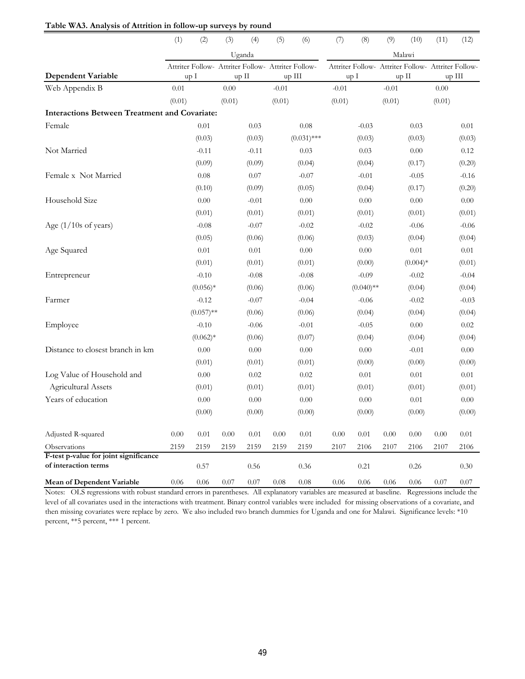|                                                      | (1)      | (2)                                                | (3)      | (4)      | (5)      | (6)           | (7)      | (8)                                                | (9)      | (10)       | (11)     | (12)     |  |  |
|------------------------------------------------------|----------|----------------------------------------------------|----------|----------|----------|---------------|----------|----------------------------------------------------|----------|------------|----------|----------|--|--|
|                                                      |          |                                                    |          | Uganda   |          |               | Malawi   |                                                    |          |            |          |          |  |  |
|                                                      |          | Attriter Follow- Attriter Follow- Attriter Follow- |          |          |          |               |          | Attriter Follow- Attriter Follow- Attriter Follow- |          |            |          |          |  |  |
| <b>Dependent Variable</b>                            |          | up I                                               |          | up II    | up III   |               | up I     |                                                    | up II    |            | up III   |          |  |  |
| Web Appendix B                                       | 0.01     |                                                    | 0.00     |          | $-0.01$  |               | $-0.01$  |                                                    | $-0.01$  |            | 0.00     |          |  |  |
|                                                      | (0.01)   |                                                    | (0.01)   |          | (0.01)   |               | (0.01)   |                                                    | (0.01)   |            | (0.01)   |          |  |  |
| <b>Interactions Between Treatment and Covariate:</b> |          |                                                    |          |          |          |               |          |                                                    |          |            |          |          |  |  |
| Female                                               |          | 0.01                                               |          | 0.03     |          | 0.08          |          | $-0.03$                                            |          | 0.03       |          | 0.01     |  |  |
|                                                      |          | (0.03)                                             |          | (0.03)   |          | $(0.031)$ *** |          | (0.03)                                             |          | (0.03)     |          | (0.03)   |  |  |
| Not Married                                          |          | $-0.11$                                            |          | $-0.11$  |          | 0.03          |          | 0.03                                               |          | 0.00       |          | 0.12     |  |  |
|                                                      |          | (0.09)                                             |          | (0.09)   |          | (0.04)        |          | (0.04)                                             |          | (0.17)     |          | (0.20)   |  |  |
| Female x Not Married                                 |          | 0.08                                               |          | 0.07     |          | $-0.07$       |          | $-0.01$                                            |          | $-0.05$    |          | $-0.16$  |  |  |
|                                                      |          | (0.10)                                             |          | (0.09)   |          | (0.05)        |          | (0.04)                                             |          | (0.17)     |          | (0.20)   |  |  |
| Household Size                                       |          | 0.00                                               |          | $-0.01$  |          | 0.00          |          | 0.00                                               |          | 0.00       |          | 0.00     |  |  |
|                                                      |          | (0.01)                                             |          | (0.01)   |          | (0.01)        |          | (0.01)                                             |          | (0.01)     |          | (0.01)   |  |  |
| Age (1/10s of years)                                 |          | $-0.08$                                            |          | $-0.07$  |          | $-0.02$       |          | $-0.02$                                            |          | $-0.06$    |          | $-0.06$  |  |  |
|                                                      |          | (0.05)                                             |          | (0.06)   |          | (0.06)        |          | (0.03)                                             |          | (0.04)     |          | (0.04)   |  |  |
| Age Squared                                          |          | $0.01\,$                                           |          | $0.01\,$ |          | $0.00\,$      |          | $0.00\,$                                           |          | 0.01       |          | 0.01     |  |  |
|                                                      |          | (0.01)                                             |          | (0.01)   |          | (0.01)        |          | (0.00)                                             |          | $(0.004)*$ |          | (0.01)   |  |  |
| Entrepreneur                                         |          | $-0.10$                                            |          | $-0.08$  |          | $-0.08$       |          | $-0.09$                                            |          | $-0.02$    |          | $-0.04$  |  |  |
|                                                      |          | $(0.056)*$                                         |          | (0.06)   |          | (0.06)        |          | $(0.040)$ **                                       |          | (0.04)     |          | (0.04)   |  |  |
| Farmer                                               |          | $-0.12$                                            |          | $-0.07$  |          | $-0.04$       |          | $-0.06$                                            |          | $-0.02$    |          | $-0.03$  |  |  |
|                                                      |          | $(0.057)$ **                                       |          | (0.06)   |          | (0.06)        |          | (0.04)                                             |          | (0.04)     |          | (0.04)   |  |  |
| Employee                                             |          | $-0.10$                                            |          | $-0.06$  |          | $-0.01$       |          | $-0.05$                                            |          | 0.00       |          | 0.02     |  |  |
|                                                      |          | $(0.062)*$                                         |          | (0.06)   |          | (0.07)        |          | (0.04)                                             |          | (0.04)     |          | (0.04)   |  |  |
| Distance to closest branch in km                     |          | 0.00                                               |          | 0.00     |          | 0.00          |          | $0.00\,$                                           |          | $-0.01$    |          | 0.00     |  |  |
|                                                      |          | (0.01)                                             |          | (0.01)   |          | (0.01)        |          | (0.00)                                             |          | (0.00)     |          | (0.00)   |  |  |
| Log Value of Household and                           |          | 0.00                                               |          | 0.02     |          | 0.02          |          | $0.01\,$                                           |          | 0.01       |          | 0.01     |  |  |
| Agricultural Assets                                  |          | (0.01)                                             |          | (0.01)   |          | (0.01)        |          | (0.01)                                             |          | (0.01)     |          | (0.01)   |  |  |
| Years of education                                   |          | $0.00\,$                                           |          | $0.00\,$ |          | 0.00          |          | $0.00\,$                                           |          | 0.01       |          | 0.00     |  |  |
|                                                      |          | (0.00)                                             |          | (0.00)   |          | (0.00)        |          | (0.00)                                             |          | (0.00)     |          | (0.00)   |  |  |
| Adjusted R-squared                                   | $0.00\,$ | $0.01\,$                                           | $0.00\,$ | $0.01\,$ | $0.00\,$ | $0.01\,$      | $0.00\,$ | 0.01                                               | $0.00\,$ | 0.00       | $0.00\,$ | $0.01\,$ |  |  |
| Observations                                         | 2159     | 2159                                               | 2159     | 2159     | 2159     | 2159          | 2107     | 2106                                               | 2107     | 2106       | 2107     | 2106     |  |  |
| F-test p-value for joint significance                |          |                                                    |          |          |          |               |          |                                                    |          |            |          |          |  |  |
| of interaction terms                                 |          | 0.57                                               |          | 0.56     |          | 0.36          |          | 0.21                                               |          | 0.26       |          | 0.30     |  |  |
| <b>Mean of Dependent Variable</b>                    | 0.06     | 0.06                                               | 0.07     | 0.07     | 0.08     | 0.08          | 0.06     | 0.06                                               | 0.06     | 0.06       | 0.07     | 0.07     |  |  |

**Table WA3. Analysis of Attrition in follow-up surveys by round**

Notes: OLS regressions with robust standard errors in parentheses. All explanatory variables are measured at baseline. Regressions include the level of all covariates used in the interactions with treatment. Binary control variables were included for missing observations of a covariate, and then missing covariates were replace by zero. We also included two branch dummies for Uganda and one for Malawi. Significance levels: \*10 percent, \*\*5 percent, \*\*\* 1 percent.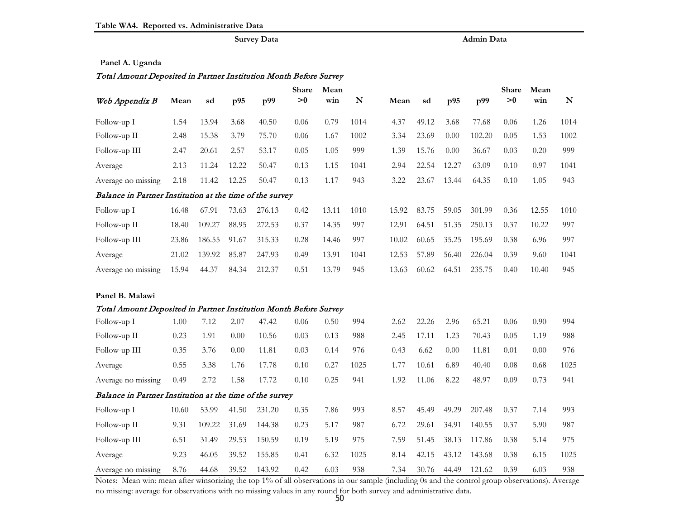|                                                                   |       |        |       | <b>Survey Data</b> |                   |       |           |       |       |       | <b>Admin Data</b> |       |       |           |
|-------------------------------------------------------------------|-------|--------|-------|--------------------|-------------------|-------|-----------|-------|-------|-------|-------------------|-------|-------|-----------|
|                                                                   |       |        |       |                    |                   |       |           |       |       |       |                   |       |       |           |
| Panel A. Uganda                                                   |       |        |       |                    |                   |       |           |       |       |       |                   |       |       |           |
| Total Amount Deposited in Partner Institution Month Before Survey |       |        |       |                    |                   |       |           |       |       |       |                   |       |       |           |
|                                                                   |       |        |       |                    | <b>Share</b>      | Mean  |           |       |       |       |                   | Share | Mean  |           |
| Web Appendix B                                                    | Mean  | sd     | p95   | p99                | $\boldsymbol{>}0$ | win   | ${\bf N}$ | Mean  | sd    | p95   | p99               | >0    | win   | ${\bf N}$ |
| Follow-up I                                                       | 1.54  | 13.94  | 3.68  | 40.50              | 0.06              | 0.79  | 1014      | 4.37  | 49.12 | 3.68  | 77.68             | 0.06  | 1.26  | 1014      |
| Follow-up II                                                      | 2.48  | 15.38  | 3.79  | 75.70              | 0.06              | 1.67  | 1002      | 3.34  | 23.69 | 0.00  | 102.20            | 0.05  | 1.53  | 1002      |
| Follow-up III                                                     | 2.47  | 20.61  | 2.57  | 53.17              | 0.05              | 1.05  | 999       | 1.39  | 15.76 | 0.00  | 36.67             | 0.03  | 0.20  | 999       |
| Average                                                           | 2.13  | 11.24  | 12.22 | 50.47              | 0.13              | 1.15  | 1041      | 2.94  | 22.54 | 12.27 | 63.09             | 0.10  | 0.97  | 1041      |
| Average no missing                                                | 2.18  | 11.42  | 12.25 | 50.47              | 0.13              | 1.17  | 943       | 3.22  | 23.67 | 13.44 | 64.35             | 0.10  | 1.05  | 943       |
| Balance in Partner Institution at the time of the survey          |       |        |       |                    |                   |       |           |       |       |       |                   |       |       |           |
| Follow-up I                                                       | 16.48 | 67.91  | 73.63 | 276.13             | 0.42              | 13.11 | 1010      | 15.92 | 83.75 | 59.05 | 301.99            | 0.36  | 12.55 | 1010      |
| Follow-up II                                                      | 18.40 | 109.27 | 88.95 | 272.53             | 0.37              | 14.35 | 997       | 12.91 | 64.51 | 51.35 | 250.13            | 0.37  | 10.22 | 997       |
| Follow-up III                                                     | 23.86 | 186.55 | 91.67 | 315.33             | 0.28              | 14.46 | 997       | 10.02 | 60.65 | 35.25 | 195.69            | 0.38  | 6.96  | 997       |
| Average                                                           | 21.02 | 139.92 | 85.87 | 247.93             | 0.49              | 13.91 | 1041      | 12.53 | 57.89 | 56.40 | 226.04            | 0.39  | 9.60  | 1041      |
| Average no missing                                                | 15.94 | 44.37  | 84.34 | 212.37             | 0.51              | 13.79 | 945       | 13.63 | 60.62 | 64.51 | 235.75            | 0.40  | 10.40 | 945       |
| Panel B. Malawi                                                   |       |        |       |                    |                   |       |           |       |       |       |                   |       |       |           |
| Total Amount Deposited in Partner Institution Month Before Survey |       |        |       |                    |                   |       |           |       |       |       |                   |       |       |           |
| Follow-up I                                                       | 1.00  | 7.12   | 2.07  | 47.42              | 0.06              | 0.50  | 994       | 2.62  | 22.26 | 2.96  | 65.21             | 0.06  | 0.90  | 994       |
| Follow-up II                                                      | 0.23  | 1.91   | 0.00  | 10.56              | 0.03              | 0.13  | 988       | 2.45  | 17.11 | 1.23  | 70.43             | 0.05  | 1.19  | 988       |
| Follow-up III                                                     | 0.35  | 3.76   | 0.00  | 11.81              | 0.03              | 0.14  | 976       | 0.43  | 6.62  | 0.00  | 11.81             | 0.01  | 0.00  | 976       |
| Average                                                           | 0.55  | 3.38   | 1.76  | 17.78              | 0.10              | 0.27  | 1025      | 1.77  | 10.61 | 6.89  | 40.40             | 0.08  | 0.68  | 1025      |
| Average no missing                                                | 0.49  | 2.72   | 1.58  | 17.72              | 0.10              | 0.25  | 941       | 1.92  | 11.06 | 8.22  | 48.97             | 0.09  | 0.73  | 941       |
| Balance in Partner Institution at the time of the survey          |       |        |       |                    |                   |       |           |       |       |       |                   |       |       |           |
| Follow-up I                                                       | 10.60 | 53.99  | 41.50 | 231.20             | 0.35              | 7.86  | 993       | 8.57  | 45.49 | 49.29 | 207.48            | 0.37  | 7.14  | 993       |
| Follow-up II                                                      | 9.31  | 109.22 | 31.69 | 144.38             | 0.23              | 5.17  | 987       | 6.72  | 29.61 | 34.91 | 140.55            | 0.37  | 5.90  | 987       |
| Follow-up III                                                     | 6.51  | 31.49  | 29.53 | 150.59             | 0.19              | 5.19  | 975       | 7.59  | 51.45 | 38.13 | 117.86            | 0.38  | 5.14  | 975       |
| Average                                                           | 9.23  | 46.05  | 39.52 | 155.85             | 0.41              | 6.32  | 1025      | 8.14  | 42.15 | 43.12 | 143.68            | 0.38  | 6.15  | 1025      |
| Average no missing                                                | 8.76  | 44.68  | 39.52 | 143.92             | 0.42              | 6.03  | 938       | 7.34  | 30.76 | 44.49 | 121.62            | 0.39  | 6.03  | 938       |

Notes: Mean win: mean after winsorizing the top 1% of all observations in our sample (including 0s and the control group observations). Average no missing: average for observations with no missing values in any round for both survey and administrative data.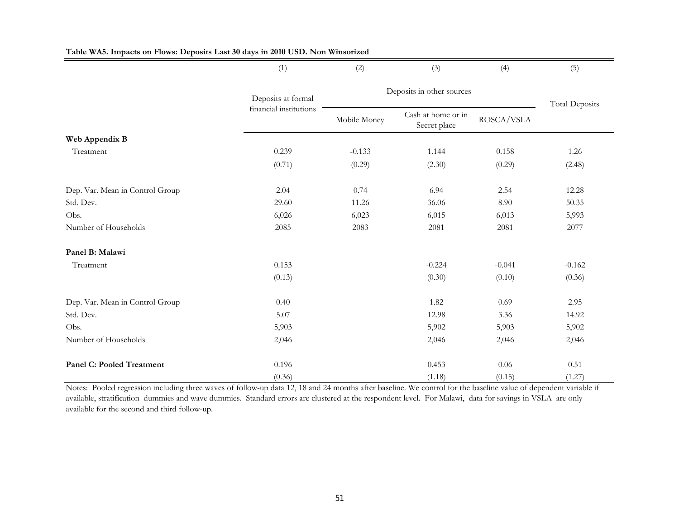|                                  | (1)                    | (2)          | (3)                                | (4)        | (5)                   |  |  |  |
|----------------------------------|------------------------|--------------|------------------------------------|------------|-----------------------|--|--|--|
|                                  | Deposits at formal     |              | Deposits in other sources          |            |                       |  |  |  |
|                                  | financial institutions | Mobile Money | Cash at home or in<br>Secret place | ROSCA/VSLA | <b>Total Deposits</b> |  |  |  |
| Web Appendix B                   |                        |              |                                    |            |                       |  |  |  |
| Treatment                        | 0.239                  | $-0.133$     | 1.144                              | 0.158      | 1.26                  |  |  |  |
|                                  | (0.71)                 | (0.29)       | (2.30)                             | (0.29)     | (2.48)                |  |  |  |
| Dep. Var. Mean in Control Group  | 2.04                   | 0.74         | 6.94                               | 2.54       | 12.28                 |  |  |  |
| Std. Dev.                        | 29.60                  | 11.26        | 36.06                              | 8.90       | 50.35                 |  |  |  |
| Obs.                             | 6,026                  | 6,023        | 6,015                              | 6,013      | 5,993                 |  |  |  |
| Number of Households             | 2085                   | 2083         | 2081                               | 2081       | 2077                  |  |  |  |
| Panel B: Malawi                  |                        |              |                                    |            |                       |  |  |  |
| Treatment                        | 0.153                  |              | $-0.224$                           | $-0.041$   | $-0.162$              |  |  |  |
|                                  | (0.13)                 |              | (0.30)                             | (0.10)     | (0.36)                |  |  |  |
| Dep. Var. Mean in Control Group  | 0.40                   |              | 1.82                               | 0.69       | 2.95                  |  |  |  |
| Std. Dev.                        | 5.07                   |              | 12.98                              | 3.36       | 14.92                 |  |  |  |
| Obs.                             | 5,903                  |              | 5,902                              | 5,903      | 5,902                 |  |  |  |
| Number of Households             | 2,046                  |              | 2,046                              | 2,046      | 2,046                 |  |  |  |
| <b>Panel C: Pooled Treatment</b> | 0.196                  |              | 0.453                              | 0.06       | 0.51                  |  |  |  |
|                                  | (0.36)                 |              | (1.18)                             | (0.15)     | (1.27)                |  |  |  |

### **Table WA5. Impacts on Flows: Deposits Last 30 days in 2010 USD. Non Winsorized**

Notes: Pooled regression including three waves of follow-up data 12, 18 and 24 months after baseline. We control for the baseline value of dependent variable if available, stratification dummies and wave dummies. Standard errors are clustered at the respondent level. For Malawi, data for savings in VSLA are only available for the second and third follow-up.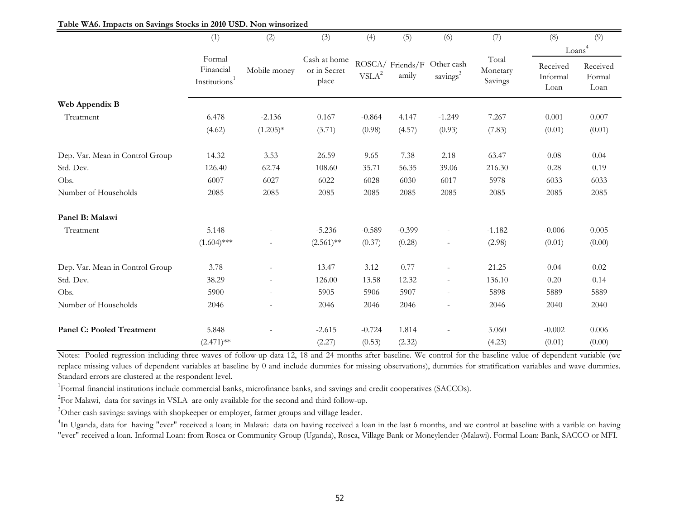|                                  | (1)                                              | (2)                      | (3)                                   | (4)                            | (5)                      | (6)                                | (7)                          | (8)                          | (9)                        |
|----------------------------------|--------------------------------------------------|--------------------------|---------------------------------------|--------------------------------|--------------------------|------------------------------------|------------------------------|------------------------------|----------------------------|
|                                  |                                                  |                          |                                       |                                |                          |                                    |                              |                              | Loans <sup>4</sup>         |
|                                  | Formal<br>Financial<br>Institutions <sup>1</sup> | Mobile money             | Cash at home<br>or in Secret<br>place | $\ensuremath{\mathsf{VSLA}}^2$ | ROSCA/Friends/F<br>amily | Other cash<br>savings <sup>3</sup> | Total<br>Monetary<br>Savings | Received<br>Informal<br>Loan | Received<br>Formal<br>Loan |
| Web Appendix B                   |                                                  |                          |                                       |                                |                          |                                    |                              |                              |                            |
| Treatment                        | 6.478                                            | $-2.136$                 | 0.167                                 | $-0.864$                       | 4.147                    | $-1.249$                           | 7.267                        | 0.001                        | 0.007                      |
|                                  | (4.62)                                           | $(1.205)*$               | (3.71)                                | (0.98)                         | (4.57)                   | (0.93)                             | (7.83)                       | (0.01)                       | (0.01)                     |
| Dep. Var. Mean in Control Group  | 14.32                                            | 3.53                     | 26.59                                 | 9.65                           | 7.38                     | 2.18                               | 63.47                        | 0.08                         | 0.04                       |
| Std. Dev.                        | 126.40                                           | 62.74                    | 108.60                                | 35.71                          | 56.35                    | 39.06                              | 216.30                       | 0.28                         | 0.19                       |
| Obs.                             | 6007                                             | 6027                     | 6022                                  | 6028                           | 6030                     | 6017                               | 5978                         | 6033                         | 6033                       |
| Number of Households             | 2085                                             | 2085                     | 2085                                  | 2085                           | 2085                     | 2085                               | 2085                         | 2085                         | 2085                       |
| Panel B: Malawi                  |                                                  |                          |                                       |                                |                          |                                    |                              |                              |                            |
| Treatment                        | 5.148                                            |                          | $-5.236$                              | $-0.589$                       | $-0.399$                 |                                    | $-1.182$                     | $-0.006$                     | 0.005                      |
|                                  | $(1.604)$ ***                                    |                          | $(2.561)$ **                          | (0.37)                         | (0.28)                   |                                    | (2.98)                       | (0.01)                       | (0.00)                     |
| Dep. Var. Mean in Control Group  | 3.78                                             |                          | 13.47                                 | 3.12                           | 0.77                     |                                    | 21.25                        | 0.04                         | 0.02                       |
| Std. Dev.                        | 38.29                                            | $\sim$                   | 126.00                                | 13.58                          | 12.32                    |                                    | 136.10                       | 0.20                         | 0.14                       |
| Obs.                             | 5900                                             | $\overline{\phantom{a}}$ | 5905                                  | 5906                           | 5907                     |                                    | 5898                         | 5889                         | 5889                       |
| Number of Households             | 2046                                             |                          | 2046                                  | 2046                           | 2046                     | ÷.                                 | 2046                         | 2040                         | 2040                       |
| <b>Panel C: Pooled Treatment</b> | 5.848                                            |                          | $-2.615$                              | $-0.724$                       | 1.814                    |                                    | 3.060                        | $-0.002$                     | 0.006                      |
|                                  | $(2.471)$ **                                     |                          | (2.27)                                | (0.53)                         | (2.32)                   |                                    | (4.23)                       | (0.01)                       | (0.00)                     |

Notes: Pooled regression including three waves of follow-up data 12, 18 and 24 months after baseline. We control for the baseline value of dependent variable (we replace missing values of dependent variables at baseline by 0 and include dummies for missing observations), dummies for stratification variables and wave dummies. Standard errors are clustered at the respondent level.

<sup>1</sup>Formal financial institutions include commercial banks, microfinance banks, and savings and credit cooperatives (SACCOs).

<sup>2</sup>For Malawi, data for savings in VSLA are only available for the second and third follow-up.

<sup>3</sup>Other cash savings: savings with shopkeeper or employer, farmer groups and village leader.

<sup>4</sup>In Uganda, data for having "ever" received a loan; in Malawi: data on having received a loan in the last 6 months, and we control at baseline with a varible on having "ever" received a loan. Informal Loan: from Rosca or Community Group (Uganda), Rosca, Village Bank or Moneylender (Malawi). Formal Loan: Bank, SACCO or MFI.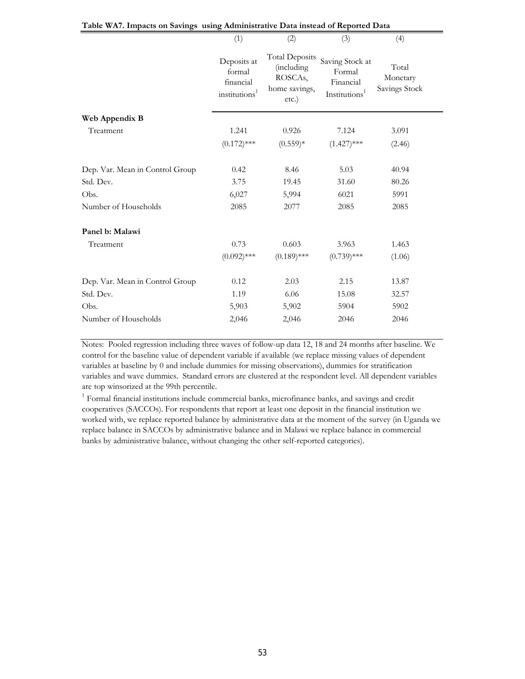|                                 | (1)                                                             | (2)                                                                              | (3)                                                                 | (4)                                |
|---------------------------------|-----------------------------------------------------------------|----------------------------------------------------------------------------------|---------------------------------------------------------------------|------------------------------------|
|                                 | Deposits at<br>formal<br>financial<br>institutions <sup>1</sup> | <b>Total Deposits</b><br><i>(including)</i><br>ROSCAs,<br>home savings,<br>etc.) | Saving Stock at<br>Formal<br>Financial<br>Institutions <sup>1</sup> | Total<br>Monetary<br>Savings Stock |
| Web Appendix B                  |                                                                 |                                                                                  |                                                                     |                                    |
| Treatment                       | 1.241                                                           | 0.926                                                                            | 7.124                                                               | 3.091                              |
|                                 | $(0.172)$ ***                                                   | $(0.559)*$                                                                       | $(1.427)$ ***                                                       | (2.46)                             |
| Dep. Var. Mean in Control Group | 0.42                                                            | 8.46                                                                             | 5.03                                                                | 40.94                              |
| Std. Dev.                       | 3.75                                                            | 19.45                                                                            | 31.60                                                               | 80.26                              |
| Obs.                            | 6,027                                                           | 5,994                                                                            | 6021                                                                | 5991                               |
| Number of Households            | 2085                                                            | 2077                                                                             | 2085                                                                | 2085                               |
| Panel b: Malawi                 |                                                                 |                                                                                  |                                                                     |                                    |
| Treatment                       | 0.73                                                            | 0.603                                                                            | 3.963                                                               | 1.463                              |
|                                 | $(0.092)$ ***                                                   | $(0.189)$ ***                                                                    | $(0.739)$ ***                                                       | (1.06)                             |
| Dep. Var. Mean in Control Group | 0.12                                                            | 2.03                                                                             | 2.15                                                                | 13.87                              |
| Std. Dev.                       | 1.19                                                            | 6.06                                                                             | 15.08                                                               | 32.57                              |
| Obs.                            | 5,903                                                           | 5,902                                                                            | 5904                                                                | 5902                               |
| Number of Households            | 2,046                                                           | 2,046                                                                            | 2046                                                                | 2046                               |

### **Table WA7. Impacts on Savings using Administrative Data instead of Reported Data**

Notes: Pooled regression including three waves of follow-up data 12, 18 and 24 months after baseline. We control for the baseline value of dependent variable if available (we replace missing values of dependent variables at baseline by 0 and include dummies for missing observations), dummies for stratification variables and wave dummies. Standard errors are clustered at the respondent level. All dependent variables are top winsorized at the 99th percentile.

<sup>1</sup> Formal financial institutions include commercial banks, microfinance banks, and savings and credit cooperatives (SACCOs). For respondents that report at least one deposit in the financial institution we worked with, we replace reported balance by administrative data at the moment of the survey (in Uganda we replace balance in SACCOs by administrative balance and in Malawi we replace balance in commercial banks by administrative balance, without changing the other self-reported categories).